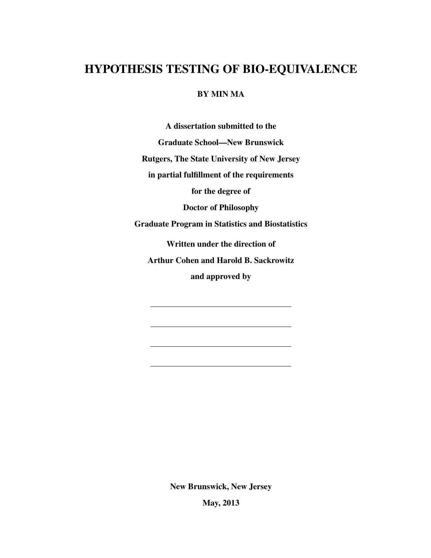# HYPOTHESIS TESTING OF BIO-EQUIVALENCE

### BY MIN MA

A dissertation submitted to the

Graduate School—New Brunswick

Rutgers, The State University of New Jersey

in partial fulfillment of the requirements

for the degree of

Doctor of Philosophy

Graduate Program in Statistics and Biostatistics

Written under the direction of

Arthur Cohen and Harold B. Sackrowitz

and approved by

New Brunswick, New Jersey

May, 2013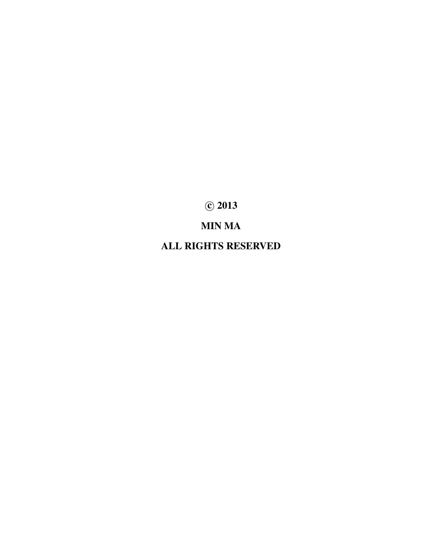c 2013

# MIN MA

ALL RIGHTS RESERVED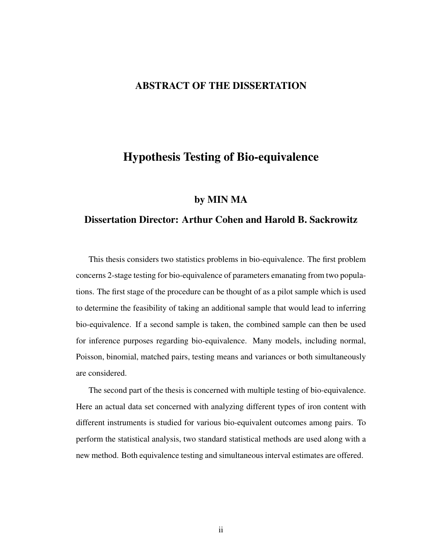## ABSTRACT OF THE DISSERTATION

# Hypothesis Testing of Bio-equivalence

#### by MIN MA

### Dissertation Director: Arthur Cohen and Harold B. Sackrowitz

This thesis considers two statistics problems in bio-equivalence. The first problem concerns 2-stage testing for bio-equivalence of parameters emanating from two populations. The first stage of the procedure can be thought of as a pilot sample which is used to determine the feasibility of taking an additional sample that would lead to inferring bio-equivalence. If a second sample is taken, the combined sample can then be used for inference purposes regarding bio-equivalence. Many models, including normal, Poisson, binomial, matched pairs, testing means and variances or both simultaneously are considered.

The second part of the thesis is concerned with multiple testing of bio-equivalence. Here an actual data set concerned with analyzing different types of iron content with different instruments is studied for various bio-equivalent outcomes among pairs. To perform the statistical analysis, two standard statistical methods are used along with a new method. Both equivalence testing and simultaneous interval estimates are offered.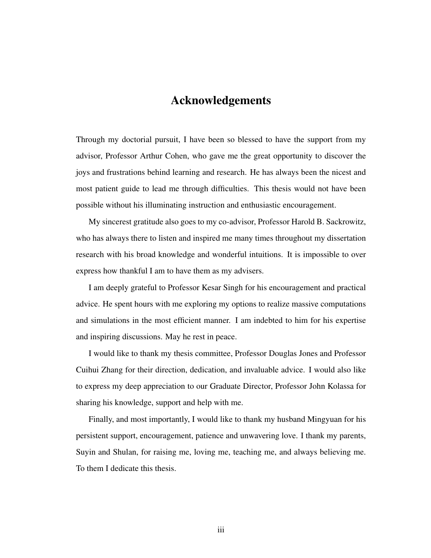# Acknowledgements

Through my doctorial pursuit, I have been so blessed to have the support from my advisor, Professor Arthur Cohen, who gave me the great opportunity to discover the joys and frustrations behind learning and research. He has always been the nicest and most patient guide to lead me through difficulties. This thesis would not have been possible without his illuminating instruction and enthusiastic encouragement.

My sincerest gratitude also goes to my co-advisor, Professor Harold B. Sackrowitz, who has always there to listen and inspired me many times throughout my dissertation research with his broad knowledge and wonderful intuitions. It is impossible to over express how thankful I am to have them as my advisers.

I am deeply grateful to Professor Kesar Singh for his encouragement and practical advice. He spent hours with me exploring my options to realize massive computations and simulations in the most efficient manner. I am indebted to him for his expertise and inspiring discussions. May he rest in peace.

I would like to thank my thesis committee, Professor Douglas Jones and Professor Cuihui Zhang for their direction, dedication, and invaluable advice. I would also like to express my deep appreciation to our Graduate Director, Professor John Kolassa for sharing his knowledge, support and help with me.

Finally, and most importantly, I would like to thank my husband Mingyuan for his persistent support, encouragement, patience and unwavering love. I thank my parents, Suyin and Shulan, for raising me, loving me, teaching me, and always believing me. To them I dedicate this thesis.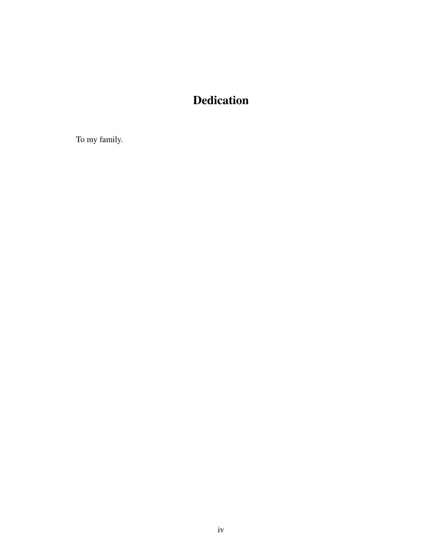# Dedication

To my family.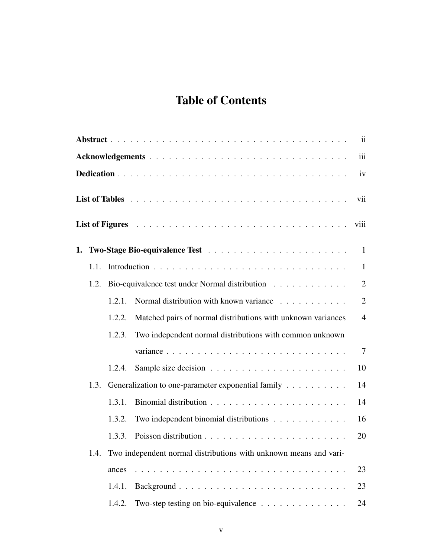# Table of Contents

|                                                                           |      |        |                                                                                                                                                                                                          | $\mathbf{ii}$  |  |  |  |
|---------------------------------------------------------------------------|------|--------|----------------------------------------------------------------------------------------------------------------------------------------------------------------------------------------------------------|----------------|--|--|--|
|                                                                           |      |        |                                                                                                                                                                                                          | iii            |  |  |  |
|                                                                           | iv   |        |                                                                                                                                                                                                          |                |  |  |  |
|                                                                           |      |        |                                                                                                                                                                                                          | vii            |  |  |  |
|                                                                           |      |        | List of Figures <i>the community of Figures discussion discussion discussion discussion discussion discussion discussion discussion discussion discussion discussion discussion discussion discussio</i> | viii           |  |  |  |
| 1.                                                                        |      |        |                                                                                                                                                                                                          | $\mathbf{1}$   |  |  |  |
|                                                                           | 1.1. |        |                                                                                                                                                                                                          | $\mathbf{1}$   |  |  |  |
|                                                                           | 1.2. |        | Bio-equivalence test under Normal distribution                                                                                                                                                           | $\overline{2}$ |  |  |  |
|                                                                           |      | 1.2.1. | Normal distribution with known variance                                                                                                                                                                  | $\overline{2}$ |  |  |  |
|                                                                           |      | 1.2.2. | Matched pairs of normal distributions with unknown variances                                                                                                                                             | $\overline{4}$ |  |  |  |
|                                                                           |      | 1.2.3. | Two independent normal distributions with common unknown                                                                                                                                                 |                |  |  |  |
|                                                                           |      |        | variance                                                                                                                                                                                                 | $\overline{7}$ |  |  |  |
|                                                                           |      | 1.2.4. |                                                                                                                                                                                                          | 10             |  |  |  |
|                                                                           | 1.3. |        | Generalization to one-parameter exponential family                                                                                                                                                       | 14             |  |  |  |
|                                                                           |      | 1.3.1. |                                                                                                                                                                                                          | 14             |  |  |  |
|                                                                           |      | 1.3.2. | Two independent binomial distributions                                                                                                                                                                   | 16             |  |  |  |
|                                                                           |      | 1.3.3. |                                                                                                                                                                                                          | 20             |  |  |  |
| Two independent normal distributions with unknown means and vari-<br>1.4. |      |        |                                                                                                                                                                                                          |                |  |  |  |
|                                                                           |      | ances  |                                                                                                                                                                                                          | 23             |  |  |  |
|                                                                           |      | 1.4.1. |                                                                                                                                                                                                          | 23             |  |  |  |
|                                                                           |      | 1.4.2. | Two-step testing on bio-equivalence $\ldots \ldots \ldots \ldots \ldots$                                                                                                                                 | 24             |  |  |  |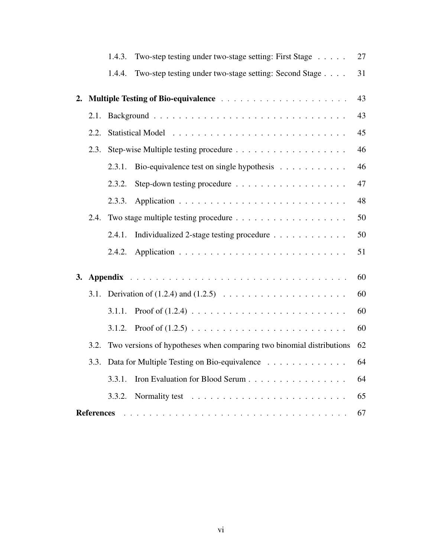|    |                         | 1.4.3.                                                               | Two-step testing under two-stage setting: First Stage  | 27 |  |  |
|----|-------------------------|----------------------------------------------------------------------|--------------------------------------------------------|----|--|--|
|    |                         | 1.4.4.                                                               | Two-step testing under two-stage setting: Second Stage | 31 |  |  |
| 2. |                         |                                                                      |                                                        |    |  |  |
|    | 2.1.                    |                                                                      |                                                        | 43 |  |  |
|    | 2.2.                    |                                                                      |                                                        | 45 |  |  |
|    | 2.3.                    |                                                                      |                                                        | 46 |  |  |
|    |                         | 2.3.1.                                                               | Bio-equivalence test on single hypothesis              | 46 |  |  |
|    |                         | 2.3.2.                                                               |                                                        | 47 |  |  |
|    |                         | 2.3.3.                                                               |                                                        | 48 |  |  |
|    | 2.4.                    |                                                                      |                                                        |    |  |  |
|    |                         | 2.4.1.                                                               | Individualized 2-stage testing procedure               | 50 |  |  |
|    |                         | 2.4.2.                                                               |                                                        | 51 |  |  |
| 3. |                         |                                                                      |                                                        | 60 |  |  |
|    | 3.1.                    |                                                                      |                                                        |    |  |  |
|    |                         | 3.1.1.                                                               |                                                        | 60 |  |  |
|    |                         | 3.1.2.                                                               |                                                        | 60 |  |  |
|    | 3.2.                    | Two versions of hypotheses when comparing two binomial distributions |                                                        |    |  |  |
|    | 3.3.                    | Data for Multiple Testing on Bio-equivalence                         |                                                        |    |  |  |
|    |                         | 3.3.1.                                                               | Iron Evaluation for Blood Serum                        | 64 |  |  |
|    |                         | 3.3.2.                                                               |                                                        | 65 |  |  |
|    | 67<br><b>References</b> |                                                                      |                                                        |    |  |  |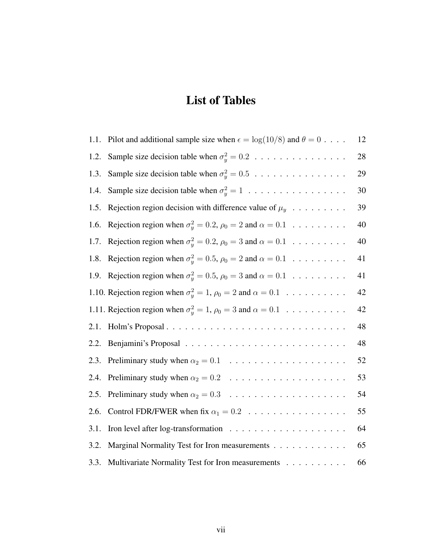# List of Tables

| 1.1. | Pilot and additional sample size when $\epsilon = \log(10/8)$ and $\theta = 0$        | 12 |
|------|---------------------------------------------------------------------------------------|----|
| 1.2. | Sample size decision table when $\sigma_y^2 = 0.2 \ldots \ldots \ldots \ldots \ldots$ | 28 |
| 1.3. | Sample size decision table when $\sigma_y^2 = 0.5 \ldots \ldots \ldots \ldots \ldots$ | 29 |
| 1.4. |                                                                                       | 30 |
| 1.5. | Rejection region decision with difference value of $\mu_y$                            | 39 |
| 1.6. | Rejection region when $\sigma_y^2 = 0.2$ , $\rho_0 = 2$ and $\alpha = 0.1$            | 40 |
| 1.7. | Rejection region when $\sigma_y^2 = 0.2$ , $\rho_0 = 3$ and $\alpha = 0.1$            | 40 |
| 1.8. | Rejection region when $\sigma_y^2 = 0.5$ , $\rho_0 = 2$ and $\alpha = 0.1$            | 41 |
| 1.9. | Rejection region when $\sigma_y^2 = 0.5$ , $\rho_0 = 3$ and $\alpha = 0.1$            | 41 |
|      | 1.10. Rejection region when $\sigma_y^2 = 1$ , $\rho_0 = 2$ and $\alpha = 0.1$        | 42 |
|      | 1.11. Rejection region when $\sigma_y^2 = 1$ , $\rho_0 = 3$ and $\alpha = 0.1$        | 42 |
| 2.1. |                                                                                       | 48 |
| 2.2. |                                                                                       | 48 |
| 2.3. |                                                                                       | 52 |
| 2.4. |                                                                                       | 53 |
| 2.5. |                                                                                       | 54 |
| 2.6. |                                                                                       | 55 |
| 3.1. |                                                                                       | 64 |
| 3.2. | Marginal Normality Test for Iron measurements                                         | 65 |
| 3.3. | Multivariate Normality Test for Iron measurements                                     | 66 |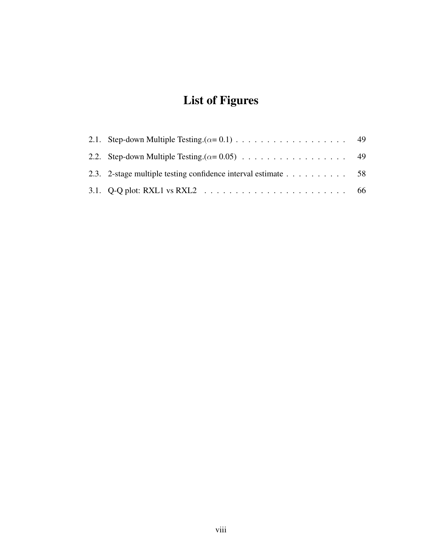# List of Figures

| 2.3. 2-stage multiple testing confidence interval estimate $\dots \dots \dots \dots$ 58 |  |
|-----------------------------------------------------------------------------------------|--|
|                                                                                         |  |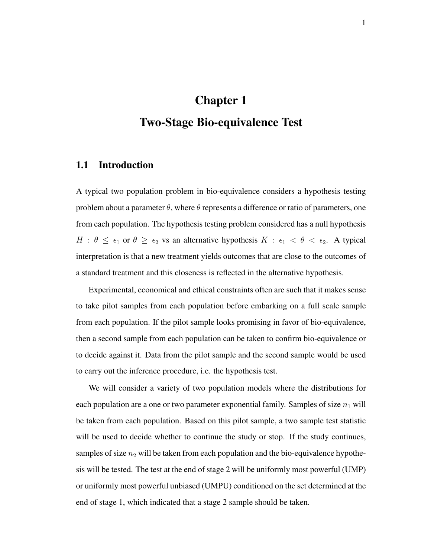# Chapter 1 Two-Stage Bio-equivalence Test

### 1.1 Introduction

A typical two population problem in bio-equivalence considers a hypothesis testing problem about a parameter  $\theta$ , where  $\theta$  represents a difference or ratio of parameters, one from each population. The hypothesis testing problem considered has a null hypothesis  $H : \theta \leq \epsilon_1$  or  $\theta \geq \epsilon_2$  vs an alternative hypothesis  $K : \epsilon_1 < \theta < \epsilon_2$ . A typical interpretation is that a new treatment yields outcomes that are close to the outcomes of a standard treatment and this closeness is reflected in the alternative hypothesis.

Experimental, economical and ethical constraints often are such that it makes sense to take pilot samples from each population before embarking on a full scale sample from each population. If the pilot sample looks promising in favor of bio-equivalence, then a second sample from each population can be taken to confirm bio-equivalence or to decide against it. Data from the pilot sample and the second sample would be used to carry out the inference procedure, i.e. the hypothesis test.

We will consider a variety of two population models where the distributions for each population are a one or two parameter exponential family. Samples of size  $n_1$  will be taken from each population. Based on this pilot sample, a two sample test statistic will be used to decide whether to continue the study or stop. If the study continues, samples of size  $n_2$  will be taken from each population and the bio-equivalence hypothesis will be tested. The test at the end of stage 2 will be uniformly most powerful (UMP) or uniformly most powerful unbiased (UMPU) conditioned on the set determined at the end of stage 1, which indicated that a stage 2 sample should be taken.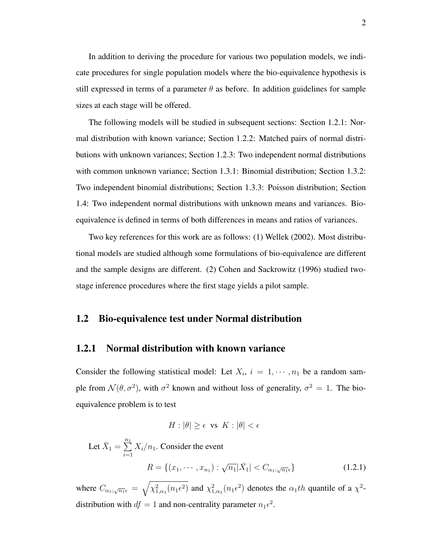In addition to deriving the procedure for various two population models, we indicate procedures for single population models where the bio-equivalence hypothesis is still expressed in terms of a parameter  $\theta$  as before. In addition guidelines for sample sizes at each stage will be offered.

The following models will be studied in subsequent sections: Section 1.2.1: Normal distribution with known variance; Section 1.2.2: Matched pairs of normal distributions with unknown variances; Section 1.2.3: Two independent normal distributions with common unknown variance; Section 1.3.1: Binomial distribution; Section 1.3.2: Two independent binomial distributions; Section 1.3.3: Poisson distribution; Section 1.4: Two independent normal distributions with unknown means and variances. Bioequivalence is defined in terms of both differences in means and ratios of variances.

Two key references for this work are as follows: (1) Wellek (2002). Most distributional models are studied although some formulations of bio-equivalence are different and the sample designs are different. (2) Cohen and Sackrowitz (1996) studied twostage inference procedures where the first stage yields a pilot sample.

### 1.2 Bio-equivalence test under Normal distribution

#### 1.2.1 Normal distribution with known variance

Consider the following statistical model: Let  $X_i$ ,  $i = 1, \dots, n_1$  be a random sample from  $\mathcal{N}(\theta, \sigma^2)$ , with  $\sigma^2$  known and without loss of generality,  $\sigma^2 = 1$ . The bioequivalence problem is to test

$$
H: |\theta| \ge \epsilon \text{ vs } K: |\theta| < \epsilon
$$

Let  $\bar{X}_1 = \sum^{n_1}$  $i=1$  $X_i/n_1$ . Consider the event  $R = \{ (x_1, \dots, x_{n_1}) : \sqrt{n_1} | \bar{X}_1 | < C_{\alpha_1};$  $(1.2.1)$ 

where  $C_{\alpha_1;\sqrt{n_1}\epsilon} = \sqrt{\chi^2_{1,\alpha_1}(n_1\epsilon^2)}$  and  $\chi^2_{1,\alpha_1}(n_1\epsilon^2)$  denotes the  $\alpha_1$ th quantile of a  $\chi^2$ distribution with  $df = 1$  and non-centrality parameter  $n_1 \epsilon^2$ .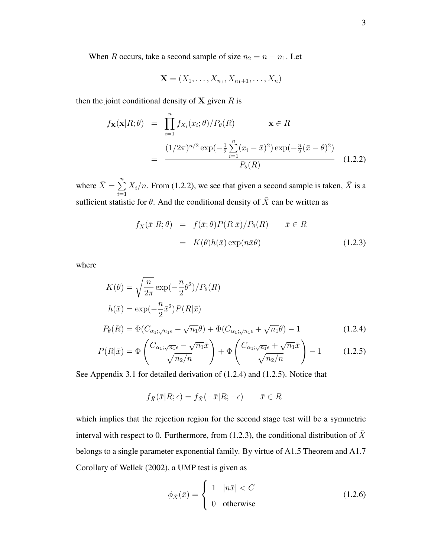When R occurs, take a second sample of size  $n_2 = n - n_1$ . Let

$$
\mathbf{X} = (X_1, \ldots, X_{n_1}, X_{n_1+1}, \ldots, X_n)
$$

then the joint conditional density of  $X$  given  $R$  is

$$
f_{\mathbf{X}}(\mathbf{x}|R;\theta) = \prod_{i=1}^{n} f_{X_i}(x_i;\theta) / P_{\theta}(R) \qquad \mathbf{x} \in R
$$
  
= 
$$
\frac{(1/2\pi)^{n/2} \exp(-\frac{1}{2} \sum_{i=1}^{n} (x_i - \bar{x})^2) \exp(-\frac{n}{2} (\bar{x} - \theta)^2)}{P_{\theta}(R)}
$$
(1.2.2)

where  $\bar{X} = \sum^{n}$  $i=1$  $X_i/n$ . From (1.2.2), we see that given a second sample is taken,  $\bar{X}$  is a sufficient statistic for  $\theta$ . And the conditional density of  $\overline{X}$  can be written as

$$
f_{\bar{X}}(\bar{x}|R;\theta) = f(\bar{x};\theta)P(R|\bar{x})/P_{\theta}(R) \qquad \bar{x} \in R
$$
  

$$
= K(\theta)h(\bar{x})\exp(n\bar{x}\theta)
$$
(1.2.3)

where

$$
K(\theta) = \sqrt{\frac{n}{2\pi}} \exp\left(-\frac{n}{2}\theta^2\right) / P_{\theta}(R)
$$
  
\n
$$
h(\bar{x}) = \exp\left(-\frac{n}{2}\bar{x}^2\right) P(R|\bar{x})
$$
  
\n
$$
P_{\theta}(R) = \Phi(C_{\alpha_1;\sqrt{n_1}\epsilon} - \sqrt{n_1}\theta) + \Phi(C_{\alpha_1;\sqrt{n_1}\epsilon} + \sqrt{n_1}\theta) - 1
$$
\n(1.2.4)

$$
P(R|\bar{x}) = \Phi\left(\frac{C_{\alpha_1;\sqrt{n_1}\epsilon} - \sqrt{n_1}\bar{x}}{\sqrt{n_2/n}}\right) + \Phi\left(\frac{C_{\alpha_1;\sqrt{n_1}\epsilon} + \sqrt{n_1}\bar{x}}{\sqrt{n_2/n}}\right) - 1\tag{1.2.5}
$$

See Appendix 3.1 for detailed derivation of (1.2.4) and (1.2.5). Notice that

$$
f_{\bar{X}}(\bar{x}|R;\epsilon) = f_{\bar{X}}(-\bar{x}|R;-\epsilon) \qquad \bar{x} \in R
$$

which implies that the rejection region for the second stage test will be a symmetric interval with respect to 0. Furthermore, from (1.2.3), the conditional distribution of  $\bar{X}$ belongs to a single parameter exponential family. By virtue of A1.5 Theorem and A1.7 Corollary of Wellek (2002), a UMP test is given as

$$
\phi_{\bar{X}}(\bar{x}) = \begin{cases} 1 & |n\bar{x}| < C \\ 0 & \text{otherwise} \end{cases}
$$
 (1.2.6)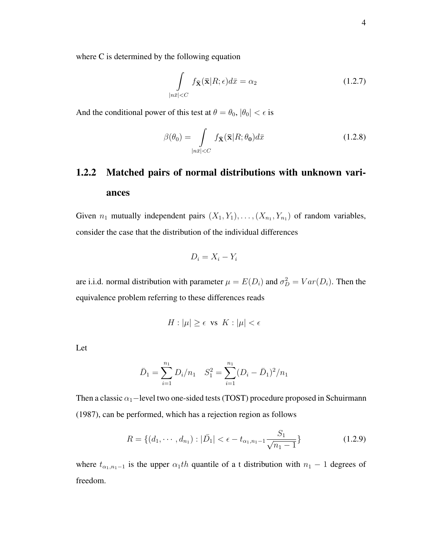where C is determined by the following equation

$$
\int\limits_{|n\bar{x}|
$$

And the conditional power of this test at  $\theta = \theta_0$ ,  $|\theta_0| < \epsilon$  is

$$
\beta(\theta_0) = \int\limits_{|n\bar{x}|\n(1.2.8)
$$

# 1.2.2 Matched pairs of normal distributions with unknown variances

Given  $n_1$  mutually independent pairs  $(X_1, Y_1), \ldots, (X_{n_1}, Y_{n_1})$  of random variables, consider the case that the distribution of the individual differences

$$
D_i = X_i - Y_i
$$

are i.i.d. normal distribution with parameter  $\mu = E(D_i)$  and  $\sigma_D^2 = Var(D_i)$ . Then the equivalence problem referring to these differences reads

$$
H: |\mu| \ge \epsilon \text{ vs } K: |\mu| < \epsilon
$$

Let

$$
\bar{D}_1 = \sum_{i=1}^{n_1} D_i / n_1 \quad S_1^2 = \sum_{i=1}^{n_1} (D_i - \bar{D}_1)^2 / n_1
$$

Then a classic  $\alpha_1$ −level two one-sided tests (TOST) procedure proposed in Schuirmann (1987), can be performed, which has a rejection region as follows

$$
R = \{(d_1, \cdots, d_{n_1}) : |\bar{D}_1| < \epsilon - t_{\alpha_1, n_1 - 1} \frac{S_1}{\sqrt{n_1 - 1}}\} \tag{1.2.9}
$$

where  $t_{\alpha_1,n_1-1}$  is the upper  $\alpha_1$ th quantile of a t distribution with  $n_1 - 1$  degrees of freedom.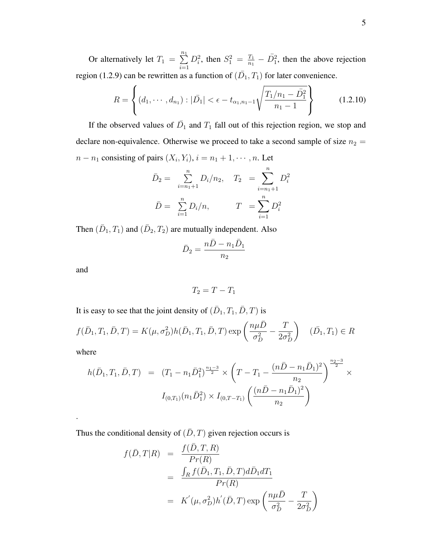Or alternatively let  $T_1 = \sum_{n=1}^{n_1}$  $i=1$  $D_i^2$ , then  $S_1^2 = \frac{T_1}{n_1}$  $\frac{T_1}{n_1} - \overline{D}_1^2$ , then the above rejection region (1.2.9) can be rewritten as a function of  $(\bar{D}_1, T_1)$  for later convenience.

$$
R = \left\{ (d_1, \cdots, d_{n_1}) : |\bar{D}_1| < \epsilon - t_{\alpha_1, n_1 - 1} \sqrt{\frac{T_1/n_1 - \bar{D}_1^2}{n_1 - 1}} \right\} \tag{1.2.10}
$$

If the observed values of  $\overline{D}_1$  and  $T_1$  fall out of this rejection region, we stop and declare non-equivalence. Otherwise we proceed to take a second sample of size  $n_2 =$  $n - n_1$  consisting of pairs  $(X_i, Y_i)$ ,  $i = n_1 + 1, \dots, n$ . Let

$$
\bar{D}_2 = \sum_{i=n_1+1}^{n} D_i/n_2, \quad T_2 = \sum_{i=n_1+1}^{n} D_i^2
$$

$$
\bar{D} = \sum_{i=1}^{n} D_i/n, \qquad T = \sum_{i=1}^{n} D_i^2
$$

Then  $(\bar{D}_1, T_1)$  and  $(\bar{D}_2, T_2)$  are mutually independent. Also

$$
\bar{D}_2 = \frac{n\bar{D} - n_1\bar{D}_1}{n_2}
$$

and

$$
T_2 = T - T_1
$$

It is easy to see that the joint density of  $(\bar{D}_1, T_1, \bar{D}, T)$  is

$$
f(\bar{D}_1, T_1, \bar{D}, T) = K(\mu, \sigma_D^2) h(\bar{D}_1, T_1, \bar{D}, T) \exp\left(\frac{n\mu\bar{D}}{\sigma_D^2} - \frac{T}{2\sigma_D^2}\right) \quad (\bar{D}_1, T_1) \in R
$$

where

.

$$
h(\bar{D}_1, T_1, \bar{D}, T) = (T_1 - n_1 \bar{D}_1^2)^{\frac{n_1 - 3}{2}} \times \left( T - T_1 - \frac{(n\bar{D} - n_1 \bar{D}_1)^2}{n_2} \right)^{\frac{n_2 - 3}{2}} \times
$$

$$
I_{(0, T_1)}(n_1 \bar{D}_1^2) \times I_{(0, T - T_1)} \left( \frac{(n\bar{D} - n_1 \bar{D}_1)^2}{n_2} \right)
$$

Thus the conditional density of  $(\bar{D}, T)$  given rejection occurs is

$$
f(\bar{D}, T|R) = \frac{f(\bar{D}, T, R)}{Pr(R)}
$$
  
= 
$$
\frac{\int_R f(\bar{D}_1, T_1, \bar{D}, T) d\bar{D}_1 dT_1}{Pr(R)}
$$
  
= 
$$
K'(\mu, \sigma_D^2) h'(\bar{D}, T) \exp\left(\frac{n\mu \bar{D}}{\sigma_D^2} - \frac{T}{2\sigma_D^2}\right)
$$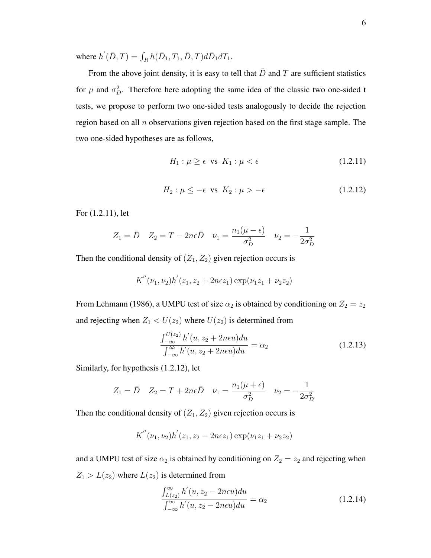where  $h'(\bar{D}, T) = \int_R h(\bar{D}_1, T_1, \bar{D}, T) d\bar{D}_1 dT_1$ .

From the above joint density, it is easy to tell that  $\bar{D}$  and T are sufficient statistics for  $\mu$  and  $\sigma_D^2$ . Therefore here adopting the same idea of the classic two one-sided t tests, we propose to perform two one-sided tests analogously to decide the rejection region based on all  $n$  observations given rejection based on the first stage sample. The two one-sided hypotheses are as follows,

$$
H_1: \mu \ge \epsilon \quad \text{vs} \quad K_1: \mu < \epsilon \tag{1.2.11}
$$

$$
H_2: \mu \le -\epsilon \text{ vs } K_2: \mu > -\epsilon \tag{1.2.12}
$$

For (1.2.11), let

$$
Z_1 = \bar{D} \quad Z_2 = T - 2n\epsilon \bar{D} \quad \nu_1 = \frac{n_1(\mu - \epsilon)}{\sigma_D^2} \quad \nu_2 = -\frac{1}{2\sigma_D^2}
$$

Then the conditional density of  $(Z_1, Z_2)$  given rejection occurs is

$$
K^{''}(\nu_1,\nu_2)h^{'}(z_1,z_2+2n\epsilon z_1)\exp(\nu_1z_1+\nu_2z_2)
$$

From Lehmann (1986), a UMPU test of size  $\alpha_2$  is obtained by conditioning on  $Z_2 = z_2$ and rejecting when  $Z_1 < U(z_2)$  where  $U(z_2)$  is determined from

$$
\frac{\int_{-\infty}^{U(z_2)} h'(u, z_2 + 2neu) du}{\int_{-\infty}^{\infty} h'(u, z_2 + 2neu) du} = \alpha_2
$$
\n(1.2.13)

Similarly, for hypothesis (1.2.12), let

$$
Z_1 = \bar{D} \quad Z_2 = T + 2n\epsilon \bar{D} \quad \nu_1 = \frac{n_1(\mu + \epsilon)}{\sigma_D^2} \quad \nu_2 = -\frac{1}{2\sigma_D^2}
$$

Then the conditional density of  $(Z_1, Z_2)$  given rejection occurs is

$$
K''(\nu_1,\nu_2)h^{'}(z_1,z_2-2n\epsilon z_1)\exp(\nu_1z_1+\nu_2z_2)
$$

and a UMPU test of size  $\alpha_2$  is obtained by conditioning on  $Z_2 = z_2$  and rejecting when  $Z_1 > L(z_2)$  where  $L(z_2)$  is determined from

$$
\frac{\int_{L(z_2)}^{\infty} h'(u, z_2 - 2neu) du}{\int_{-\infty}^{\infty} h'(u, z_2 - 2neu) du} = \alpha_2
$$
\n(1.2.14)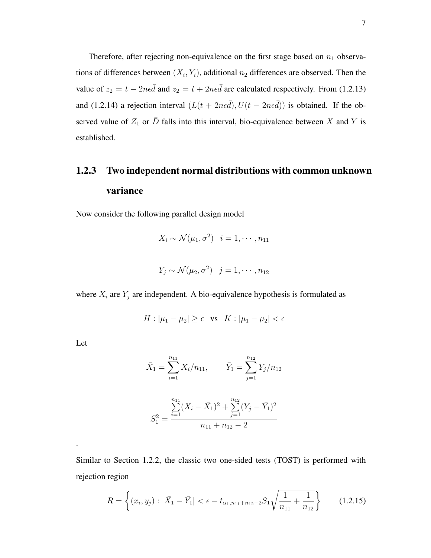Therefore, after rejecting non-equivalence on the first stage based on  $n_1$  observations of differences between  $(X_i, Y_i)$ , additional  $n_2$  differences are observed. Then the value of  $z_2 = t - 2n\epsilon \bar{d}$  and  $z_2 = t + 2n\epsilon \bar{d}$  are calculated respectively. From (1.2.13) and (1.2.14) a rejection interval  $(L(t + 2n\epsilon\bar{d}), U(t - 2n\epsilon\bar{d}))$  is obtained. If the observed value of  $Z_1$  or  $\overline{D}$  falls into this interval, bio-equivalence between X and Y is established.

# 1.2.3 Two independent normal distributions with common unknown variance

Now consider the following parallel design model

$$
X_i \sim \mathcal{N}(\mu_1, \sigma^2) \quad i = 1, \cdots, n_{11}
$$

$$
Y_j \sim \mathcal{N}(\mu_2, \sigma^2) \quad j = 1, \cdots, n_{12}
$$

where  $X_i$  are  $Y_j$  are independent. A bio-equivalence hypothesis is formulated as

$$
H: |\mu_1 - \mu_2| \ge \epsilon \quad \text{vs} \quad K: |\mu_1 - \mu_2| < \epsilon
$$

Let

.

$$
\bar{X}_1 = \sum_{i=1}^{n_{11}} X_i / n_{11}, \qquad \bar{Y}_1 = \sum_{j=1}^{n_{12}} Y_j / n_{12}
$$

$$
S_1^2 = \frac{\sum_{i=1}^{n_{11}} (X_i - \bar{X}_1)^2 + \sum_{j=1}^{n_{12}} (Y_j - \bar{Y}_1)^2}{n_{11} + n_{12} - 2}
$$

Similar to Section 1.2.2, the classic two one-sided tests (TOST) is performed with rejection region

$$
R = \left\{ (x_i, y_j) : |\bar{X}_1 - \bar{Y}_1| < \epsilon - t_{\alpha_1, n_{11} + n_{12} - 2} S_1 \sqrt{\frac{1}{n_{11}} + \frac{1}{n_{12}}} \right\} \tag{1.2.15}
$$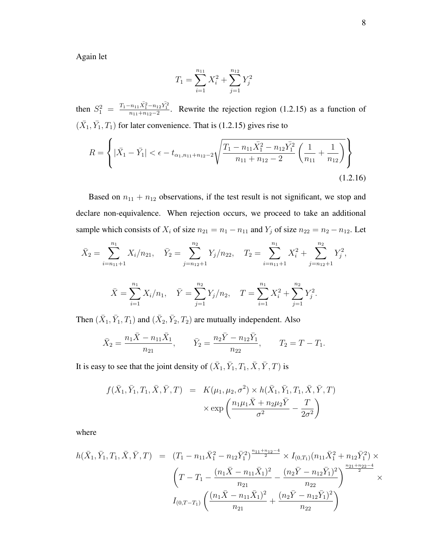Again let

$$
T_1 = \sum_{i=1}^{n_{11}} X_i^2 + \sum_{j=1}^{n_{12}} Y_j^2
$$

then  $S_1^2 = \frac{T_1 - n_{11} \bar{X}_1^2 - n_{12} \bar{Y}_1^2}{n_{11} + n_{12} - 2}$ . Rewrite the rejection region (1.2.15) as a function of  $(\bar{X}_1, \bar{Y}_1, T_1)$  for later convenience. That is (1.2.15) gives rise to

$$
R = \left\{ |\bar{X}_1 - \bar{Y}_1| < \epsilon - t_{\alpha_1, n_{11} + n_{12} - 2} \sqrt{\frac{T_1 - n_{11} \bar{X}_1^2 - n_{12} \bar{Y}_1^2}{n_{11} + n_{12} - 2} \left( \frac{1}{n_{11}} + \frac{1}{n_{12}} \right)} \right\} \tag{1.2.16}
$$

Based on  $n_{11} + n_{12}$  observations, if the test result is not significant, we stop and declare non-equivalence. When rejection occurs, we proceed to take an additional sample which consists of  $X_i$  of size  $n_{21} = n_1 - n_{11}$  and  $Y_j$  of size  $n_{22} = n_2 - n_{12}$ . Let

$$
\bar{X}_2 = \sum_{i=n_{11}+1}^{n_1} X_i/n_{21}, \quad \bar{Y}_2 = \sum_{j=n_{12}+1}^{n_2} Y_j/n_{22}, \quad T_2 = \sum_{i=n_{11}+1}^{n_1} X_i^2 + \sum_{j=n_{12}+1}^{n_2} Y_j^2,
$$

$$
\bar{X} = \sum_{i=1}^{n_1} X_i/n_1, \quad \bar{Y} = \sum_{j=1}^{n_2} Y_j/n_2, \quad T = \sum_{i=1}^{n_1} X_i^2 + \sum_{j=1}^{n_2} Y_j^2.
$$

 $j=1$ 

Then  $(\bar{X}_1, \bar{Y}_1, T_1)$  and  $(\bar{X}_2, \bar{Y}_2, T_2)$  are mutually independent. Also

 $j=1$ 

 $i=1$ 

$$
\bar{X}_2 = \frac{n_1 \bar{X} - n_{11} \bar{X}_1}{n_{21}}, \qquad \bar{Y}_2 = \frac{n_2 \bar{Y} - n_{12} \bar{Y}_1}{n_{22}}, \qquad T_2 = T - T_1.
$$

It is easy to see that the joint density of  $(\bar{X}_1, \bar{Y}_1, T_1, \bar{X}, \bar{Y}, T)$  is

$$
f(\bar{X}_1, \bar{Y}_1, T_1, \bar{X}, \bar{Y}, T) = K(\mu_1, \mu_2, \sigma^2) \times h(\bar{X}_1, \bar{Y}_1, T_1, \bar{X}, \bar{Y}, T)
$$

$$
\times \exp\left(\frac{n_1\mu_1\bar{X} + n_2\mu_2\bar{Y}}{\sigma^2} - \frac{T}{2\sigma^2}\right)
$$

where

$$
h(\bar{X}_1, \bar{Y}_1, T_1, \bar{X}, \bar{Y}, T) = (T_1 - n_{11}\bar{X}_1^2 - n_{12}\bar{Y}_1^2)^{\frac{n_{11} + n_{12} - 4}{2}} \times I_{(0, T_1)}(n_{11}\bar{X}_1^2 + n_{12}\bar{Y}_1^2) \times
$$
  

$$
\left(T - T_1 - \frac{(n_1\bar{X} - n_{11}\bar{X}_1)^2}{n_{21}} - \frac{(n_2\bar{Y} - n_{12}\bar{Y}_1)^2}{n_{22}}\right)^{\frac{n_{21} + n_{22} - 4}{2}} \times
$$
  

$$
I_{(0, T - T_1)}\left(\frac{(n_1\bar{X} - n_{11}\bar{X}_1)^2}{n_{21}} + \frac{(n_2\bar{Y} - n_{12}\bar{Y}_1)^2}{n_{22}}\right)
$$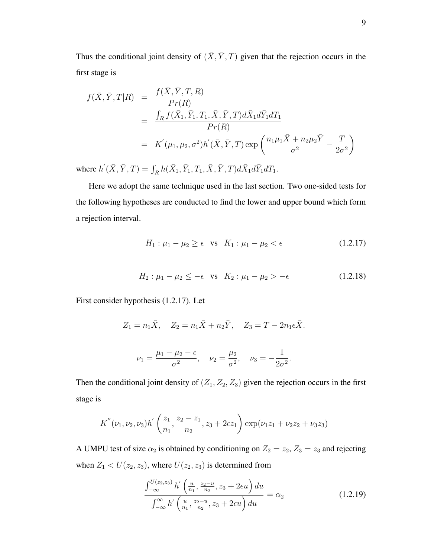Thus the conditional joint density of  $(\bar{X}, \bar{Y}, T)$  given that the rejection occurs in the first stage is

$$
f(\bar{X}, \bar{Y}, T | R) = \frac{f(\bar{X}, \bar{Y}, T, R)}{Pr(R)}
$$
  
= 
$$
\frac{\int_{R} f(\bar{X}_{1}, \bar{Y}_{1}, T_{1}, \bar{X}, \bar{Y}, T) d\bar{X}_{1} d\bar{Y}_{1} dT_{1}}{Pr(R)}
$$
  
= 
$$
K'(\mu_{1}, \mu_{2}, \sigma^{2}) h'(\bar{X}, \bar{Y}, T) \exp\left(\frac{n_{1} \mu_{1} \bar{X} + n_{2} \mu_{2} \bar{Y}}{\sigma^{2}} - \frac{T}{2 \sigma^{2}}\right)
$$

where  $h'(\bar{X}, \bar{Y}, T) = \int_R h(\bar{X}_1, \bar{Y}_1, T_1, \bar{X}, \bar{Y}, T) d\bar{X}_1 d\bar{Y}_1 dT_1$ .

Here we adopt the same technique used in the last section. Two one-sided tests for the following hypotheses are conducted to find the lower and upper bound which form a rejection interval.

$$
H_1: \mu_1 - \mu_2 \ge \epsilon \quad \text{vs} \quad K_1: \mu_1 - \mu_2 < \epsilon \tag{1.2.17}
$$

$$
H_2: \mu_1 - \mu_2 \le -\epsilon \quad \text{vs} \quad K_2: \mu_1 - \mu_2 > -\epsilon \tag{1.2.18}
$$

First consider hypothesis (1.2.17). Let

$$
Z_1 = n_1 \bar{X}, \quad Z_2 = n_1 \bar{X} + n_2 \bar{Y}, \quad Z_3 = T - 2n_1 \epsilon \bar{X}.
$$

$$
\nu_1 = \frac{\mu_1 - \mu_2 - \epsilon}{\sigma^2}, \quad \nu_2 = \frac{\mu_2}{\sigma^2}, \quad \nu_3 = -\frac{1}{2\sigma^2}.
$$

Then the conditional joint density of  $(Z_1, Z_2, Z_3)$  given the rejection occurs in the first stage is

$$
K''(\nu_1, \nu_2, \nu_3)h'\left(\frac{z_1}{n_1}, \frac{z_2-z_1}{n_2}, z_3+2\epsilon z_1\right) \exp(\nu_1 z_1 + \nu_2 z_2 + \nu_3 z_3)
$$

A UMPU test of size  $\alpha_2$  is obtained by conditioning on  $Z_2 = z_2, Z_3 = z_3$  and rejecting when  $Z_1 < U(z_2, z_3)$ , where  $U(z_2, z_3)$  is determined from

$$
\frac{\int_{-\infty}^{U(z_2, z_3)} h'\left(\frac{u}{n_1}, \frac{z_2 - u}{n_2}, z_3 + 2\epsilon u\right) du}{\int_{-\infty}^{\infty} h'\left(\frac{u}{n_1}, \frac{z_2 - u}{n_2}, z_3 + 2\epsilon u\right) du} = \alpha_2
$$
\n(1.2.19)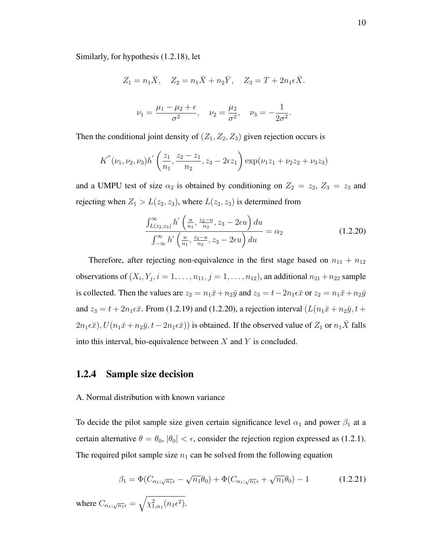Similarly, for hypothesis (1.2.18), let

$$
Z_1 = n_1 \bar{X}, \quad Z_2 = n_1 \bar{X} + n_2 \bar{Y}, \quad Z_3 = T + 2n_1 \epsilon \bar{X}.
$$

$$
\nu_1 = \frac{\mu_1 - \mu_2 + \epsilon}{\sigma^2}, \quad \nu_2 = \frac{\mu_2}{\sigma^2}, \quad \nu_3 = -\frac{1}{2\sigma^2}.
$$

Then the conditional joint density of  $(Z_1, Z_2, Z_3)$  given rejection occurs is

$$
K''(\nu_1, \nu_2, \nu_3)h'\left(\frac{z_1}{n_1}, \frac{z_2-z_1}{n_2}, z_3-2\epsilon z_1\right) \exp(\nu_1 z_1 + \nu_2 z_2 + \nu_3 z_3)
$$

and a UMPU test of size  $\alpha_2$  is obtained by conditioning on  $Z_2 = z_2$ ,  $Z_3 = z_3$  and rejecting when  $Z_1 > L(z_2, z_3)$ , where  $L(z_2, z_3)$  is determined from

$$
\frac{\int_{L(z_2,z_3)}^{\infty} h' \left(\frac{u}{n_1}, \frac{z_2 - u}{n_2}, z_3 - 2\epsilon u\right) du}{\int_{-\infty}^{\infty} h' \left(\frac{u}{n_1}, \frac{z_2 - u}{n_2}, z_3 - 2\epsilon u\right) du} = \alpha_2
$$
\n(1.2.20)

Therefore, after rejecting non-equivalence in the first stage based on  $n_{11} + n_{12}$ observations of  $(X_i, Y_j, i = 1, \ldots, n_{11}, j = 1, \ldots, n_{12})$ , an additional  $n_{21} + n_{22}$  sample is collected. Then the values are  $z_2 = n_1\bar{x} + n_2\bar{y}$  and  $z_3 = t - 2n_1\epsilon\bar{x}$  or  $z_2 = n_1\bar{x} + n_2\bar{y}$ and  $z_3 = t + 2n_1 \epsilon \bar{x}$ . From (1.2.19) and (1.2.20), a rejection interval  $(L(n_1 \bar{x} + n_2 \bar{y}, t +$  $2n_1\epsilon\bar{x}$ ,  $U(n_1\bar{x}+n_2\bar{y},t-2n_1\epsilon\bar{x})$  is obtained. If the observed value of  $Z_1$  or  $n_1\bar{X}$  falls into this interval, bio-equivalence between  $X$  and  $Y$  is concluded.

#### 1.2.4 Sample size decision

#### A. Normal distribution with known variance

To decide the pilot sample size given certain significance level  $\alpha_1$  and power  $\beta_1$  at a certain alternative  $\theta = \theta_0$ ,  $|\theta_0| < \epsilon$ , consider the rejection region expressed as (1.2.1). The required pilot sample size  $n_1$  can be solved from the following equation

$$
\beta_1 = \Phi(C_{\alpha_1;\sqrt{n_1}\epsilon} - \sqrt{n_1}\theta_0) + \Phi(C_{\alpha_1;\sqrt{n_1}\epsilon} + \sqrt{n_1}\theta_0) - 1 \tag{1.2.21}
$$

where  $C_{\alpha_1;\sqrt{n_1}\epsilon} = \sqrt{\chi^2_{1,\alpha_1}(n_1\epsilon^2)}$ .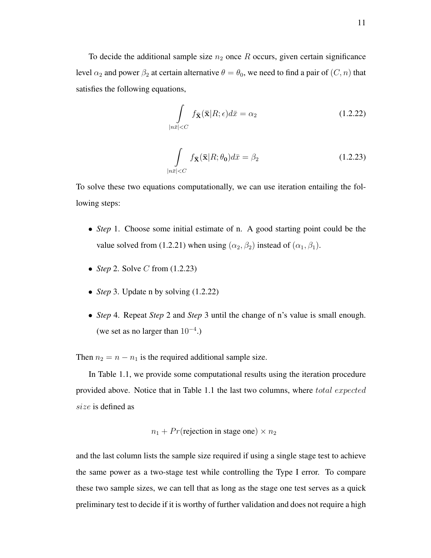To decide the additional sample size  $n_2$  once R occurs, given certain significance level  $\alpha_2$  and power  $\beta_2$  at certain alternative  $\theta = \theta_0$ , we need to find a pair of  $(C, n)$  that satisfies the following equations,

$$
\int\limits_{|n\bar{x}|
$$

$$
\int\limits_{|n\bar{x}|\n(1.2.23)
$$

To solve these two equations computationally, we can use iteration entailing the following steps:

- *Step* 1. Choose some initial estimate of n. A good starting point could be the value solved from (1.2.21) when using  $(\alpha_2, \beta_2)$  instead of  $(\alpha_1, \beta_1)$ .
- *Step* 2. Solve *C* from (1.2.23)
- *Step* 3. Update n by solving (1.2.22)
- *Step* 4. Repeat *Step* 2 and *Step* 3 until the change of n's value is small enough. (we set as no larger than  $10^{-4}$ .)

Then  $n_2 = n - n_1$  is the required additional sample size.

In Table 1.1, we provide some computational results using the iteration procedure provided above. Notice that in Table 1.1 the last two columns, where total expected size is defined as

$$
n_1 + Pr(\text{rejection in stage one}) \times n_2
$$

and the last column lists the sample size required if using a single stage test to achieve the same power as a two-stage test while controlling the Type I error. To compare these two sample sizes, we can tell that as long as the stage one test serves as a quick preliminary test to decide if it is worthy of further validation and does not require a high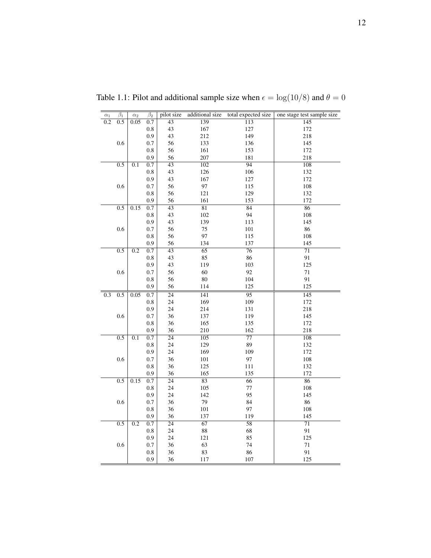| $\alpha_1$       | $\overline{\beta_1}$ | $\alpha_2$       | $\overline{\beta_2}$ | pilot size      | additional size  | total expected size | one stage test sample size |
|------------------|----------------------|------------------|----------------------|-----------------|------------------|---------------------|----------------------------|
| $\overline{0.2}$ | $\overline{0.5}$     | 0.05             | $\overline{0.7}$     | $\overline{43}$ | 139              | $\overline{113}$    | 145                        |
|                  |                      |                  | $0.8\,$              | 43              | 167              | 127                 | 172                        |
|                  |                      |                  | 0.9                  | 43              | 212              | 149                 | 218                        |
|                  | 0.6                  |                  | 0.7                  | 56              | 133              | 136                 | 145                        |
|                  |                      |                  | 0.8                  | 56              | 161              | 153                 | 172                        |
|                  |                      |                  | 0.9                  | 56              | 207              | 181                 | 218                        |
|                  | 0.5                  | 0.1              | 0.7                  | $\overline{43}$ | 102              | 94                  | 108                        |
|                  |                      |                  | 0.8                  | 43              | 126              | 106                 | 132                        |
|                  |                      |                  | 0.9                  | 43              | 167              | 127                 | 172                        |
|                  | 0.6                  |                  | 0.7                  | 56              | 97               | 115                 | 108                        |
|                  |                      |                  | 0.8                  | 56              | 121              | 129                 | 132                        |
|                  |                      |                  | 0.9                  | 56              | 161              | 153                 | 172                        |
|                  | 0.5                  | 0.15             | $\overline{0.7}$     | $\overline{43}$ | $\overline{81}$  | 84                  | $\overline{86}$            |
|                  |                      |                  | 0.8                  | 43              | 102              | 94                  | 108                        |
|                  |                      |                  | 0.9                  | 43              | 139              | 113                 | 145                        |
|                  | 0.6                  |                  | 0.7                  | 56              | 75               | 101                 | 86                         |
|                  |                      |                  | $0.8\,$              | 56              | 97               | 115                 | 108                        |
|                  |                      |                  | 0.9                  | 56              | 134              | 137                 | 145                        |
|                  | 0.5                  | 0.2              | 0.7                  | $\overline{43}$ | 65               | 76                  | $\overline{71}$            |
|                  |                      |                  | $\rm 0.8$            | 43              | 85               | 86                  | 91                         |
|                  |                      |                  | 0.9                  | 43              | 119              | 103                 | 125                        |
|                  | 0.6                  |                  | 0.7                  | 56              | 60               | 92                  | $71\,$                     |
|                  |                      |                  | 0.8                  | 56              | 80               | 104                 | 91                         |
|                  |                      |                  | 0.9                  | 56              | 114              | 125                 | 125                        |
| 0.3              | 0.5                  | 0.05             | 0.7                  | $\overline{24}$ | 141              | 95                  | $\overline{145}$           |
|                  |                      |                  | $0.8\,$              | 24              | 169              | 109                 | 172                        |
|                  |                      |                  | 0.9                  | 24              | 214              | 131                 | 218                        |
|                  | 0.6                  |                  | 0.7                  | 36              | 137              | 119                 | 145                        |
|                  |                      |                  | 0.8                  | 36              | 165              | 135                 | 172                        |
|                  |                      |                  | 0.9                  | 36              | 210              | 162                 | 218                        |
|                  | $\overline{0.5}$     | 0.1              | $\overline{0.7}$     | $\overline{24}$ | $\overline{105}$ | $\overline{77}$     | $\overline{108}$           |
|                  |                      |                  | 0.8                  | 24              | 129              | 89                  | 132                        |
|                  |                      |                  | 0.9                  | 24              | 169              | 109                 | 172                        |
|                  | 0.6                  |                  | 0.7                  | 36              | 101              | 97                  | 108                        |
|                  |                      |                  | 0.8                  | 36              | 125              | 111                 | 132                        |
|                  |                      |                  | 0.9                  | 36              | 165              | 135                 | 172                        |
|                  | 0.5                  | 0.15             | 0.7                  | $\overline{24}$ | 83               | 66                  | 86                         |
|                  |                      |                  | 0.8                  | 24              | 105              | 77                  | 108                        |
|                  |                      |                  | 0.9                  | 24              | 142              | 95                  | 145                        |
|                  | 0.6                  |                  | 0.7                  | 36              | 79               | 84                  | 86                         |
|                  |                      |                  | $0.8\,$              | 36              | 101              | 97                  | 108                        |
|                  |                      |                  | 0.9                  | 36              | 137              | 119                 | 145                        |
|                  | $\overline{0.5}$     | $\overline{0.2}$ | 0.7                  | $\overline{24}$ | $\overline{67}$  | $\overline{58}$     | $\overline{71}$            |
|                  |                      |                  | 0.8                  | 24              | 88               | 68                  | 91                         |
|                  |                      |                  | 0.9                  | 24              | 121              | 85                  | 125                        |
|                  | 0.6                  |                  | 0.7                  | 36              | 63               | 74                  | $71\,$                     |
|                  |                      |                  | $\rm 0.8$            | 36              | 83               | 86                  | 91                         |
|                  |                      |                  | 0.9                  | 36              | 117              | 107                 | 125                        |

Table 1.1: Pilot and additional sample size when  $\epsilon = \log(10/8)$  and  $\theta = 0$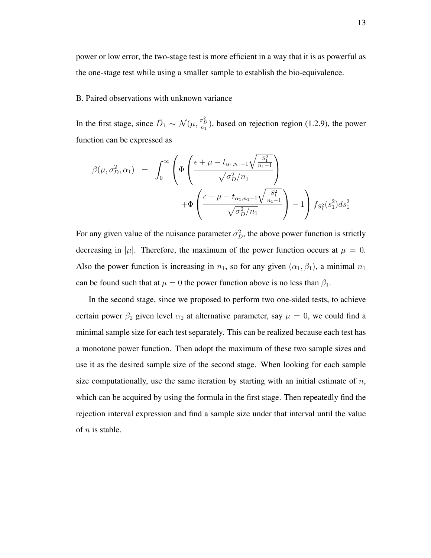power or low error, the two-stage test is more efficient in a way that it is as powerful as the one-stage test while using a smaller sample to establish the bio-equivalence.

#### B. Paired observations with unknown variance

In the first stage, since  $\bar{D}_1 \sim \mathcal{N}(\mu, \frac{\sigma_D^2}{n_1})$ , based on rejection region (1.2.9), the power function can be expressed as

$$
\beta(\mu, \sigma_D^2, \alpha_1) = \int_0^\infty \left( \Phi \left( \frac{\epsilon + \mu - t_{\alpha_1, n_1 - 1} \sqrt{\frac{S_1^2}{n_1 - 1}}}{\sqrt{\sigma_D^2 / n_1}} \right) + \Phi \left( \frac{\epsilon - \mu - t_{\alpha_1, n_1 - 1} \sqrt{\frac{S_1^2}{n_1 - 1}}}{\sqrt{\sigma_D^2 / n_1}} \right) - 1 \right) f_{S_1^2}(s_1^2) ds_1^2
$$

For any given value of the nuisance parameter  $\sigma_D^2$ , the above power function is strictly decreasing in  $|\mu|$ . Therefore, the maximum of the power function occurs at  $\mu = 0$ . Also the power function is increasing in  $n_1$ , so for any given  $(\alpha_1, \beta_1)$ , a minimal  $n_1$ can be found such that at  $\mu = 0$  the power function above is no less than  $\beta_1$ .

In the second stage, since we proposed to perform two one-sided tests, to achieve certain power  $\beta_2$  given level  $\alpha_2$  at alternative parameter, say  $\mu = 0$ , we could find a minimal sample size for each test separately. This can be realized because each test has a monotone power function. Then adopt the maximum of these two sample sizes and use it as the desired sample size of the second stage. When looking for each sample size computationally, use the same iteration by starting with an initial estimate of  $n$ , which can be acquired by using the formula in the first stage. Then repeatedly find the rejection interval expression and find a sample size under that interval until the value of  $n$  is stable.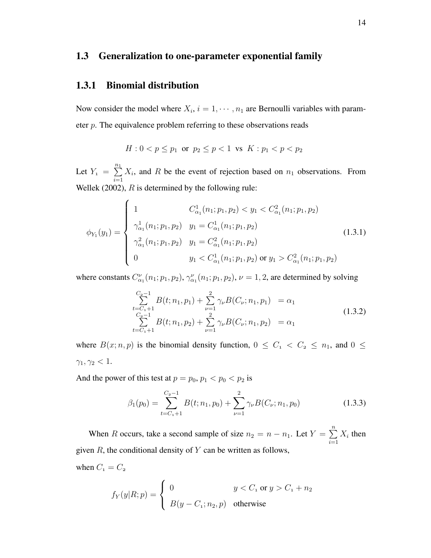## 1.3 Generalization to one-parameter exponential family

## 1.3.1 Binomial distribution

Now consider the model where  $X_i$ ,  $i = 1, \dots, n_1$  are Bernoulli variables with parameter p. The equivalence problem referring to these observations reads

$$
H: 0 < p \le p_1 \text{ or } p_2 \le p < 1 \text{ vs } K: p_1 < p < p_2
$$

Let  $Y_1 = \sum_{1}^{n_1}$  $i=1$  $X_i$ , and R be the event of rejection based on  $n_1$  observations. From Wellek (2002),  $R$  is determined by the following rule:

$$
\phi_{Y_1}(y_1) = \begin{cases}\n1 & C_{\alpha_1}^1(n_1; p_1, p_2) < y_1 < C_{\alpha_1}^2(n_1; p_1, p_2) \\
\gamma_{\alpha_1}^1(n_1; p_1, p_2) & y_1 = C_{\alpha_1}^1(n_1; p_1, p_2) \\
\gamma_{\alpha_1}^2(n_1; p_1, p_2) & y_1 = C_{\alpha_1}^2(n_1; p_1, p_2) \\
0 & y_1 < C_{\alpha_1}^1(n_1; p_1, p_2) \text{ or } y_1 > C_{\alpha_1}^2(n_1; p_1, p_2)\n\end{cases} \tag{1.3.1}
$$

where constants  $C_{\alpha_1}^{\nu}(n_1; p_1, p_2), \gamma_{\alpha_1}^{\nu}(n_1; p_1, p_2), \nu = 1, 2$ , are determined by solving

$$
\sum_{t=C_1+1}^{C_2-1} B(t; n_1, p_1) + \sum_{\nu=1}^{2} \gamma_{\nu} B(C_{\nu}; n_1, p_1) = \alpha_1
$$
\n
$$
\sum_{t=C_2-1}^{C_2-1} B(t; n_1, p_2) + \sum_{\nu=1}^{2} \gamma_{\nu} B(C_{\nu}; n_1, p_2) = \alpha_1
$$
\n(1.3.2)

where  $B(x; n, p)$  is the binomial density function,  $0 \le C_1 < C_2 \le n_1$ , and  $0 \le$  $\gamma_1, \gamma_2 < 1.$ 

And the power of this test at  $p = p_0, p_1 < p_0 < p_2$  is

$$
\beta_1(p_0) = \sum_{t=C_1+1}^{C_2-1} B(t; n_1, p_0) + \sum_{\nu=1}^2 \gamma_{\nu} B(C_{\nu}; n_1, p_0)
$$
\n(1.3.3)

When R occurs, take a second sample of size  $n_2 = n - n_1$ . Let  $Y = \sum_{n=1}^{n}$  $i=1$  $X_i$  then given  $R$ , the conditional density of  $Y$  can be written as follows,

when  $C_1 = C_2$ 

$$
f_Y(y|R; p) = \begin{cases} 0 & y < C_1 \text{ or } y > C_1 + n_2 \\ B(y - C_1; n_2, p) & \text{otherwise} \end{cases}
$$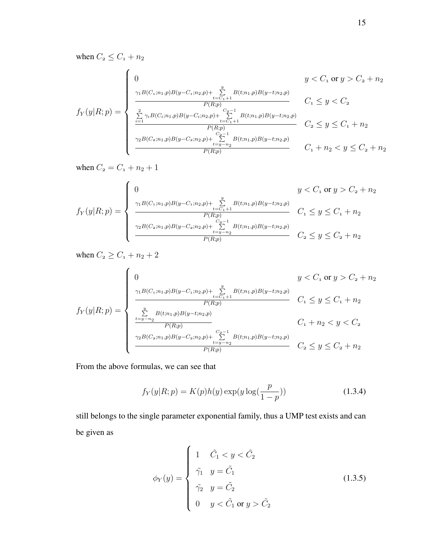when  $C_2 \leq C_1 + n_2$ 

$$
f_{Y}(y|R; p) = \begin{cases} 0 & y < C_{1} \text{ or } y > C_{2} + n_{2} \\ \frac{\gamma_{1}B(C_{1};n_{1},p)B(y-C_{1};n_{2},p) + \sum\limits_{t=C_{1}+1}^{y} B(t;n_{1},p)B(y-t;n_{2},p)}{P(R;p)} & C_{1} \leq y < C_{2} \\ \frac{\sum\limits_{i=1}^{2} \gamma_{i}B(C_{i};n_{1},p)B(y-C_{i};n_{2},p) + \sum\limits_{t=C_{1}+1}^{C_{2}-1} B(t;n_{1},p)B(y-t;n_{2},p)}{P(R;p)} & C_{2} \leq y \leq C_{1} + n_{2} \\ \frac{\gamma_{2}B(C_{2};n_{1},p)B(y-C_{2};n_{2},p) + \sum\limits_{t=y-n_{2}}^{C_{2}-1} B(t;n_{1},p)B(y-t;n_{2},p)}{P(R;p)} & C_{1} + n_{2} < y \leq C_{2} + n_{2} \end{cases}
$$

when  $C_2 = C_1 + n_2 + 1$ 

$$
f_Y(y|R; p) = \begin{cases} 0 & y < C_1 \text{ or } y > C_2 + n_2 \\ \frac{\gamma_1 B(C_1; n_1, p)B(y - C_1; n_2, p) + \sum\limits_{t = C_1 + 1}^{y} B(t; n_1, p)B(y - t; n_2, p)}{P(R; p)} & C_1 \le y \le C_1 + n_2 \\ \frac{\gamma_2 B(C_2; n_1, p)B(y - C_2; n_2, p) + \sum\limits_{t = y - n_2}^{C_2 - 1} B(t; n_1, p)B(y - t; n_2, p)}{P(R; p)} & C_2 \le y \le C_2 + n_2 \end{cases}
$$

when  $C_2 \ge C_1 + n_2 + 2$ 

$$
f_{Y}(y|R;p) = \begin{cases} 0 & y < C_1 \text{ or } y > C_2 + n_2 \\ \frac{\gamma_1 B(C_1; n_1, p)B(y-C_1; n_2, p) + \sum\limits_{t=C_1+1}^{y} B(t; n_1, p)B(y-t; n_2, p)}{P(R;p)} & C_1 \leq y \leq C_1 + n_2 \\ \frac{\sum\limits_{t=y-n_2}^{y} B(t; n_1, p)B(y-t; n_2, p)}{P(R;p)} & C_1 + n_2 < y < C_2 \\ \frac{\gamma_2 B(C_2; n_1, p)B(y-C_2; n_2, p) + \sum\limits_{t=y-n_2}^{C_2-1} B(t; n_1, p)B(y-t; n_2, p)}{P(R;p)} & C_2 \leq y \leq C_2 + n_2 \end{cases}
$$

From the above formulas, we can see that

$$
f_Y(y|R; p) = K(p)h(y) \exp(y \log(\frac{p}{1-p}))
$$
\n(1.3.4)

still belongs to the single parameter exponential family, thus a UMP test exists and can be given as

$$
\phi_Y(y) = \begin{cases}\n1 & \tilde{C}_1 < y < \tilde{C}_2 \\
\tilde{\gamma}_1 & y = \tilde{C}_1 \\
\tilde{\gamma}_2 & y = \tilde{C}_2 \\
0 & y < \tilde{C}_1 \text{ or } y > \tilde{C}_2\n\end{cases} \tag{1.3.5}
$$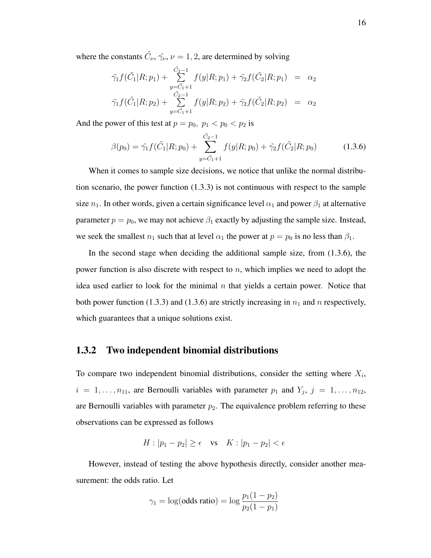where the constants  $\tilde{C}_{\nu}$ ,  $\tilde{\gamma}_{\nu}$ ,  $\nu = 1, 2$ , are determined by solving

$$
\tilde{\gamma}_1 f(\tilde{C}_1 | R; p_1) + \sum_{y=\tilde{C}_1+1}^{\tilde{C}_2-1} f(y | R; p_1) + \tilde{\gamma}_2 f(\tilde{C}_2 | R; p_1) = \alpha_2 \n\tilde{\gamma}_1 f(\tilde{C}_1 | R; p_2) + \sum_{y=\tilde{C}_1+1}^{\tilde{C}_2-1} f(y | R; p_2) + \tilde{\gamma}_2 f(\tilde{C}_2 | R; p_2) = \alpha_2
$$

And the power of this test at  $p = p_0$ ,  $p_1 < p_0 < p_2$  is

$$
\beta(p_0) = \tilde{\gamma}_1 f(\tilde{C}_1 | R; p_0) + \sum_{y=\tilde{C}_1+1}^{\tilde{C}_2-1} f(y | R; p_0) + \tilde{\gamma}_2 f(\tilde{C}_2 | R; p_0)
$$
(1.3.6)

When it comes to sample size decisions, we notice that unlike the normal distribution scenario, the power function  $(1.3.3)$  is not continuous with respect to the sample size  $n_1$ . In other words, given a certain significance level  $\alpha_1$  and power  $\beta_1$  at alternative parameter  $p = p_0$ , we may not achieve  $\beta_1$  exactly by adjusting the sample size. Instead, we seek the smallest  $n_1$  such that at level  $\alpha_1$  the power at  $p = p_0$  is no less than  $\beta_1$ .

In the second stage when deciding the additional sample size, from (1.3.6), the power function is also discrete with respect to  $n$ , which implies we need to adopt the idea used earlier to look for the minimal  $n$  that yields a certain power. Notice that both power function (1.3.3) and (1.3.6) are strictly increasing in  $n_1$  and n respectively, which guarantees that a unique solutions exist.

#### 1.3.2 Two independent binomial distributions

To compare two independent binomial distributions, consider the setting where  $X_i$ ,  $i = 1, \ldots, n_{11}$ , are Bernoulli variables with parameter  $p_1$  and  $Y_j$ ,  $j = 1, \ldots, n_{12}$ , are Bernoulli variables with parameter  $p_2$ . The equivalence problem referring to these observations can be expressed as follows

$$
H: |p_1 - p_2| \ge \epsilon \quad \text{vs} \quad K: |p_1 - p_2| < \epsilon
$$

However, instead of testing the above hypothesis directly, consider another measurement: the odds ratio. Let

$$
\gamma_1 = \log(\text{odds ratio}) = \log \frac{p_1(1 - p_2)}{p_2(1 - p_1)}
$$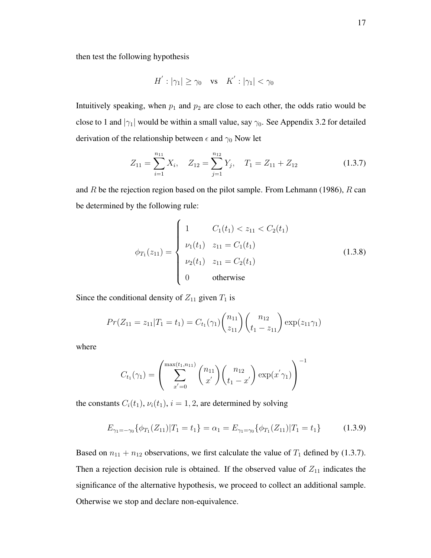then test the following hypothesis

$$
H^{'}: |\gamma_1| \ge \gamma_0 \quad \text{vs} \quad K^{'}: |\gamma_1| < \gamma_0
$$

Intuitively speaking, when  $p_1$  and  $p_2$  are close to each other, the odds ratio would be close to 1 and  $|\gamma_1|$  would be within a small value, say  $\gamma_0$ . See Appendix 3.2 for detailed derivation of the relationship between  $\epsilon$  and  $\gamma_0$  Now let

$$
Z_{11} = \sum_{i=1}^{n_{11}} X_i, \quad Z_{12} = \sum_{j=1}^{n_{12}} Y_j, \quad T_1 = Z_{11} + Z_{12}
$$
 (1.3.7)

and  $R$  be the rejection region based on the pilot sample. From Lehmann (1986),  $R$  can be determined by the following rule:

$$
\phi_{T_1}(z_{11}) = \begin{cases}\n1 & C_1(t_1) < z_{11} < C_2(t_1) \\
\nu_1(t_1) & z_{11} = C_1(t_1) \\
\nu_2(t_1) & z_{11} = C_2(t_1) \\
0 & \text{otherwise}\n\end{cases} \tag{1.3.8}
$$

Since the conditional density of  $Z_{11}$  given  $T_1$  is

$$
Pr(Z_{11} = z_{11} | T_1 = t_1) = C_{t_1}(\gamma_1) {n_{11} \choose z_{11}} {n_{12} \choose t_1 - z_{11}} \exp(z_{11}\gamma_1)
$$

where

$$
C_{t_1}(\gamma_1) = \left(\sum_{x'=0}^{\max(t_1, n_{11})} \binom{n_{11}}{x'} \binom{n_{12}}{t_1 - x'} \exp(x' \gamma_1)\right)^{-1}
$$

the constants  $C_i(t_1)$ ,  $\nu_i(t_1)$ ,  $i = 1, 2$ , are determined by solving

$$
E_{\gamma_1 = -\gamma_0} \{ \phi_{T_1}(Z_{11}) | T_1 = t_1 \} = \alpha_1 = E_{\gamma_1 = \gamma_0} \{ \phi_{T_1}(Z_{11}) | T_1 = t_1 \}
$$
(1.3.9)

Based on  $n_{11} + n_{12}$  observations, we first calculate the value of  $T_1$  defined by (1.3.7). Then a rejection decision rule is obtained. If the observed value of  $Z_{11}$  indicates the significance of the alternative hypothesis, we proceed to collect an additional sample. Otherwise we stop and declare non-equivalence.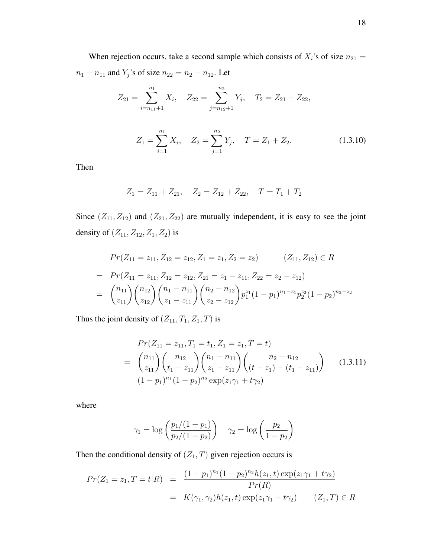When rejection occurs, take a second sample which consists of  $X_i$ 's of size  $n_{21} =$  $n_1 - n_{11}$  and  $Y_j$ 's of size  $n_{22} = n_2 - n_{12}$ . Let

$$
Z_{21} = \sum_{i=n_{11}+1}^{n_1} X_i, \quad Z_{22} = \sum_{j=n_{12}+1}^{n_2} Y_j, \quad T_2 = Z_{21} + Z_{22},
$$

$$
Z_1 = \sum_{i=1}^{n_1} X_i, \quad Z_2 = \sum_{j=1}^{n_2} Y_j, \quad T = Z_1 + Z_2.
$$
 (1.3.10)

Then

$$
Z_1 = Z_{11} + Z_{21}, \quad Z_2 = Z_{12} + Z_{22}, \quad T = T_1 + T_2
$$

Since  $(Z_{11}, Z_{12})$  and  $(Z_{21}, Z_{22})$  are mutually independent, it is easy to see the joint density of  $\left(Z_{11}, Z_{12}, Z_1, Z_2\right)$  is

$$
Pr(Z_{11} = z_{11}, Z_{12} = z_{12}, Z_1 = z_1, Z_2 = z_2) \qquad (Z_{11}, Z_{12}) \in R
$$
  
= 
$$
Pr(Z_{11} = z_{11}, Z_{12} = z_{12}, Z_{21} = z_1 - z_{11}, Z_{22} = z_2 - z_{12})
$$
  
= 
$$
{\binom{n_{11}}{z_{11}}} {\binom{n_{12}}{z_{12}}} {\binom{n_1 - n_{11}}{z_1 - z_{11}}} {\binom{n_2 - n_{12}}{z_2 - z_{12}}} p_1^{z_1} (1 - p_1)^{n_1 - z_1} p_2^{z_2} (1 - p_2)^{n_2 - z_2}
$$

Thus the joint density of  $\left(Z_{11}, T_1, Z_1, T\right)$  is

$$
Pr(Z_{11} = z_{11}, T_1 = t_1, Z_1 = z_1, T = t)
$$
  
=  $\binom{n_{11}}{z_{11}} \binom{n_{12}}{t_1 - z_{11}} \binom{n_1 - n_{11}}{z_1 - z_{11}} \binom{n_2 - n_{12}}{(t - z_1) - (t_1 - z_{11})}$  (1.3.11)  
 $(1 - p_1)^{n_1} (1 - p_2)^{n_2} \exp(z_1 \gamma_1 + t \gamma_2)$ 

where

$$
\gamma_1 = \log \left( \frac{p_1/(1-p_1)}{p_2/(1-p_2)} \right) \quad \gamma_2 = \log \left( \frac{p_2}{1-p_2} \right)
$$

Then the conditional density of  $(Z_1, T)$  given rejection occurs is

$$
Pr(Z_1 = z_1, T = t | R) = \frac{(1 - p_1)^{n_1} (1 - p_2)^{n_2} h(z_1, t) \exp(z_1 \gamma_1 + t \gamma_2)}{Pr(R)}
$$
  
=  $K(\gamma_1, \gamma_2) h(z_1, t) \exp(z_1 \gamma_1 + t \gamma_2)$   $(Z_1, T) \in R$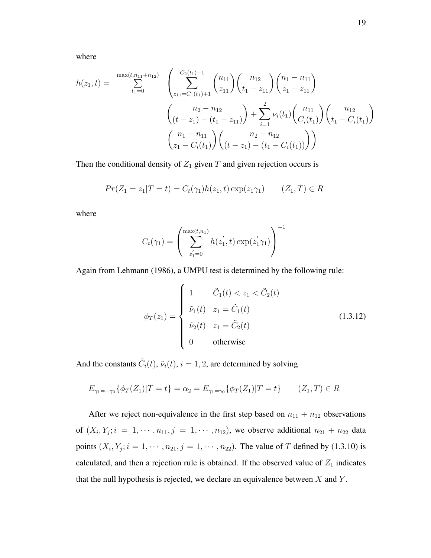where

$$
h(z_1, t) = \sum_{t_1=0}^{\max(t, n_{11}+n_{12})} \left( \sum_{z_{11}=C_1(t_1)+1}^{C_2(t_1)-1} {n_{11} \choose z_{11}} {n_{12} \choose t_1 - z_{11}} {n_{12} \choose z_1 - z_{11}} \right)
$$

$$
\left( \frac{n_2 - n_{12}}{(t - z_1) - (t_1 - z_{11})} \right) + \sum_{i=1}^2 \nu_i(t_1) {n_{11} \choose C_i(t_1)} {n_{12} \choose t_1 - C_i(t_1)}
$$

$$
\left( \frac{n_1 - n_{11}}{z_1 - C_i(t_1)} \right) {n_2 - n_{12} \choose t_1 - t_1 - C_i(t_1)} \right)
$$

Then the conditional density of  $Z_1$  given  $T$  and given rejection occurs is

$$
Pr(Z_1 = z_1 | T = t) = C_t(\gamma_1) h(z_1, t) \exp(z_1 \gamma_1) \qquad (Z_1, T) \in R
$$

where

$$
C_t(\gamma_1) = \left(\sum_{z_1'=0}^{\max(t, n_1)} h(z_1', t) \exp(z_1' \gamma_1)\right)^{-1}
$$

Again from Lehmann (1986), a UMPU test is determined by the following rule:

$$
\phi_T(z_1) = \begin{cases}\n1 & \tilde{C}_1(t) < z_1 < \tilde{C}_2(t) \\
\tilde{\nu}_1(t) & z_1 = \tilde{C}_1(t) \\
\tilde{\nu}_2(t) & z_1 = \tilde{C}_2(t) \\
0 & \text{otherwise}\n\end{cases} \tag{1.3.12}
$$

And the constants  $\tilde{C}_i(t)$ ,  $\tilde{\nu}_i(t)$ ,  $i = 1, 2$ , are determined by solving

$$
E_{\gamma_1 = -\gamma_0} \{ \phi_T(Z_1) | T = t \} = \alpha_2 = E_{\gamma_1 = \gamma_0} \{ \phi_T(Z_1) | T = t \} \qquad (Z_1, T) \in R
$$

After we reject non-equivalence in the first step based on  $n_{11} + n_{12}$  observations of  $(X_i, Y_j; i = 1, \dots, n_{11}, j = 1, \dots, n_{12})$ , we observe additional  $n_{21} + n_{22}$  data points  $(X_i, Y_j; i = 1, \dots, n_{21}, j = 1, \dots, n_{22})$ . The value of T defined by (1.3.10) is calculated, and then a rejection rule is obtained. If the observed value of  $Z_1$  indicates that the null hypothesis is rejected, we declare an equivalence between  $X$  and  $Y$ .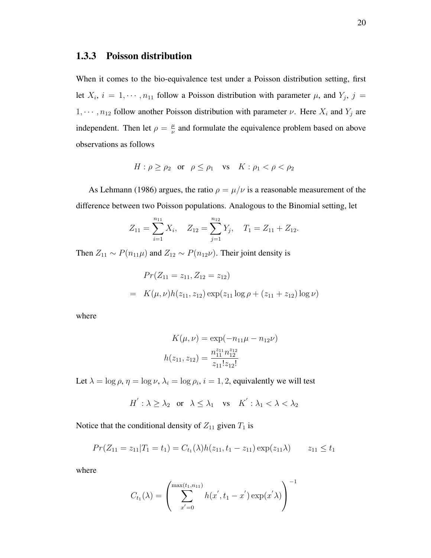## 1.3.3 Poisson distribution

When it comes to the bio-equivalence test under a Poisson distribution setting, first let  $X_i$ ,  $i = 1, \dots, n_{11}$  follow a Poisson distribution with parameter  $\mu$ , and  $Y_j$ ,  $j =$  $1, \dots, n_{12}$  follow another Poisson distribution with parameter  $\nu$ . Here  $X_i$  and  $Y_j$  are independent. Then let  $\rho = \frac{\mu}{\nu}$  $\frac{\mu}{\nu}$  and formulate the equivalence problem based on above observations as follows

$$
H: \rho \ge \rho_2 \quad \text{or} \quad \rho \le \rho_1 \quad \text{vs} \quad K: \rho_1 < \rho < \rho_2
$$

As Lehmann (1986) argues, the ratio  $\rho = \mu/\nu$  is a reasonable measurement of the difference between two Poisson populations. Analogous to the Binomial setting, let

$$
Z_{11} = \sum_{i=1}^{n_{11}} X_i, \quad Z_{12} = \sum_{j=1}^{n_{12}} Y_j, \quad T_1 = Z_{11} + Z_{12}.
$$

Then  $Z_{11} \sim P(n_{11}\mu)$  and  $Z_{12} \sim P(n_{12}\nu)$ . Their joint density is

$$
Pr(Z_{11} = z_{11}, Z_{12} = z_{12})
$$
  
=  $K(\mu, \nu)h(z_{11}, z_{12}) \exp(z_{11} \log \rho + (z_{11} + z_{12}) \log \nu)$ 

where

$$
K(\mu, \nu) = \exp(-n_{11}\mu - n_{12}\nu)
$$

$$
h(z_{11}, z_{12}) = \frac{n_{11}^{z_{11}}n_{12}^{z_{12}}}{z_{11}!z_{12}!}
$$

Let  $\lambda = \log \rho$ ,  $\eta = \log \nu$ ,  $\lambda_i = \log \rho_i$ ,  $i = 1, 2$ , equivalently we will test

$$
H^{'}: \lambda \geq \lambda_2 \quad \text{or} \quad \lambda \leq \lambda_1 \quad \text{vs} \quad K^{'}: \lambda_1 < \lambda < \lambda_2
$$

Notice that the conditional density of  $Z_{11}$  given  $T_1$  is

$$
Pr(Z_{11} = z_{11} | T_1 = t_1) = C_{t_1}(\lambda)h(z_{11}, t_1 - z_{11})\exp(z_{11}\lambda) \qquad z_{11} \le t_1
$$

where

$$
C_{t_1}(\lambda) = \left(\sum_{x'=0}^{\max(t_1, n_{11})} h(x', t_1 - x') \exp(x' \lambda)\right)^{-1}
$$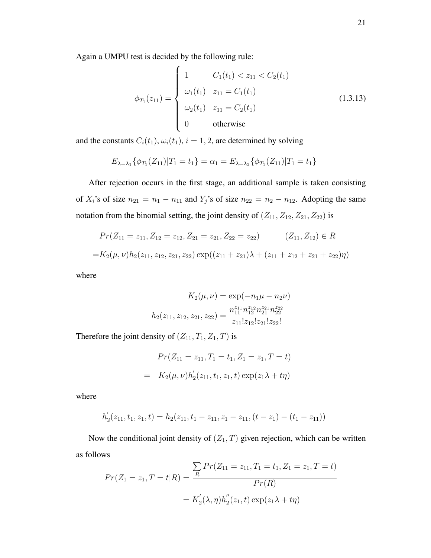Again a UMPU test is decided by the following rule:

$$
\phi_{T_1}(z_{11}) = \begin{cases}\n1 & C_1(t_1) < z_{11} < C_2(t_1) \\
\omega_1(t_1) & z_{11} = C_1(t_1) \\
\omega_2(t_1) & z_{11} = C_2(t_1) \\
0 & \text{otherwise}\n\end{cases} \tag{1.3.13}
$$

and the constants  $C_i(t_1)$ ,  $\omega_i(t_1)$ ,  $i = 1, 2$ , are determined by solving

$$
E_{\lambda=\lambda_1}\{\phi_{T_1}(Z_{11})|T_1=t_1\}=\alpha_1=E_{\lambda=\lambda_2}\{\phi_{T_1}(Z_{11})|T_1=t_1\}
$$

After rejection occurs in the first stage, an additional sample is taken consisting of  $X_i$ 's of size  $n_{21} = n_1 - n_{11}$  and  $Y_j$ 's of size  $n_{22} = n_2 - n_{12}$ . Adopting the same notation from the binomial setting, the joint density of  $(Z_{11}, Z_{12}, Z_{21}, Z_{22})$  is

$$
Pr(Z_{11} = z_{11}, Z_{12} = z_{12}, Z_{21} = z_{21}, Z_{22} = z_{22}) \t (Z_{11}, Z_{12}) \in R
$$
  
= $K_2(\mu, \nu)h_2(z_{11}, z_{12}, z_{21}, z_{22}) \exp((z_{11} + z_{21})\lambda + (z_{11} + z_{12} + z_{21} + z_{22})\eta)$ 

where

$$
K_2(\mu, \nu) = \exp(-n_1\mu - n_2\nu)
$$

$$
h_2(z_{11}, z_{12}, z_{21}, z_{22}) = \frac{n_{11}^{z_{11}}n_{12}^{z_{12}}n_{21}^{z_{21}}n_{22}^{z_{22}}}{z_{11}!z_{12}!z_{21}!z_{22}!}
$$

Therefore the joint density of  $(Z_{11}, T_1, Z_1, T)$  is

$$
Pr(Z_{11} = z_{11}, T_1 = t_1, Z_1 = z_1, T = t)
$$

$$
= K_2(\mu, \nu) h_2'(z_{11}, t_1, z_1, t) \exp(z_1 \lambda + t \eta)
$$

where

$$
h'_2(z_{11}, t_1, z_1, t) = h_2(z_{11}, t_1 - z_{11}, z_1 - z_{11}, (t - z_1) - (t_1 - z_{11}))
$$

Now the conditional joint density of  $(Z_1, T)$  given rejection, which can be written as follows

$$
Pr(Z_1 = z_1, T = t | R) = \frac{\sum_{R} Pr(Z_{11} = z_{11}, T_1 = t_1, Z_1 = z_1, T = t)}{Pr(R)}
$$

$$
= K_2'(\lambda, \eta) h_2''(z_1, t) \exp(z_1 \lambda + t \eta)
$$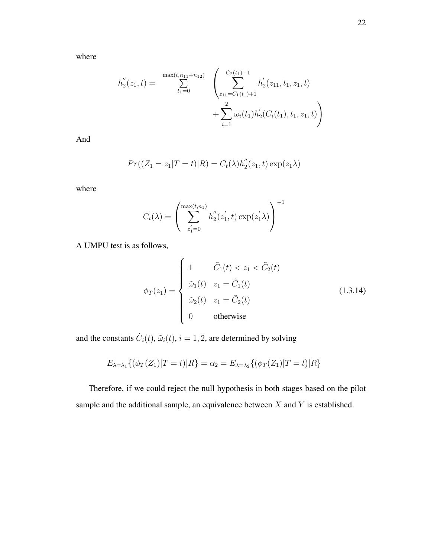$$
h''_2(z_1, t) = \sum_{t_1=0}^{\max(t, n_{11}+n_{12})} \left( \sum_{z_{11}=C_1(t_1)+1}^{C_2(t_1)-1} h'_2(z_{11}, t_1, z_1, t) + \sum_{i=1}^2 \omega_i(t_1) h'_2(C_i(t_1), t_1, z_1, t) \right)
$$

And

$$
Pr((Z_1 = z_1 | T = t) | R) = C_t(\lambda) h_2''(z_1, t) \exp(z_1 \lambda)
$$

where

$$
C_t(\lambda) = \left(\sum_{z_1'=0}^{\max(t, n_1)} h_2''(z_1', t) \exp(z_1' \lambda)\right)^{-1}
$$

A UMPU test is as follows,

$$
\phi_T(z_1) = \begin{cases}\n1 & \tilde{C}_1(t) < z_1 < \tilde{C}_2(t) \\
\tilde{\omega}_1(t) & z_1 = \tilde{C}_1(t) \\
\tilde{\omega}_2(t) & z_1 = \tilde{C}_2(t) \\
0 & \text{otherwise}\n\end{cases} \tag{1.3.14}
$$

and the constants  $\tilde{C}_i(t)$ ,  $\tilde{\omega}_i(t)$ ,  $i = 1, 2$ , are determined by solving

$$
E_{\lambda=\lambda_1}\{(\phi_T(Z_1)|T=t)|R\} = \alpha_2 = E_{\lambda=\lambda_2}\{(\phi_T(Z_1)|T=t)|R\}
$$

Therefore, if we could reject the null hypothesis in both stages based on the pilot sample and the additional sample, an equivalence between  $X$  and  $Y$  is established.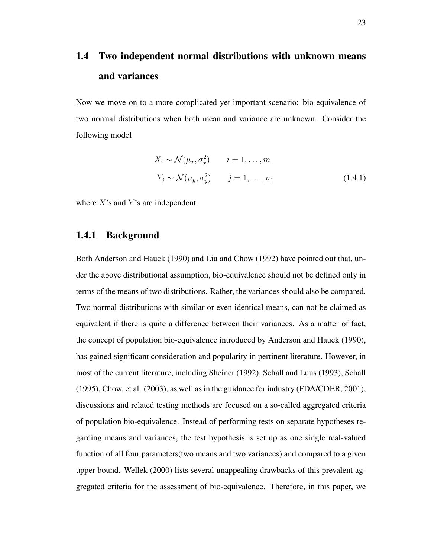# 1.4 Two independent normal distributions with unknown means and variances

Now we move on to a more complicated yet important scenario: bio-equivalence of two normal distributions when both mean and variance are unknown. Consider the following model

$$
X_i \sim \mathcal{N}(\mu_x, \sigma_x^2) \qquad i = 1, \dots, m_1
$$
  

$$
Y_j \sim \mathcal{N}(\mu_y, \sigma_y^2) \qquad j = 1, \dots, n_1
$$
 (1.4.1)

where  $X$ 's and  $Y$ 's are independent.

## 1.4.1 Background

Both Anderson and Hauck (1990) and Liu and Chow (1992) have pointed out that, under the above distributional assumption, bio-equivalence should not be defined only in terms of the means of two distributions. Rather, the variances should also be compared. Two normal distributions with similar or even identical means, can not be claimed as equivalent if there is quite a difference between their variances. As a matter of fact, the concept of population bio-equivalence introduced by Anderson and Hauck (1990), has gained significant consideration and popularity in pertinent literature. However, in most of the current literature, including Sheiner (1992), Schall and Luus (1993), Schall (1995), Chow, et al. (2003), as well as in the guidance for industry (FDA/CDER, 2001), discussions and related testing methods are focused on a so-called aggregated criteria of population bio-equivalence. Instead of performing tests on separate hypotheses regarding means and variances, the test hypothesis is set up as one single real-valued function of all four parameters(two means and two variances) and compared to a given upper bound. Wellek (2000) lists several unappealing drawbacks of this prevalent aggregated criteria for the assessment of bio-equivalence. Therefore, in this paper, we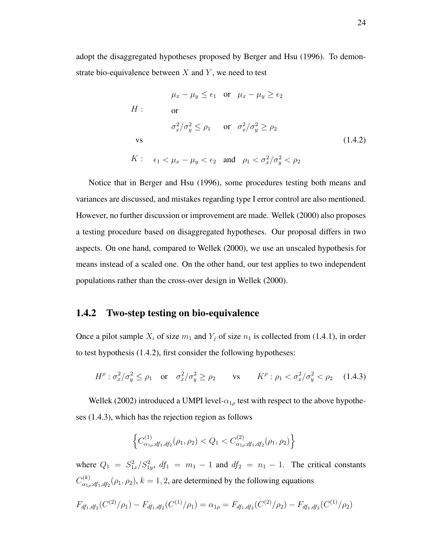adopt the disaggregated hypotheses proposed by Berger and Hsu (1996). To demonstrate bio-equivalence between  $X$  and  $Y$ , we need to test

$$
\mu_x - \mu_y \le \epsilon_1 \quad \text{or} \quad \mu_x - \mu_y \ge \epsilon_2
$$
  
\n
$$
H: \qquad \text{or} \qquad \sigma_x^2/\sigma_y^2 \le \rho_1 \qquad \text{or} \quad \sigma_x^2/\sigma_y^2 \ge \rho_2
$$
  
\n
$$
\text{vs} \qquad (1.4.2)
$$
  
\n
$$
K: \quad \epsilon_1 < \mu_x - \mu_y < \epsilon_2 \quad \text{and} \quad \rho_1 < \sigma_x^2/\sigma_y^2 < \rho_2
$$

Notice that in Berger and Hsu (1996), some procedures testing both means and variances are discussed, and mistakes regarding type I error control are also mentioned. However, no further discussion or improvement are made. Wellek (2000) also proposes a testing procedure based on disaggregated hypotheses. Our proposal differs in two aspects. On one hand, compared to Wellek (2000), we use an unscaled hypothesis for means instead of a scaled one. On the other hand, our test applies to two independent populations rather than the cross-over design in Wellek (2000).

### 1.4.2 Two-step testing on bio-equivalence

Once a pilot sample  $X_i$  of size  $m_1$  and  $Y_j$  of size  $n_1$  is collected from (1.4.1), in order to test hypothesis (1.4.2), first consider the following hypotheses:

$$
H^{\rho}: \sigma_x^2/\sigma_y^2 \le \rho_1 \quad \text{or} \quad \sigma_x^2/\sigma_y^2 \ge \rho_2 \qquad \text{vs} \qquad K^{\rho}: \rho_1 < \sigma_x^2/\sigma_y^2 < \rho_2 \tag{1.4.3}
$$

Wellek (2002) introduced a UMPI level- $\alpha_{1\rho}$  test with respect to the above hypotheses (1.4.3), which has the rejection region as follows

$$
\left\{C_{\alpha_{1\rho};df_1,df_2}^{(1)}(\rho_1,\rho_2) < Q_1 < C_{\alpha_{1\rho};df_1,df_2}^{(2)}(\rho_1,\rho_2)\right\}
$$

where  $Q_1 = S_{1x}^2/S_{1y}^2$ ,  $df_1 = m_1 - 1$  and  $df_2 = n_1 - 1$ . The critical constants  $C_{\alpha_1}^{(k)}$  $\alpha_{\alpha_1,\beta_1,df_1,df_2}^{(k)}(\rho_1,\rho_2), k = 1,2$ , are determined by the following equations

$$
F_{df_1, df_2}(C^{(2)}/\rho_1) - F_{df_1, df_2}(C^{(1)}/\rho_1) = \alpha_{1\rho} = F_{df_1, df_2}(C^{(2)}/\rho_2) - F_{df_1, df_2}(C^{(1)}/\rho_2)
$$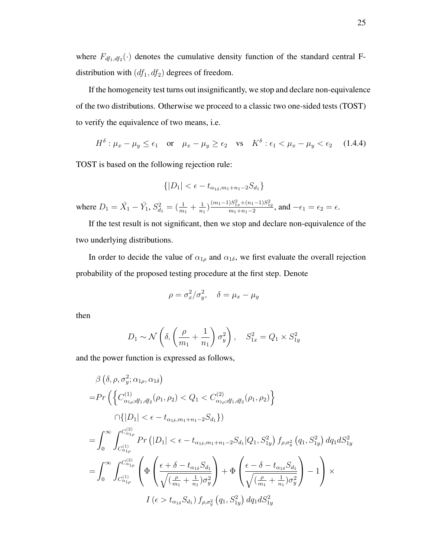where  $F_{df_1, df_2}(\cdot)$  denotes the cumulative density function of the standard central Fdistribution with  $(df_{1},df_{2})$  degrees of freedom.

If the homogeneity test turns out insignificantly, we stop and declare non-equivalence of the two distributions. Otherwise we proceed to a classic two one-sided tests (TOST) to verify the equivalence of two means, i.e.

$$
H^{\delta} : \mu_x - \mu_y \le \epsilon_1 \quad \text{or} \quad \mu_x - \mu_y \ge \epsilon_2 \quad \text{vs} \quad K^{\delta} : \epsilon_1 < \mu_x - \mu_y < \epsilon_2 \tag{1.4.4}
$$

TOST is based on the following rejection rule:

$$
\{|D_1| < \epsilon - t_{\alpha_{1\delta}, m_1 + n_1 - 2} S_{d_1}\}
$$

where  $D_1 = \bar{X}_1 - \bar{Y}_1$ ,  $S_{d_1}^2 = \left(\frac{1}{m_1} + \frac{1}{n_1}\right)$  $\frac{1}{n_1}\Big)\frac{(m_1-1)S_{1x}^2+(n_1-1)S_{1y}^2}{m_1+n_1-2}$ , and  $-\epsilon_1=\epsilon_2=\epsilon$ .

If the test result is not significant, then we stop and declare non-equivalence of the two underlying distributions.

In order to decide the value of  $\alpha_{1\rho}$  and  $\alpha_{1\delta}$ , we first evaluate the overall rejection probability of the proposed testing procedure at the first step. Denote

$$
\rho = \sigma_x^2 / \sigma_y^2, \quad \delta = \mu_x - \mu_y
$$

then

$$
D_1 \sim \mathcal{N}\left(\delta, \left(\frac{\rho}{m_1} + \frac{1}{n_1}\right)\sigma_y^2\right), \quad S_{1x}^2 = Q_1 \times S_{1y}^2
$$

and the power function is expressed as follows,

$$
\beta(\delta, \rho, \sigma_{y}^{2}; \alpha_{1\rho}, \alpha_{1\delta})
$$
\n
$$
= Pr\left(\left\{C_{\alpha_{1\rho};d_{1},d_{1}^{2}}^{(1)}(\rho_{1},\rho_{2}) < Q_{1} < C_{\alpha_{1\rho};d_{1},d_{1}^{2}}^{(2)}(\rho_{1},\rho_{2})\right\}
$$
\n
$$
\cap \{|D_{1}| < \epsilon - t_{\alpha_{1\delta},m_{1}+n_{1}-2}S_{d_{1}}\}\right)
$$
\n
$$
= \int_{0}^{\infty} \int_{C_{\alpha_{1\rho}}^{(1)}}^{C_{\alpha_{1\rho}}^{(2)}} Pr\left(|D_{1}| < \epsilon - t_{\alpha_{1\delta},m_{1}+n_{1}-2}S_{d_{1}}|Q_{1},S_{1y}^{2}\right) f_{\rho,\sigma_{y}^{2}}\left(q_{1},S_{1y}^{2}\right) dq_{1} dS_{1y}^{2}
$$
\n
$$
= \int_{0}^{\infty} \int_{C_{\alpha_{1\rho}}^{(1)}}^{C_{\alpha_{1\rho}}^{(2)}} \left(\Phi\left(\frac{\epsilon + \delta - t_{\alpha_{1\delta}}S_{d_{1}}}{\sqrt{\left(\frac{\rho}{m_{1}} + \frac{1}{n_{1}}\right)\sigma_{y}^{2}}}\right) + \Phi\left(\frac{\epsilon - \delta - t_{\alpha_{1\delta}}S_{d_{1}}}{\sqrt{\left(\frac{\rho}{m_{1}} + \frac{1}{n_{1}}\right)\sigma_{y}^{2}}}\right) - 1\right) \times
$$
\n
$$
I\left(\epsilon > t_{\alpha_{1\delta}}S_{d_{1}}\right) f_{\rho,\sigma_{y}^{2}}\left(q_{1},S_{1y}^{2}\right) dq_{1} dS_{1y}^{2}
$$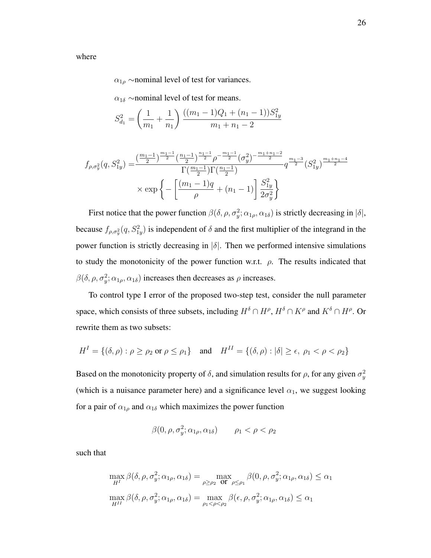where

 $\alpha_{1\rho}$  ∼nominal level of test for variances.

 $\alpha_{1\delta}$  ∼nominal level of test for means.

$$
S_{d_1}^2 = \left(\frac{1}{m_1} + \frac{1}{n_1}\right) \frac{((m_1 - 1)Q_1 + (n_1 - 1))S_{1y}^2}{m_1 + n_1 - 2}
$$

$$
f_{\rho,\sigma_y^2}(q,S_{1y}^2) = \frac{\left(\frac{m_1-1}{2}\right)^{\frac{m_1-1}{2}} \left(\frac{n_1-1}{2}\right)^{\frac{n_1-1}{2}} \rho^{-\frac{m_1-1}{2}} (\sigma_y^2)^{-\frac{m_1+n_1-2}{2}}}{\Gamma(\frac{m_1-1}{2})\Gamma(\frac{n_1-1}{2})} q^{\frac{m_1-3}{2}} (S_{1y}^2)^{\frac{m_1+n_1-4}{2}}
$$
  
×  $\exp \left\{-\left[\frac{(m_1-1)q}{\rho} + (n_1-1)\right] \frac{S_{1y}^2}{2\sigma_y^2}\right\}$ 

First notice that the power function  $\beta(\delta, \rho, \sigma_y^2; \alpha_{1\rho}, \alpha_{1\delta})$  is strictly decreasing in  $|\delta|$ , because  $f_{\rho,\sigma_y^2}(q,S_{1y}^2)$  is independent of  $\delta$  and the first multiplier of the integrand in the power function is strictly decreasing in  $|\delta|$ . Then we performed intensive simulations to study the monotonicity of the power function w.r.t.  $\rho$ . The results indicated that  $\beta(\delta, \rho, \sigma_y^2; \alpha_{1\rho}, \alpha_{1\delta})$  increases then decreases as  $\rho$  increases.

To control type I error of the proposed two-step test, consider the null parameter space, which consists of three subsets, including  $H^{\delta} \cap H^{\rho}$ ,  $H^{\delta} \cap K^{\rho}$  and  $K^{\delta} \cap H^{\rho}$ . Or rewrite them as two subsets:

$$
H^I = \{ (\delta, \rho) : \rho \ge \rho_2 \text{ or } \rho \le \rho_1 \} \quad \text{and} \quad H^{II} = \{ (\delta, \rho) : |\delta| \ge \epsilon, \ \rho_1 < \rho < \rho_2 \}
$$

Based on the monotonicity property of  $\delta$ , and simulation results for  $\rho$ , for any given  $\sigma_y^2$ (which is a nuisance parameter here) and a significance level  $\alpha_1$ , we suggest looking for a pair of  $\alpha_{1\rho}$  and  $\alpha_{1\delta}$  which maximizes the power function

$$
\beta(0, \rho, \sigma_y^2; \alpha_{1\rho}, \alpha_{1\delta}) \qquad \rho_1 < \rho < \rho_2
$$

such that

$$
\max_{H^I} \beta(\delta, \rho, \sigma_y^2; \alpha_{1\rho}, \alpha_{1\delta}) = \max_{\rho \ge \rho_2} \frac{\beta(0, \rho, \sigma_y^2; \alpha_{1\rho}, \alpha_{1\delta}) \le \alpha_1}{\max_{H^{II}} \beta(\delta, \rho, \sigma_y^2; \alpha_{1\rho}, \alpha_{1\delta})} = \max_{\rho_1 < \rho < \rho_2} \beta(\epsilon, \rho, \sigma_y^2; \alpha_{1\rho}, \alpha_{1\delta}) \le \alpha_1
$$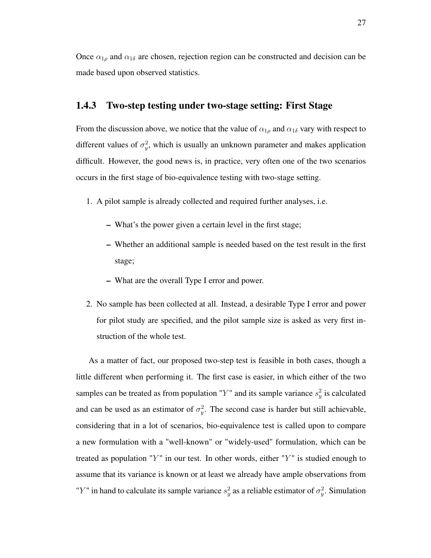Once  $\alpha_{1\rho}$  and  $\alpha_{1\delta}$  are chosen, rejection region can be constructed and decision can be made based upon observed statistics.

### 1.4.3 Two-step testing under two-stage setting: First Stage

From the discussion above, we notice that the value of  $\alpha_{1\rho}$  and  $\alpha_{1\delta}$  vary with respect to different values of  $\sigma_y^2$ , which is usually an unknown parameter and makes application difficult. However, the good news is, in practice, very often one of the two scenarios occurs in the first stage of bio-equivalence testing with two-stage setting.

- 1. A pilot sample is already collected and required further analyses, i.e.
	- What's the power given a certain level in the first stage;
	- Whether an additional sample is needed based on the test result in the first stage;
	- What are the overall Type I error and power.
- 2. No sample has been collected at all. Instead, a desirable Type I error and power for pilot study are specified, and the pilot sample size is asked as very first instruction of the whole test.

As a matter of fact, our proposed two-step test is feasible in both cases, though a little different when performing it. The first case is easier, in which either of the two samples can be treated as from population "Y" and its sample variance  $s_y^2$  is calculated and can be used as an estimator of  $\sigma_y^2$ . The second case is harder but still achievable, considering that in a lot of scenarios, bio-equivalence test is called upon to compare a new formulation with a "well-known" or "widely-used" formulation, which can be treated as population "Y" in our test. In other words, either "Y" is studied enough to assume that its variance is known or at least we already have ample observations from "Y" in hand to calculate its sample variance  $s_y^2$  as a reliable estimator of  $\sigma_y^2$ . Simulation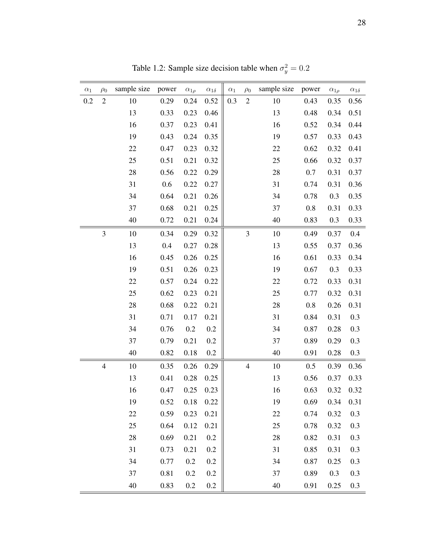| $\alpha_1$ | $\rho_0$       | sample size | power | $\alpha_{1\rho}$ | $\alpha_{1\delta}$ | $\alpha_1$ | $\rho_0$       | sample size | power   | $\alpha_{1\rho}$ | $\alpha_{1\delta}$ |
|------------|----------------|-------------|-------|------------------|--------------------|------------|----------------|-------------|---------|------------------|--------------------|
| 0.2        | $\sqrt{2}$     | 10          | 0.29  | 0.24             | 0.52               | 0.3        | $\sqrt{2}$     | 10          | 0.43    | 0.35             | 0.56               |
|            |                | 13          | 0.33  | 0.23             | 0.46               |            |                | 13          | 0.48    | 0.34             | 0.51               |
|            |                | 16          | 0.37  | 0.23             | 0.41               |            |                | 16          | 0.52    | 0.34             | 0.44               |
|            |                | 19          | 0.43  | 0.24             | 0.35               |            |                | 19          | 0.57    | 0.33             | 0.43               |
|            |                | 22          | 0.47  | 0.23             | 0.32               |            |                | 22          | 0.62    | 0.32             | 0.41               |
|            |                | 25          | 0.51  | 0.21             | 0.32               |            |                | 25          | 0.66    | 0.32             | 0.37               |
|            |                | 28          | 0.56  | 0.22             | 0.29               |            |                | 28          | 0.7     | 0.31             | 0.37               |
|            |                | 31          | 0.6   | 0.22             | 0.27               |            |                | 31          | 0.74    | 0.31             | 0.36               |
|            |                | 34          | 0.64  | 0.21             | 0.26               |            |                | 34          | 0.78    | 0.3              | 0.35               |
|            |                | 37          | 0.68  | 0.21             | 0.25               |            |                | 37          | 0.8     | 0.31             | 0.33               |
|            |                | 40          | 0.72  | 0.21             | 0.24               |            |                | 40          | 0.83    | 0.3              | 0.33               |
|            | $\mathfrak{Z}$ | 10          | 0.34  | 0.29             | 0.32               |            | 3              | 10          | 0.49    | 0.37             | 0.4                |
|            |                | 13          | 0.4   | 0.27             | 0.28               |            |                | 13          | 0.55    | 0.37             | 0.36               |
|            |                | 16          | 0.45  | 0.26             | 0.25               |            |                | 16          | 0.61    | 0.33             | 0.34               |
|            |                | 19          | 0.51  | 0.26             | 0.23               |            |                | 19          | 0.67    | 0.3              | 0.33               |
|            |                | 22          | 0.57  | 0.24             | 0.22               |            |                | 22          | 0.72    | 0.33             | 0.31               |
|            |                | 25          | 0.62  | 0.23             | 0.21               |            |                | 25          | 0.77    | 0.32             | 0.31               |
|            |                | 28          | 0.68  | 0.22             | 0.21               |            |                | 28          | $0.8\,$ | 0.26             | 0.31               |
|            |                | 31          | 0.71  | 0.17             | 0.21               |            |                | 31          | 0.84    | 0.31             | 0.3                |
|            |                | 34          | 0.76  | 0.2              | 0.2                |            |                | 34          | 0.87    | 0.28             | 0.3                |
|            |                | 37          | 0.79  | 0.21             | 0.2                |            |                | 37          | 0.89    | 0.29             | 0.3                |
|            |                | 40          | 0.82  | 0.18             | 0.2                |            |                | 40          | 0.91    | 0.28             | 0.3                |
|            | $\overline{4}$ | 10          | 0.35  | 0.26             | 0.29               |            | $\overline{4}$ | 10          | 0.5     | 0.39             | 0.36               |
|            |                | 13          | 0.41  | 0.28             | 0.25               |            |                | 13          | 0.56    | 0.37             | 0.33               |
|            |                | 16          | 0.47  | 0.25             | 0.23               |            |                | 16          | 0.63    | 0.32             | 0.32               |
|            |                | 19          | 0.52  | 0.18             | 0.22               |            |                | 19          | 0.69    | 0.34             | 0.31               |
|            |                | 22          | 0.59  | 0.23             | 0.21               |            |                | 22          | 0.74    | 0.32             | 0.3                |
|            |                | 25          | 0.64  | 0.12             | 0.21               |            |                | 25          | 0.78    | 0.32             | 0.3                |
|            |                | 28          | 0.69  | 0.21             | 0.2                |            |                | 28          | 0.82    | 0.31             | 0.3                |
|            |                | 31          | 0.73  | 0.21             | 0.2                |            |                | 31          | 0.85    | 0.31             | 0.3                |
|            |                | 34          | 0.77  | 0.2              | 0.2                |            |                | 34          | 0.87    | 0.25             | 0.3                |
|            |                | 37          | 0.81  | 0.2              | 0.2                |            |                | 37          | 0.89    | 0.3              | 0.3                |
|            |                | 40          | 0.83  | 0.2              | 0.2                |            |                | 40          | 0.91    | 0.25             | 0.3                |

Table 1.2: Sample size decision table when  $\sigma_y^2 = 0.2$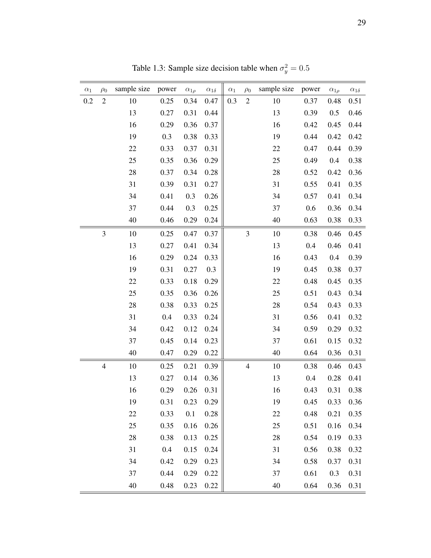| $\alpha_1$ | $\rho_0$       | sample size | power   | $\alpha_{1\rho}$ | $\alpha_{1\delta}$ | $\alpha_1$ | $\rho_0$       | sample size | power | $\alpha_{1\rho}$ | $\alpha_{1\delta}$ |
|------------|----------------|-------------|---------|------------------|--------------------|------------|----------------|-------------|-------|------------------|--------------------|
| 0.2        | $\sqrt{2}$     | 10          | 0.25    | 0.34             | 0.47               | 0.3        | $\sqrt{2}$     | 10          | 0.37  | 0.48             | 0.51               |
|            |                | 13          | 0.27    | 0.31             | 0.44               |            |                | 13          | 0.39  | 0.5              | 0.46               |
|            |                | 16          | 0.29    | 0.36             | 0.37               |            |                | 16          | 0.42  | 0.45             | 0.44               |
|            |                | 19          | 0.3     | 0.38             | 0.33               |            |                | 19          | 0.44  | 0.42             | 0.42               |
|            |                | 22          | 0.33    | 0.37             | 0.31               |            |                | 22          | 0.47  | 0.44             | 0.39               |
|            |                | 25          | 0.35    | 0.36             | 0.29               |            |                | 25          | 0.49  | 0.4              | 0.38               |
|            |                | 28          | 0.37    | 0.34             | 0.28               |            |                | 28          | 0.52  | 0.42             | 0.36               |
|            |                | 31          | 0.39    | 0.31             | 0.27               |            |                | 31          | 0.55  | 0.41             | 0.35               |
|            |                | 34          | 0.41    | 0.3              | 0.26               |            |                | 34          | 0.57  | 0.41             | 0.34               |
|            |                | 37          | 0.44    | 0.3              | 0.25               |            |                | 37          | 0.6   | 0.36             | 0.34               |
|            |                | 40          | 0.46    | 0.29             | 0.24               |            |                | 40          | 0.63  | 0.38             | 0.33               |
|            | $\mathfrak{Z}$ | 10          | 0.25    | 0.47             | 0.37               |            | 3              | 10          | 0.38  | 0.46             | 0.45               |
|            |                | 13          | 0.27    | 0.41             | 0.34               |            |                | 13          | 0.4   | 0.46             | 0.41               |
|            |                | 16          | 0.29    | 0.24             | 0.33               |            |                | 16          | 0.43  | 0.4              | 0.39               |
|            |                | 19          | 0.31    | 0.27             | 0.3                |            |                | 19          | 0.45  | 0.38             | 0.37               |
|            |                | 22          | 0.33    | 0.18             | 0.29               |            |                | 22          | 0.48  | 0.45             | 0.35               |
|            |                | 25          | 0.35    | 0.36             | 0.26               |            |                | 25          | 0.51  | 0.43             | 0.34               |
|            |                | 28          | 0.38    | 0.33             | 0.25               |            |                | 28          | 0.54  | 0.43             | 0.33               |
|            |                | 31          | 0.4     | 0.33             | 0.24               |            |                | 31          | 0.56  | 0.41             | 0.32               |
|            |                | 34          | 0.42    | 0.12             | 0.24               |            |                | 34          | 0.59  | 0.29             | 0.32               |
|            |                | 37          | 0.45    | 0.14             | 0.23               |            |                | 37          | 0.61  | 0.15             | 0.32               |
|            |                | 40          | 0.47    | 0.29             | 0.22               |            |                | 40          | 0.64  | 0.36             | 0.31               |
|            | $\overline{4}$ | 10          | 0.25    | 0.21             | 0.39               |            | $\overline{4}$ | 10          | 0.38  | 0.46             | 0.43               |
|            |                | 13          | 0.27    | 0.14             | 0.36               |            |                | 13          | 0.4   | 0.28             | 0.41               |
|            |                | 16          | 0.29    | 0.26             | 0.31               |            |                | 16          | 0.43  | 0.31             | 0.38               |
|            |                | 19          | 0.31    | 0.23             | 0.29               |            |                | 19          | 0.45  | 0.33             | 0.36               |
|            |                | 22          | 0.33    | 0.1              | 0.28               |            |                | 22          | 0.48  | 0.21             | 0.35               |
|            |                | 25          | 0.35    | 0.16             | 0.26               |            |                | 25          | 0.51  | 0.16             | 0.34               |
|            |                | 28          | 0.38    | 0.13             | 0.25               |            |                | 28          | 0.54  | 0.19             | 0.33               |
|            |                | 31          | $0.4\,$ | 0.15             | 0.24               |            |                | 31          | 0.56  | 0.38             | 0.32               |
|            |                | 34          | 0.42    | 0.29             | 0.23               |            |                | 34          | 0.58  | 0.37             | 0.31               |
|            |                | 37          | 0.44    | 0.29             | 0.22               |            |                | 37          | 0.61  | 0.3              | 0.31               |
|            |                | 40          | 0.48    | 0.23             | 0.22               |            |                | 40          | 0.64  | 0.36             | 0.31               |

Table 1.3: Sample size decision table when  $\sigma_y^2 = 0.5$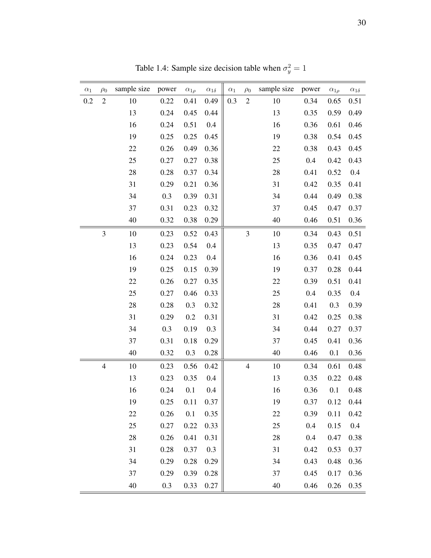| $\alpha_1$ | $\rho_0$       | sample size | power | $\alpha_{1\rho}$ | $\alpha_{1\delta}$ | $\alpha_1$ | $\rho_0$       | sample size | power | $\alpha_{1\rho}$ | $\alpha_{1\delta}$ |
|------------|----------------|-------------|-------|------------------|--------------------|------------|----------------|-------------|-------|------------------|--------------------|
| 0.2        | $\sqrt{2}$     | 10          | 0.22  | 0.41             | 0.49               | 0.3        | $\sqrt{2}$     | 10          | 0.34  | 0.65             | 0.51               |
|            |                | 13          | 0.24  | 0.45             | 0.44               |            |                | 13          | 0.35  | 0.59             | 0.49               |
|            |                | 16          | 0.24  | 0.51             | 0.4                |            |                | 16          | 0.36  | 0.61             | 0.46               |
|            |                | 19          | 0.25  | 0.25             | 0.45               |            |                | 19          | 0.38  | 0.54             | 0.45               |
|            |                | 22          | 0.26  | 0.49             | 0.36               |            |                | 22          | 0.38  | 0.43             | 0.45               |
|            |                | 25          | 0.27  | 0.27             | 0.38               |            |                | 25          | 0.4   | 0.42             | 0.43               |
|            |                | 28          | 0.28  | 0.37             | 0.34               |            |                | 28          | 0.41  | 0.52             | 0.4                |
|            |                | 31          | 0.29  | 0.21             | 0.36               |            |                | 31          | 0.42  | 0.35             | 0.41               |
|            |                | 34          | 0.3   | 0.39             | 0.31               |            |                | 34          | 0.44  | 0.49             | 0.38               |
|            |                | 37          | 0.31  | 0.23             | 0.32               |            |                | 37          | 0.45  | 0.47             | 0.37               |
|            |                | 40          | 0.32  | 0.38             | 0.29               |            |                | 40          | 0.46  | 0.51             | 0.36               |
|            | $\mathfrak{Z}$ | 10          | 0.23  | 0.52             | 0.43               |            | 3              | 10          | 0.34  | 0.43             | 0.51               |
|            |                | 13          | 0.23  | 0.54             | 0.4                |            |                | 13          | 0.35  | 0.47             | 0.47               |
|            |                | 16          | 0.24  | 0.23             | 0.4                |            |                | 16          | 0.36  | 0.41             | 0.45               |
|            |                | 19          | 0.25  | 0.15             | 0.39               |            |                | 19          | 0.37  | 0.28             | 0.44               |
|            |                | 22          | 0.26  | 0.27             | 0.35               |            |                | 22          | 0.39  | 0.51             | 0.41               |
|            |                | 25          | 0.27  | 0.46             | 0.33               |            |                | 25          | 0.4   | 0.35             | 0.4                |
|            |                | 28          | 0.28  | 0.3              | 0.32               |            |                | 28          | 0.41  | 0.3              | 0.39               |
|            |                | 31          | 0.29  | 0.2              | 0.31               |            |                | 31          | 0.42  | 0.25             | 0.38               |
|            |                | 34          | 0.3   | 0.19             | 0.3                |            |                | 34          | 0.44  | 0.27             | 0.37               |
|            |                | 37          | 0.31  | 0.18             | 0.29               |            |                | 37          | 0.45  | 0.41             | 0.36               |
|            |                | 40          | 0.32  | 0.3              | 0.28               |            |                | 40          | 0.46  | 0.1              | 0.36               |
|            | $\overline{4}$ | 10          | 0.23  | 0.56             | 0.42               |            | $\overline{4}$ | 10          | 0.34  | 0.61             | 0.48               |
|            |                | 13          | 0.23  | 0.35             | 0.4                |            |                | 13          | 0.35  | 0.22             | 0.48               |
|            |                | 16          | 0.24  | 0.1              | 0.4                |            |                | 16          | 0.36  | 0.1              | 0.48               |
|            |                | 19          | 0.25  | 0.11             | 0.37               |            |                | 19          | 0.37  | 0.12             | 0.44               |
|            |                | 22          | 0.26  | 0.1              | 0.35               |            |                | 22          | 0.39  | 0.11             | 0.42               |
|            |                | 25          | 0.27  | 0.22             | 0.33               |            |                | 25          | 0.4   | 0.15             | 0.4                |
|            |                | 28          | 0.26  | 0.41             | 0.31               |            |                | 28          | 0.4   | 0.47             | 0.38               |
|            |                | 31          | 0.28  | 0.37             | 0.3                |            |                | 31          | 0.42  | 0.53             | 0.37               |
|            |                | 34          | 0.29  | 0.28             | 0.29               |            |                | 34          | 0.43  | 0.48             | 0.36               |
|            |                | 37          | 0.29  | 0.39             | 0.28               |            |                | 37          | 0.45  | 0.17             | 0.36               |
|            |                | 40          | 0.3   | 0.33             | 0.27               |            |                | 40          | 0.46  | 0.26             | 0.35               |

Table 1.4: Sample size decision table when  $\sigma_y^2 = 1$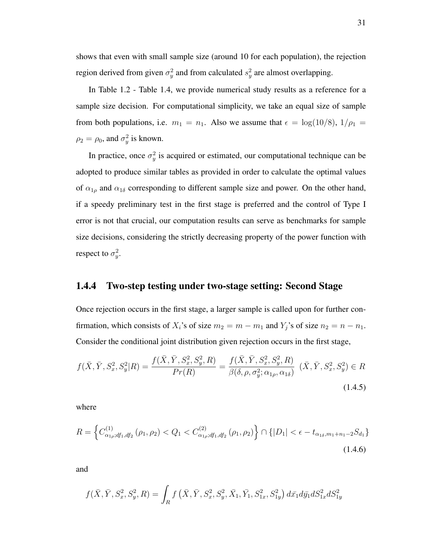In Table 1.2 - Table 1.4, we provide numerical study results as a reference for a sample size decision. For computational simplicity, we take an equal size of sample from both populations, i.e.  $m_1 = n_1$ . Also we assume that  $\epsilon = \log(10/8)$ ,  $1/\rho_1 =$  $\rho_2 = \rho_0$ , and  $\sigma_y^2$  is known.

In practice, once  $\sigma_y^2$  is acquired or estimated, our computational technique can be adopted to produce similar tables as provided in order to calculate the optimal values of  $\alpha_{1\rho}$  and  $\alpha_{1\delta}$  corresponding to different sample size and power. On the other hand, if a speedy preliminary test in the first stage is preferred and the control of Type I error is not that crucial, our computation results can serve as benchmarks for sample size decisions, considering the strictly decreasing property of the power function with respect to  $\sigma_y^2$ .

## 1.4.4 Two-step testing under two-stage setting: Second Stage

Once rejection occurs in the first stage, a larger sample is called upon for further confirmation, which consists of  $X_i$ 's of size  $m_2 = m - m_1$  and  $Y_j$ 's of size  $n_2 = n - n_1$ . Consider the conditional joint distribution given rejection occurs in the first stage,

$$
f(\bar{X}, \bar{Y}, S_x^2, S_y^2 | R) = \frac{f(\bar{X}, \bar{Y}, S_x^2, S_y^2, R)}{Pr(R)} = \frac{f(\bar{X}, \bar{Y}, S_x^2, S_y^2, R)}{\beta(\delta, \rho, \sigma_y^2; \alpha_{1\rho}, \alpha_{1\delta})} \ (\bar{X}, \bar{Y}, S_x^2, S_y^2) \in R
$$
\n(1.4.5)

where

$$
R = \left\{ C_{\alpha_{1\rho};df_1,df_2}^{(1)}\left(\rho_1, \rho_2\right) < Q_1 < C_{\alpha_{1\rho};df_1,df_2}^{(2)}\left(\rho_1, \rho_2\right) \right\} \cap \left\{ |D_1| < \epsilon - t_{\alpha_{1\delta},m_1+n_1-2} S_{d_1} \right\} \tag{1.4.6}
$$

and

$$
f(\bar{X}, \bar{Y}, S_x^2, S_y^2, R) = \int_R f\left(\bar{X}, \bar{Y}, S_x^2, S_y^2, \bar{X}_1, \bar{Y}_1, S_{1x}^2, S_{1y}^2\right) d\bar{x}_1 d\bar{y}_1 dS_{1x}^2 dS_{1y}^2
$$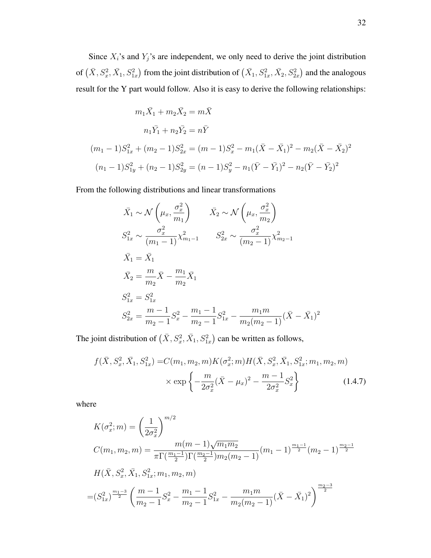Since  $X_i$ 's and  $Y_j$ 's are independent, we only need to derive the joint distribution of  $(\bar{X},S_x^2,\bar{X_1},S_{1x}^2)$  from the joint distribution of  $(\bar{X_1},S_{1x}^2,\bar{X_2},S_{2x}^2)$  and the analogous result for the Y part would follow. Also it is easy to derive the following relationships:

$$
m_1\bar{X}_1 + m_2\bar{X}_2 = m\bar{X}
$$
  
\n
$$
n_1\bar{Y}_1 + n_2\bar{Y}_2 = n\bar{Y}
$$
  
\n
$$
(m_1 - 1)S_{1x}^2 + (m_2 - 1)S_{2x}^2 = (m - 1)S_x^2 - m_1(\bar{X} - \bar{X}_1)^2 - m_2(\bar{X} - \bar{X}_2)^2
$$
  
\n
$$
(n_1 - 1)S_{1y}^2 + (n_2 - 1)S_{2y}^2 = (n - 1)S_y^2 - n_1(\bar{Y} - \bar{Y}_1)^2 - n_2(\bar{Y} - \bar{Y}_2)^2
$$

From the following distributions and linear transformations

$$
\bar{X}_1 \sim \mathcal{N}\left(\mu_x, \frac{\sigma_x^2}{m_1}\right) \qquad \bar{X}_2 \sim \mathcal{N}\left(\mu_x, \frac{\sigma_x^2}{m_2}\right)
$$
\n
$$
S_{1x}^2 \sim \frac{\sigma_x^2}{(m_1 - 1)} \chi_{m_1-1}^2 \qquad S_{2x}^2 \sim \frac{\sigma_x^2}{(m_2 - 1)} \chi_{m_2-1}^2
$$
\n
$$
\bar{X}_1 = \bar{X}_1
$$
\n
$$
\bar{X}_2 = \frac{m}{m_2} \bar{X} - \frac{m_1}{m_2} \bar{X}_1
$$
\n
$$
S_{1x}^2 = S_{1x}^2
$$
\n
$$
S_{2x}^2 = \frac{m - 1}{m_2 - 1} S_x^2 - \frac{m_1 - 1}{m_2 - 1} S_{1x}^2 - \frac{m_1 m}{m_2 (m_2 - 1)} (\bar{X} - \bar{X}_1)^2
$$

The joint distribution of  $(\bar{X}, S_x^2, \bar{X}_1, S_{1x}^2)$  can be written as follows,

$$
f(\bar{X}, S_x^2, \bar{X}_1, S_{1x}^2) = C(m_1, m_2, m) K(\sigma_x^2; m) H(\bar{X}, S_x^2, \bar{X}_1, S_{1x}^2; m_1, m_2, m) \times \exp\left\{-\frac{m}{2\sigma_x^2} (\bar{X} - \mu_x)^2 - \frac{m-1}{2\sigma_x^2} S_x^2\right\}
$$
(1.4.7)

where

$$
K(\sigma_x^2; m) = \left(\frac{1}{2\sigma_x^2}\right)^{m/2}
$$
  
\n
$$
C(m_1, m_2, m) = \frac{m(m-1)\sqrt{m_1 m_2}}{\pi \Gamma(\frac{m_1-1}{2})\Gamma(\frac{m_2-1}{2})m_2(m_2-1)}(m_1-1)^{\frac{m_1-1}{2}}(m_2-1)^{\frac{m_2-1}{2}}
$$
  
\n
$$
H(\bar{X}, S_x^2, \bar{X}_1, S_{1x}^2; m_1, m_2, m)
$$
  
\n
$$
= (S_{1x}^2)^{\frac{m_1-3}{2}} \left(\frac{m-1}{m_2-1}S_x^2 - \frac{m_1-1}{m_2-1}S_{1x}^2 - \frac{m_1m}{m_2(m_2-1)}(\bar{X} - \bar{X}_1)^2\right)^{\frac{m_2-3}{2}}
$$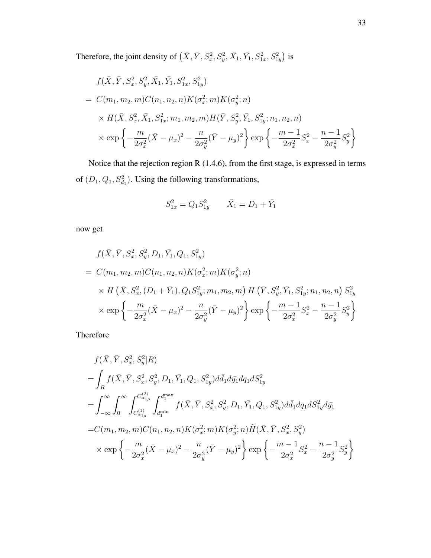Therefore, the joint density of  $(\bar{X}, \bar{Y}, S_x^2, S_y^2, \bar{X_1}, \bar{Y_1}, S_{1x}^2, S_{1y}^2)$  is

$$
f(\bar{X}, \bar{Y}, S_x^2, S_y^2, \bar{X}_1, \bar{Y}_1, S_{1x}^2, S_{1y}^2)
$$
  
=  $C(m_1, m_2, m)C(n_1, n_2, n)K(\sigma_x^2; m)K(\sigma_y^2; n)$   

$$
\times H(\bar{X}, S_x^2, \bar{X}_1, S_{1x}^2; m_1, m_2, m)H(\bar{Y}, S_y^2, \bar{Y}_1, S_{1y}^2; n_1, n_2, n)
$$
  

$$
\times \exp\left\{-\frac{m}{2\sigma_x^2}(\bar{X} - \mu_x)^2 - \frac{n}{2\sigma_y^2}(\bar{Y} - \mu_y)^2\right\} \exp\left\{-\frac{m - 1}{2\sigma_x^2}S_x^2 - \frac{n - 1}{2\sigma_y^2}S_y^2\right\}
$$

Notice that the rejection region R (1.4.6), from the first stage, is expressed in terms of  $(D_1, Q_1, S_{d_1}^2)$ . Using the following transformations,

$$
S_{1x}^2 = Q_1 S_{1y}^2 \qquad \bar{X}_1 = D_1 + \bar{Y}_1
$$

now get

$$
f(\bar{X}, \bar{Y}, S_x^2, S_y^2, D_1, \bar{Y}_1, Q_1, S_{1y}^2)
$$
  
=  $C(m_1, m_2, m)C(n_1, n_2, n)K(\sigma_x^2; m)K(\sigma_y^2; n)$   
 $\times H(\bar{X}, S_x^2, (D_1 + \bar{Y}_1), Q_1 S_{1y}^2; m_1, m_2, m) H(\bar{Y}, S_y^2, \bar{Y}_1, S_{1y}^2; n_1, n_2, n) S_{1y}^2$   
 $\times \exp\left\{-\frac{m}{2\sigma_x^2}(\bar{X} - \mu_x)^2 - \frac{n}{2\sigma_y^2}(\bar{Y} - \mu_y)^2\right\} \exp\left\{-\frac{m - 1}{2\sigma_x^2}S_x^2 - \frac{n - 1}{2\sigma_y^2}S_y^2\right\}$ 

Therefore

$$
f(\bar{X}, \bar{Y}, S_x^2, S_y^2 | R)
$$
  
=  $\int_R f(\bar{X}, \bar{Y}, S_x^2, S_y^2, D_1, \bar{Y}_1, Q_1, S_{1y}^2) d\bar{d}_1 d\bar{y}_1 d q_1 dS_{1y}^2$   
=  $\int_{-\infty}^{\infty} \int_0^{\infty} \int_{C_{\alpha_{1\rho}}^{(1)}}^{C_{\alpha_{1\rho}}^{(2)}} \int_{d_1^{\min}}^{d_1^{\max}} f(\bar{X}, \bar{Y}, S_x^2, S_y^2, D_1, \bar{Y}_1, Q_1, S_{1y}^2) d\bar{d}_1 d q_1 dS_{1y}^2 d\bar{y}_1$   
=  $C(m_1, m_2, m) C(n_1, n_2, n) K(\sigma_x^2; m) K(\sigma_y^2; n) \tilde{H}(\bar{X}, \bar{Y}, S_x^2, S_y^2)$   
 $\times \exp \left\{-\frac{m}{2\sigma_x^2} (\bar{X} - \mu_x)^2 - \frac{n}{2\sigma_y^2} (\bar{Y} - \mu_y)^2\right\} \exp \left\{-\frac{m - 1}{2\sigma_x^2} S_x^2 - \frac{n - 1}{2\sigma_y^2} S_y^2\right\}$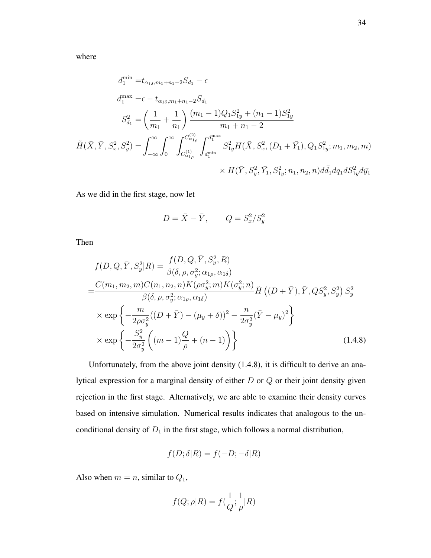where

$$
d_1^{\min} = t_{\alpha_{1\delta}, m_1+n_1-2} S_{d_1} - \epsilon
$$
  
\n
$$
d_1^{\max} = \epsilon - t_{\alpha_{1\delta}, m_1+n_1-2} S_{d_1}
$$
  
\n
$$
S_{d_1}^2 = \left(\frac{1}{m_1} + \frac{1}{n_1}\right) \frac{(m_1 - 1)Q_1 S_{1y}^2 + (n_1 - 1)S_{1y}^2}{m_1 + n_1 - 2}
$$
  
\n
$$
\tilde{H}(\bar{X}, \bar{Y}, S_x^2, S_y^2) = \int_{-\infty}^{\infty} \int_0^{\infty} \int_{C_{\alpha_{1\rho}}^{(1)}}^{C_{\alpha_{1\rho}}^{(2)}} \int_{d_1^{\min}}^{d_1^{\max}} S_{1y}^2 H(\bar{X}, S_x^2, (D_1 + \bar{Y}_1), Q_1 S_{1y}^2; m_1, m_2, m)
$$
  
\n
$$
\times H(\bar{Y}, S_y^2, \bar{Y}_1, S_{1y}^2; n_1, n_2, n) d\bar{d}_1 d q_1 d S_{1y}^2 d \bar{y}_1
$$

As we did in the first stage, now let

$$
D = \overline{X} - \overline{Y}, \qquad Q = S_x^2 / S_y^2
$$

Then

$$
f(D, Q, \bar{Y}, S_y^2 | R) = \frac{f(D, Q, \bar{Y}, S_y^2, R)}{\beta(\delta, \rho, \sigma_y^2; \alpha_{1\rho}, \alpha_{1\delta})}
$$
  
\n
$$
= \frac{C(m_1, m_2, m)C(n_1, n_2, n)K(\rho \sigma_y^2; m)K(\sigma_y^2; n)}{\beta(\delta, \rho, \sigma_y^2; \alpha_{1\rho}, \alpha_{1\delta})} \tilde{H}((D + \bar{Y}), \bar{Y}, QS_y^2, S_y^2) S_y^2
$$
  
\n
$$
\times \exp\left\{-\frac{m}{2\rho \sigma_y^2}((D + \bar{Y}) - (\mu_y + \delta))^2 - \frac{n}{2\sigma_y^2}(\bar{Y} - \mu_y)^2\right\}
$$
  
\n
$$
\times \exp\left\{-\frac{S_y^2}{2\sigma_y^2}\left((m - 1)\frac{Q}{\rho} + (n - 1)\right)\right\}
$$
(1.4.8)

Unfortunately, from the above joint density (1.4.8), it is difficult to derive an analytical expression for a marginal density of either  $D$  or  $Q$  or their joint density given rejection in the first stage. Alternatively, we are able to examine their density curves based on intensive simulation. Numerical results indicates that analogous to the unconditional density of  $D_1$  in the first stage, which follows a normal distribution,

$$
f(D; \delta | R) = f(-D; -\delta | R)
$$

Also when  $m = n$ , similar to  $Q_1$ ,

$$
f(Q; \rho | R) = f(\frac{1}{Q}; \frac{1}{\rho} | R)
$$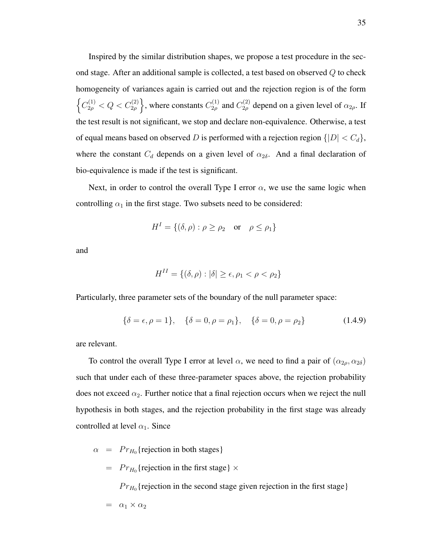Inspired by the similar distribution shapes, we propose a test procedure in the second stage. After an additional sample is collected, a test based on observed  $Q$  to check homogeneity of variances again is carried out and the rejection region is of the form  $\left\{ C_{2\rho}^{(1)} < Q < C_{2\rho}^{(2)} \right\}$ , where constants  $C_{2\rho}^{(1)}$  $C_{2\rho}^{(1)}$  and  $C_{2\rho}^{(2)}$  depend on a given level of  $\alpha_{2\rho}$ . If the test result is not significant, we stop and declare non-equivalence. Otherwise, a test of equal means based on observed D is performed with a rejection region  $\{|D| < C_d\}$ , where the constant  $C_d$  depends on a given level of  $\alpha_{2\delta}$ . And a final declaration of bio-equivalence is made if the test is significant.

Next, in order to control the overall Type I error  $\alpha$ , we use the same logic when controlling  $\alpha_1$  in the first stage. Two subsets need to be considered:

$$
H^{I} = \{ (\delta, \rho) : \rho \ge \rho_2 \quad \text{or} \quad \rho \le \rho_1 \}
$$

and

$$
H^{II} = \{ (\delta, \rho) : |\delta| \ge \epsilon, \rho_1 < \rho < \rho_2 \}
$$

Particularly, three parameter sets of the boundary of the null parameter space:

$$
\{\delta = \epsilon, \rho = 1\}, \quad \{\delta = 0, \rho = \rho_1\}, \quad \{\delta = 0, \rho = \rho_2\}
$$
(1.4.9)

are relevant.

To control the overall Type I error at level  $\alpha$ , we need to find a pair of  $(\alpha_{2\rho}, \alpha_{2\delta})$ such that under each of these three-parameter spaces above, the rejection probability does not exceed  $\alpha_2$ . Further notice that a final rejection occurs when we reject the null hypothesis in both stages, and the rejection probability in the first stage was already controlled at level  $\alpha_1$ . Since

- $\alpha$  =  $Pr_{H_0}$  {rejection in both stages}
	- $= Pr_{H_0}$ {rejection in the first stage}  $\times$

 $Pr_{H_0}$ {rejection in the second stage given rejection in the first stage}

$$
= \ \alpha_1 \times \alpha_2
$$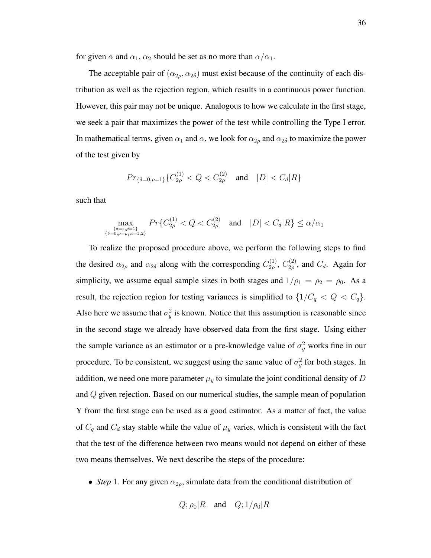for given  $\alpha$  and  $\alpha_1$ ,  $\alpha_2$  should be set as no more than  $\alpha/\alpha_1$ .

The acceptable pair of  $(\alpha_{2\rho}, \alpha_{2\delta})$  must exist because of the continuity of each distribution as well as the rejection region, which results in a continuous power function. However, this pair may not be unique. Analogous to how we calculate in the first stage, we seek a pair that maximizes the power of the test while controlling the Type I error. In mathematical terms, given  $\alpha_1$  and  $\alpha$ , we look for  $\alpha_{2\rho}$  and  $\alpha_{2\delta}$  to maximize the power of the test given by

$$
Pr_{\{\delta=0,\rho=1\}}\{C_{2\rho}^{(1)} < Q < C_{2\rho}^{(2)} \quad \text{and} \quad |D| < C_d|R\}
$$

such that

$$
\max_{\{\delta = \epsilon, \rho = 1\}\atop{\delta = 0, \rho = \rho_i; i = 1, 2\}} Pr\{C_{2\rho}^{(1)} < Q < C_{2\rho}^{(2)} \quad \text{and} \quad |D| < C_d |R\} \le \alpha/\alpha_1
$$

To realize the proposed procedure above, we perform the following steps to find the desired  $\alpha_{2\rho}$  and  $\alpha_{2\delta}$  along with the corresponding  $C_{2\rho}^{(1)}$  $C^{(1)}_{2\rho},\,C^{(2)}_{2\rho}$  $C_{2\rho}^{(2)}$ , and  $C_d$ . Again for simplicity, we assume equal sample sizes in both stages and  $1/\rho_1 = \rho_2 = \rho_0$ . As a result, the rejection region for testing variances is simplified to  $\{1/C_q < Q < C_q\}$ . Also here we assume that  $\sigma_y^2$  is known. Notice that this assumption is reasonable since in the second stage we already have observed data from the first stage. Using either the sample variance as an estimator or a pre-knowledge value of  $\sigma_y^2$  works fine in our procedure. To be consistent, we suggest using the same value of  $\sigma_y^2$  for both stages. In addition, we need one more parameter  $\mu_y$  to simulate the joint conditional density of D and Q given rejection. Based on our numerical studies, the sample mean of population Y from the first stage can be used as a good estimator. As a matter of fact, the value of  $C_q$  and  $C_d$  stay stable while the value of  $\mu_y$  varies, which is consistent with the fact that the test of the difference between two means would not depend on either of these two means themselves. We next describe the steps of the procedure:

• *Step* 1. For any given  $\alpha_{2\rho}$ , simulate data from the conditional distribution of

$$
Q
$$
;  $\rho_0 | R$  and  $Q$ ;  $1/\rho_0 | R$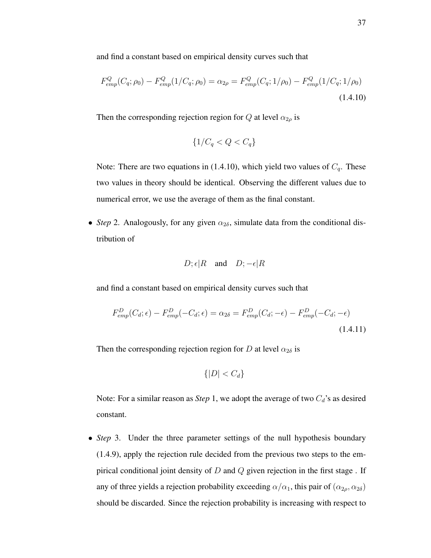and find a constant based on empirical density curves such that

$$
F_{emp}^{Q}(C_q; \rho_0) - F_{emp}^{Q}(1/C_q; \rho_0) = \alpha_{2\rho} = F_{emp}^{Q}(C_q; 1/\rho_0) - F_{emp}^{Q}(1/C_q; 1/\rho_0)
$$
\n(1.4.10)

Then the corresponding rejection region for Q at level  $\alpha_{2\rho}$  is

$$
\{1/C_q < Q < C_q\}
$$

Note: There are two equations in (1.4.10), which yield two values of  $C_q$ . These two values in theory should be identical. Observing the different values due to numerical error, we use the average of them as the final constant.

• *Step* 2. Analogously, for any given  $\alpha_{2\delta}$ , simulate data from the conditional distribution of

$$
D; \epsilon | R
$$
 and  $D; -\epsilon | R$ 

and find a constant based on empirical density curves such that

$$
F_{emp}^D(C_d; \epsilon) - F_{emp}^D(-C_d; \epsilon) = \alpha_{2\delta} = F_{emp}^D(C_d; -\epsilon) - F_{emp}^D(-C_d; -\epsilon)
$$
\n(1.4.11)

Then the corresponding rejection region for D at level  $\alpha_{2\delta}$  is

$$
\{|D| < C_d\}
$$

Note: For a similar reason as *Step* 1, we adopt the average of two  $C_d$ 's as desired constant.

• *Step* 3. Under the three parameter settings of the null hypothesis boundary (1.4.9), apply the rejection rule decided from the previous two steps to the empirical conditional joint density of  $D$  and  $Q$  given rejection in the first stage. If any of three yields a rejection probability exceeding  $\alpha/\alpha_1$ , this pair of  $(\alpha_{2\rho}, \alpha_{2\delta})$ should be discarded. Since the rejection probability is increasing with respect to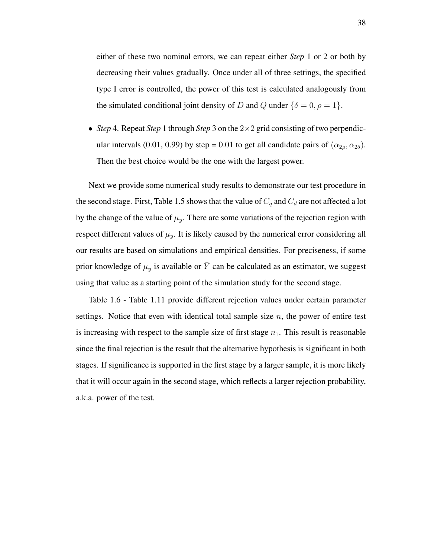either of these two nominal errors, we can repeat either *Step* 1 or 2 or both by decreasing their values gradually. Once under all of three settings, the specified type I error is controlled, the power of this test is calculated analogously from the simulated conditional joint density of D and Q under  $\{\delta = 0, \rho = 1\}.$ 

• *Step* 4. Repeat *Step* 1 through *Step* 3 on the 2×2 grid consisting of two perpendicular intervals (0.01, 0.99) by step = 0.01 to get all candidate pairs of  $(\alpha_{2\rho}, \alpha_{2\delta})$ . Then the best choice would be the one with the largest power.

Next we provide some numerical study results to demonstrate our test procedure in the second stage. First, Table 1.5 shows that the value of  $C_q$  and  $C_d$  are not affected a lot by the change of the value of  $\mu_y$ . There are some variations of the rejection region with respect different values of  $\mu_y$ . It is likely caused by the numerical error considering all our results are based on simulations and empirical densities. For preciseness, if some prior knowledge of  $\mu_y$  is available or  $\bar{Y}$  can be calculated as an estimator, we suggest using that value as a starting point of the simulation study for the second stage.

Table 1.6 - Table 1.11 provide different rejection values under certain parameter settings. Notice that even with identical total sample size  $n$ , the power of entire test is increasing with respect to the sample size of first stage  $n_1$ . This result is reasonable since the final rejection is the result that the alternative hypothesis is significant in both stages. If significance is supported in the first stage by a larger sample, it is more likely that it will occur again in the second stage, which reflects a larger rejection probability, a.k.a. power of the test.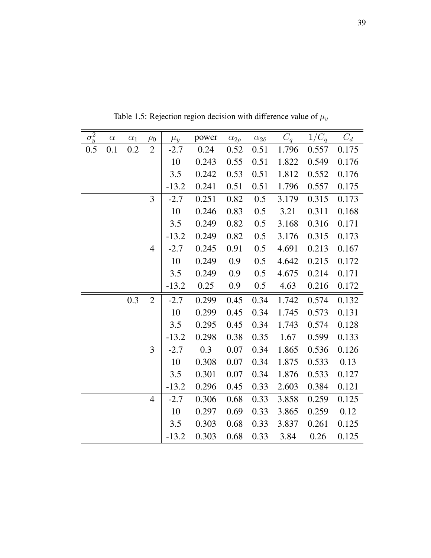| $\overline{\sigma_y^2}$ | $\alpha$ | $\alpha_1$ | $\rho_0$       | $\mu_y$ | power | $\alpha_{2\rho}$ | $\alpha_{2\delta}$ | $C_q$ | $1/C_q$ | $C_d$ |
|-------------------------|----------|------------|----------------|---------|-------|------------------|--------------------|-------|---------|-------|
| 0.5                     | 0.1      | 0.2        | $\overline{2}$ | $-2.7$  | 0.24  | 0.52             | 0.51               | 1.796 | 0.557   | 0.175 |
|                         |          |            |                | 10      | 0.243 | 0.55             | 0.51               | 1.822 | 0.549   | 0.176 |
|                         |          |            |                | 3.5     | 0.242 | 0.53             | 0.51               | 1.812 | 0.552   | 0.176 |
|                         |          |            |                | $-13.2$ | 0.241 | 0.51             | 0.51               | 1.796 | 0.557   | 0.175 |
|                         |          |            | 3              | $-2.7$  | 0.251 | 0.82             | 0.5                | 3.179 | 0.315   | 0.173 |
|                         |          |            |                | 10      | 0.246 | 0.83             | 0.5                | 3.21  | 0.311   | 0.168 |
|                         |          |            |                | 3.5     | 0.249 | 0.82             | 0.5                | 3.168 | 0.316   | 0.171 |
|                         |          |            |                | $-13.2$ | 0.249 | 0.82             | 0.5                | 3.176 | 0.315   | 0.173 |
|                         |          |            | $\overline{4}$ | $-2.7$  | 0.245 | 0.91             | 0.5                | 4.691 | 0.213   | 0.167 |
|                         |          |            |                | 10      | 0.249 | 0.9              | 0.5                | 4.642 | 0.215   | 0.172 |
|                         |          |            |                | 3.5     | 0.249 | 0.9              | 0.5                | 4.675 | 0.214   | 0.171 |
|                         |          |            |                | $-13.2$ | 0.25  | 0.9              | 0.5                | 4.63  | 0.216   | 0.172 |
|                         |          | 0.3        | $\overline{2}$ | $-2.7$  | 0.299 | 0.45             | 0.34               | 1.742 | 0.574   | 0.132 |
|                         |          |            |                | 10      | 0.299 | 0.45             | 0.34               | 1.745 | 0.573   | 0.131 |
|                         |          |            |                | 3.5     | 0.295 | 0.45             | 0.34               | 1.743 | 0.574   | 0.128 |
|                         |          |            |                | $-13.2$ | 0.298 | 0.38             | 0.35               | 1.67  | 0.599   | 0.133 |
|                         |          |            | 3              | $-2.7$  | 0.3   | 0.07             | 0.34               | 1.865 | 0.536   | 0.126 |
|                         |          |            |                | 10      | 0.308 | 0.07             | 0.34               | 1.875 | 0.533   | 0.13  |
|                         |          |            |                | 3.5     | 0.301 | 0.07             | 0.34               | 1.876 | 0.533   | 0.127 |
|                         |          |            |                | $-13.2$ | 0.296 | 0.45             | 0.33               | 2.603 | 0.384   | 0.121 |
|                         |          |            | $\overline{4}$ | $-2.7$  | 0.306 | 0.68             | 0.33               | 3.858 | 0.259   | 0.125 |
|                         |          |            |                | 10      | 0.297 | 0.69             | 0.33               | 3.865 | 0.259   | 0.12  |
|                         |          |            |                | 3.5     | 0.303 | 0.68             | 0.33               | 3.837 | 0.261   | 0.125 |
|                         |          |            |                | $-13.2$ | 0.303 | 0.68             | 0.33               | 3.84  | 0.26    | 0.125 |

Table 1.5: Rejection region decision with difference value of  $\mu_y$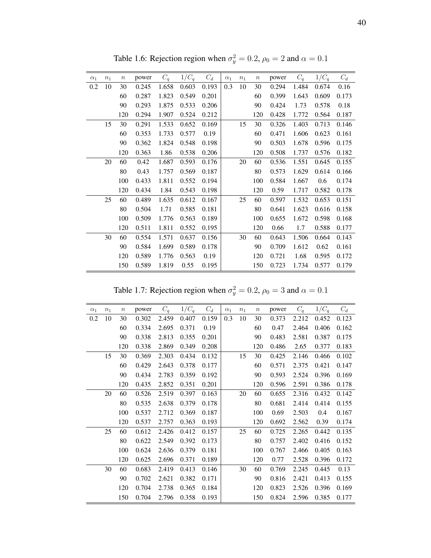| $\alpha_1$ | n <sub>1</sub> | $\boldsymbol{n}$ | power | $C_q$ | $1/C_q$ | $C_d$ | $\alpha_1$ | $n_1$ | $\boldsymbol{n}$ | power | $C_q$ | $1/C_q$ | $C_d$ |
|------------|----------------|------------------|-------|-------|---------|-------|------------|-------|------------------|-------|-------|---------|-------|
| 0.2        | 10             | 30               | 0.245 | 1.658 | 0.603   | 0.193 | 0.3        | 10    | 30               | 0.294 | 1.484 | 0.674   | 0.16  |
|            |                | 60               | 0.287 | 1.823 | 0.549   | 0.201 |            |       | 60               | 0.399 | 1.643 | 0.609   | 0.173 |
|            |                | 90               | 0.293 | 1.875 | 0.533   | 0.206 |            |       | 90               | 0.424 | 1.73  | 0.578   | 0.18  |
|            |                | 120              | 0.294 | 1.907 | 0.524   | 0.212 |            |       | 120              | 0.428 | 1.772 | 0.564   | 0.187 |
|            | 15             | 30               | 0.291 | 1.533 | 0.652   | 0.169 |            | 15    | 30               | 0.326 | 1.403 | 0.713   | 0.146 |
|            |                | 60               | 0.353 | 1.733 | 0.577   | 0.19  |            |       | 60               | 0.471 | 1.606 | 0.623   | 0.161 |
|            |                | 90               | 0.362 | 1.824 | 0.548   | 0.198 |            |       | 90               | 0.503 | 1.678 | 0.596   | 0.175 |
|            |                | 120              | 0.363 | 1.86  | 0.538   | 0.206 |            |       | 120              | 0.508 | 1.737 | 0.576   | 0.182 |
|            | 20             | 60               | 0.42  | 1.687 | 0.593   | 0.176 |            | 20    | 60               | 0.536 | 1.551 | 0.645   | 0.155 |
|            |                | 80               | 0.43  | 1.757 | 0.569   | 0.187 |            |       | 80               | 0.573 | 1.629 | 0.614   | 0.166 |
|            |                | 100              | 0.433 | 1.811 | 0.552   | 0.194 |            |       | 100              | 0.584 | 1.667 | 0.6     | 0.174 |
|            |                | 120              | 0.434 | 1.84  | 0.543   | 0.198 |            |       | 120              | 0.59  | 1.717 | 0.582   | 0.178 |
|            | 25             | 60               | 0.489 | 1.635 | 0.612   | 0.167 |            | 25    | 60               | 0.597 | 1.532 | 0.653   | 0.151 |
|            |                | 80               | 0.504 | 1.71  | 0.585   | 0.181 |            |       | 80               | 0.641 | 1.623 | 0.616   | 0.158 |
|            |                | 100              | 0.509 | 1.776 | 0.563   | 0.189 |            |       | 100              | 0.655 | 1.672 | 0.598   | 0.168 |
|            |                | 120              | 0.511 | 1.811 | 0.552   | 0.195 |            |       | 120              | 0.66  | 1.7   | 0.588   | 0.177 |
|            | 30             | 60               | 0.554 | 1.571 | 0.637   | 0.156 |            | 30    | 60               | 0.643 | 1.506 | 0.664   | 0.143 |
|            |                | 90               | 0.584 | 1.699 | 0.589   | 0.178 |            |       | 90               | 0.709 | 1.612 | 0.62    | 0.161 |
|            |                | 120              | 0.589 | 1.776 | 0.563   | 0.19  |            |       | 120              | 0.721 | 1.68  | 0.595   | 0.172 |
|            |                | 150              | 0.589 | 1.819 | 0.55    | 0.195 |            |       | 150              | 0.723 | 1.734 | 0.577   | 0.179 |

Table 1.6: Rejection region when  $\sigma_y^2 = 0.2$ ,  $\rho_0 = 2$  and  $\alpha = 0.1$ 

Table 1.7: Rejection region when  $\sigma_y^2 = 0.2$ ,  $\rho_0 = 3$  and  $\alpha = 0.1$ 

| $\alpha_1$ | $n_1$ | $\boldsymbol{n}$ | power | $C_q$ | $1/C_q$ | $C_d$ | $\alpha_1$ | $n_1$ | $\, n$ | power | $C_q$ | $1/C_q$ | $C_d$ |
|------------|-------|------------------|-------|-------|---------|-------|------------|-------|--------|-------|-------|---------|-------|
| 0.2        | 10    | 30               | 0.302 | 2.459 | 0.407   | 0.159 | 0.3        | 10    | 30     | 0.373 | 2.212 | 0.452   | 0.123 |
|            |       | 60               | 0.334 | 2.695 | 0.371   | 0.19  |            |       | 60     | 0.47  | 2.464 | 0.406   | 0.162 |
|            |       | 90               | 0.338 | 2.813 | 0.355   | 0.201 |            |       | 90     | 0.483 | 2.581 | 0.387   | 0.175 |
|            |       | 120              | 0.338 | 2.869 | 0.349   | 0.208 |            |       | 120    | 0.486 | 2.65  | 0.377   | 0.183 |
|            | 15    | 30               | 0.369 | 2.303 | 0.434   | 0.132 |            | 15    | 30     | 0.425 | 2.146 | 0.466   | 0.102 |
|            |       | 60               | 0.429 | 2.643 | 0.378   | 0.177 |            |       | 60     | 0.571 | 2.375 | 0.421   | 0.147 |
|            |       | 90               | 0.434 | 2.783 | 0.359   | 0.192 |            |       | 90     | 0.593 | 2.524 | 0.396   | 0.169 |
|            |       | 120              | 0.435 | 2.852 | 0.351   | 0.201 |            |       | 120    | 0.596 | 2.591 | 0.386   | 0.178 |
|            | 20    | 60               | 0.526 | 2.519 | 0.397   | 0.163 |            | 20    | 60     | 0.655 | 2.316 | 0.432   | 0.142 |
|            |       | 80               | 0.535 | 2.638 | 0.379   | 0.178 |            |       | 80     | 0.681 | 2.414 | 0.414   | 0.155 |
|            |       | 100              | 0.537 | 2.712 | 0.369   | 0.187 |            |       | 100    | 0.69  | 2.503 | 0.4     | 0.167 |
|            |       | 120              | 0.537 | 2.757 | 0.363   | 0.193 |            |       | 120    | 0.692 | 2.562 | 0.39    | 0.174 |
|            | 25    | 60               | 0.612 | 2.426 | 0.412   | 0.157 |            | 25    | 60     | 0.725 | 2.265 | 0.442   | 0.135 |
|            |       | 80               | 0.622 | 2.549 | 0.392   | 0.173 |            |       | 80     | 0.757 | 2.402 | 0.416   | 0.152 |
|            |       | 100              | 0.624 | 2.636 | 0.379   | 0.181 |            |       | 100    | 0.767 | 2.466 | 0.405   | 0.163 |
|            |       | 120              | 0.625 | 2.696 | 0.371   | 0.189 |            |       | 120    | 0.77  | 2.528 | 0.396   | 0.172 |
|            | 30    | 60               | 0.683 | 2.419 | 0.413   | 0.146 |            | 30    | 60     | 0.769 | 2.245 | 0.445   | 0.13  |
|            |       | 90               | 0.702 | 2.621 | 0.382   | 0.171 |            |       | 90     | 0.816 | 2.421 | 0.413   | 0.155 |
|            |       | 120              | 0.704 | 2.738 | 0.365   | 0.184 |            |       | 120    | 0.823 | 2.526 | 0.396   | 0.169 |
|            |       | 150              | 0.704 | 2.796 | 0.358   | 0.193 |            |       | 150    | 0.824 | 2.596 | 0.385   | 0.177 |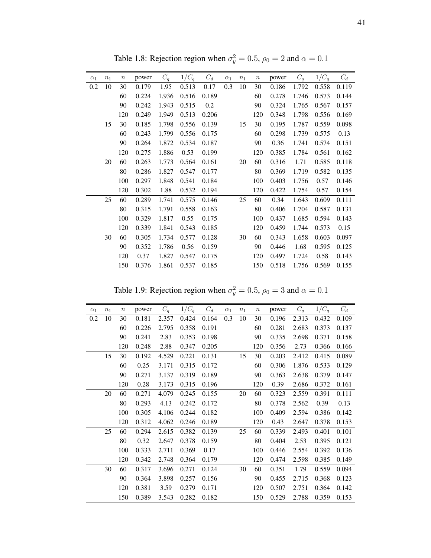| $\alpha_1$ | $n_1$ | $\boldsymbol{n}$ | power | $C_q$ | $1/C_q$ | $C_d$ | $\alpha_1$ | $\boldsymbol{n}_1$ | $\boldsymbol{n}$ | power | $C_q$ | $1/C_q$ | $C_d$ |
|------------|-------|------------------|-------|-------|---------|-------|------------|--------------------|------------------|-------|-------|---------|-------|
| 0.2        | 10    | 30               | 0.179 | 1.95  | 0.513   | 0.17  | 0.3        | 10                 | 30               | 0.186 | 1.792 | 0.558   | 0.119 |
|            |       | 60               | 0.224 | 1.936 | 0.516   | 0.189 |            |                    | 60               | 0.278 | 1.746 | 0.573   | 0.144 |
|            |       | 90               | 0.242 | 1.943 | 0.515   | 0.2   |            |                    | 90               | 0.324 | 1.765 | 0.567   | 0.157 |
|            |       | 120              | 0.249 | 1.949 | 0.513   | 0.206 |            |                    | 120              | 0.348 | 1.798 | 0.556   | 0.169 |
|            | 15    | 30               | 0.185 | 1.798 | 0.556   | 0.139 |            | 15                 | 30               | 0.195 | 1.787 | 0.559   | 0.098 |
|            |       | 60               | 0.243 | 1.799 | 0.556   | 0.175 |            |                    | 60               | 0.298 | 1.739 | 0.575   | 0.13  |
|            |       | 90               | 0.264 | 1.872 | 0.534   | 0.187 |            |                    | 90               | 0.36  | 1.741 | 0.574   | 0.151 |
|            |       | 120              | 0.275 | 1.886 | 0.53    | 0.199 |            |                    | 120              | 0.385 | 1.784 | 0.561   | 0.162 |
|            | 20    | 60               | 0.263 | 1.773 | 0.564   | 0.161 |            | 20                 | 60               | 0.316 | 1.71  | 0.585   | 0.118 |
|            |       | 80               | 0.286 | 1.827 | 0.547   | 0.177 |            |                    | 80               | 0.369 | 1.719 | 0.582   | 0.135 |
|            |       | 100              | 0.297 | 1.848 | 0.541   | 0.184 |            |                    | 100              | 0.403 | 1.756 | 0.57    | 0.146 |
|            |       | 120              | 0.302 | 1.88  | 0.532   | 0.194 |            |                    | 120              | 0.422 | 1.754 | 0.57    | 0.154 |
|            | 25    | 60               | 0.289 | 1.741 | 0.575   | 0.146 |            | 25                 | 60               | 0.34  | 1.643 | 0.609   | 0.111 |
|            |       | 80               | 0.315 | 1.791 | 0.558   | 0.163 |            |                    | 80               | 0.406 | 1.704 | 0.587   | 0.131 |
|            |       | 100              | 0.329 | 1.817 | 0.55    | 0.175 |            |                    | 100              | 0.437 | 1.685 | 0.594   | 0.143 |
|            |       | 120              | 0.339 | 1.841 | 0.543   | 0.185 |            |                    | 120              | 0.459 | 1.744 | 0.573   | 0.15  |
|            | 30    | 60               | 0.305 | 1.734 | 0.577   | 0.128 |            | 30                 | 60               | 0.343 | 1.658 | 0.603   | 0.097 |
|            |       | 90               | 0.352 | 1.786 | 0.56    | 0.159 |            |                    | 90               | 0.446 | 1.68  | 0.595   | 0.125 |
|            |       | 120              | 0.37  | 1.827 | 0.547   | 0.175 |            |                    | 120              | 0.497 | 1.724 | 0.58    | 0.143 |
|            |       | 150              | 0.376 | 1.861 | 0.537   | 0.185 |            |                    | 150              | 0.518 | 1.756 | 0.569   | 0.155 |

Table 1.8: Rejection region when  $\sigma_y^2 = 0.5$ ,  $\rho_0 = 2$  and  $\alpha = 0.1$ 

Table 1.9: Rejection region when  $\sigma_y^2 = 0.5$ ,  $\rho_0 = 3$  and  $\alpha = 0.1$ 

| $\alpha_1$ | $n_1$ | $\boldsymbol{n}$ | power | $C_q$ | $1/C_q$ | $C_d$ | $\alpha_1$ | n <sub>1</sub> | $\,n$ | power | $C_q$ | $1/C_q$ | $C_d$ |
|------------|-------|------------------|-------|-------|---------|-------|------------|----------------|-------|-------|-------|---------|-------|
| 0.2        | 10    | 30               | 0.181 | 2.357 | 0.424   | 0.164 | 0.3        | 10             | 30    | 0.196 | 2.313 | 0.432   | 0.109 |
|            |       | 60               | 0.226 | 2.795 | 0.358   | 0.191 |            |                | 60    | 0.281 | 2.683 | 0.373   | 0.137 |
|            |       | 90               | 0.241 | 2.83  | 0.353   | 0.198 |            |                | 90    | 0.335 | 2.698 | 0.371   | 0.158 |
|            |       | 120              | 0.248 | 2.88  | 0.347   | 0.205 |            |                | 120   | 0.356 | 2.73  | 0.366   | 0.166 |
|            | 15    | 30               | 0.192 | 4.529 | 0.221   | 0.131 |            | 15             | 30    | 0.203 | 2.412 | 0.415   | 0.089 |
|            |       | 60               | 0.25  | 3.171 | 0.315   | 0.172 |            |                | 60    | 0.306 | 1.876 | 0.533   | 0.129 |
|            |       | 90               | 0.271 | 3.137 | 0.319   | 0.189 |            |                | 90    | 0.363 | 2.638 | 0.379   | 0.147 |
|            |       | 120              | 0.28  | 3.173 | 0.315   | 0.196 |            |                | 120   | 0.39  | 2.686 | 0.372   | 0.161 |
|            | 20    | 60               | 0.271 | 4.079 | 0.245   | 0.155 |            | 20             | 60    | 0.323 | 2.559 | 0.391   | 0.111 |
|            |       | 80               | 0.293 | 4.13  | 0.242   | 0.172 |            |                | 80    | 0.378 | 2.562 | 0.39    | 0.13  |
|            |       | 100              | 0.305 | 4.106 | 0.244   | 0.182 |            |                | 100   | 0.409 | 2.594 | 0.386   | 0.142 |
|            |       | 120              | 0.312 | 4.062 | 0.246   | 0.189 |            |                | 120   | 0.43  | 2.647 | 0.378   | 0.153 |
|            | 25    | 60               | 0.294 | 2.615 | 0.382   | 0.139 |            | 25             | 60    | 0.339 | 2.493 | 0.401   | 0.101 |
|            |       | 80               | 0.32  | 2.647 | 0.378   | 0.159 |            |                | 80    | 0.404 | 2.53  | 0.395   | 0.121 |
|            |       | 100              | 0.333 | 2.711 | 0.369   | 0.17  |            |                | 100   | 0.446 | 2.554 | 0.392   | 0.136 |
|            |       | 120              | 0.342 | 2.748 | 0.364   | 0.179 |            |                | 120   | 0.474 | 2.598 | 0.385   | 0.149 |
|            | 30    | 60               | 0.317 | 3.696 | 0.271   | 0.124 |            | 30             | 60    | 0.351 | 1.79  | 0.559   | 0.094 |
|            |       | 90               | 0.364 | 3.898 | 0.257   | 0.156 |            |                | 90    | 0.455 | 2.715 | 0.368   | 0.123 |
|            |       | 120              | 0.381 | 3.59  | 0.279   | 0.171 |            |                | 120   | 0.507 | 2.751 | 0.364   | 0.142 |
|            |       | 150              | 0.389 | 3.543 | 0.282   | 0.182 |            |                | 150   | 0.529 | 2.788 | 0.359   | 0.153 |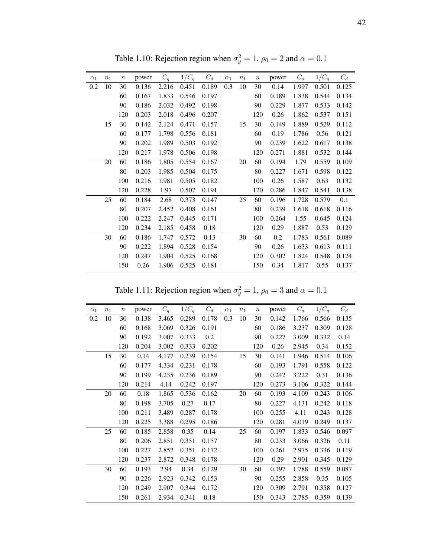| $\alpha_1$ | $n_1$ | $\boldsymbol{n}$ | power | $C_q$ | $1/C_q$ | $C_d$ | $\alpha_1$ | $n_1$ | $\, n$ | power | $C_q$ | $1/C_q$ | $C_d$ |
|------------|-------|------------------|-------|-------|---------|-------|------------|-------|--------|-------|-------|---------|-------|
| 0.2        | 10    | 30               | 0.136 | 2.216 | 0.451   | 0.189 | 0.3        | 10    | 30     | 0.14  | 1.997 | 0.501   | 0.125 |
|            |       | 60               | 0.167 | 1.833 | 0.546   | 0.197 |            |       | 60     | 0.189 | 1.838 | 0.544   | 0.134 |
|            |       | 90               | 0.186 | 2.032 | 0.492   | 0.198 |            |       | 90     | 0.229 | 1.877 | 0.533   | 0.142 |
|            |       | 120              | 0.203 | 2.018 | 0.496   | 0.207 |            |       | 120    | 0.26  | 1.862 | 0.537   | 0.151 |
|            | 15    | 30               | 0.142 | 2.124 | 0.471   | 0.157 |            | 15    | 30     | 0.149 | 1.889 | 0.529   | 0.112 |
|            |       | 60               | 0.177 | 1.798 | 0.556   | 0.181 |            |       | 60     | 0.19  | 1.786 | 0.56    | 0.121 |
|            |       | 90               | 0.202 | 1.989 | 0.503   | 0.192 |            |       | 90     | 0.239 | 1.622 | 0.617   | 0.138 |
|            |       | 120              | 0.217 | 1.978 | 0.506   | 0.198 |            |       | 120    | 0.271 | 1.881 | 0.532   | 0.144 |
|            | 20    | 60               | 0.186 | 1.805 | 0.554   | 0.167 |            | 20    | 60     | 0.194 | 1.79  | 0.559   | 0.109 |
|            |       | 80               | 0.203 | 1.985 | 0.504   | 0.175 |            |       | 80     | 0.227 | 1.671 | 0.598   | 0.122 |
|            |       | 100              | 0.216 | 1.981 | 0.505   | 0.182 |            |       | 100    | 0.26  | 1.587 | 0.63    | 0.132 |
|            |       | 120              | 0.228 | 1.97  | 0.507   | 0.191 |            |       | 120    | 0.286 | 1.847 | 0.541   | 0.138 |
|            | 25    | 60               | 0.184 | 2.68  | 0.373   | 0.147 |            | 25    | 60     | 0.196 | 1.728 | 0.579   | 0.1   |
|            |       | 80               | 0.207 | 2.452 | 0.408   | 0.161 |            |       | 80     | 0.239 | 1.618 | 0.618   | 0.116 |
|            |       | 100              | 0.222 | 2.247 | 0.445   | 0.171 |            |       | 100    | 0.264 | 1.55  | 0.645   | 0.124 |
|            |       | 120              | 0.234 | 2.185 | 0.458   | 0.18  |            |       | 120    | 0.29  | 1.887 | 0.53    | 0.129 |
|            | 30    | 60               | 0.186 | 1.747 | 0.572   | 0.13  |            | 30    | 60     | 0.2   | 1.783 | 0.561   | 0.089 |
|            |       | 90               | 0.222 | 1.894 | 0.528   | 0.154 |            |       | 90     | 0.26  | 1.633 | 0.613   | 0.111 |
|            |       | 120              | 0.247 | 1.904 | 0.525   | 0.168 |            |       | 120    | 0.302 | 1.824 | 0.548   | 0.124 |
|            |       | 150              | 0.26  | 1.906 | 0.525   | 0.181 |            |       | 150    | 0.34  | 1.817 | 0.55    | 0.137 |

Table 1.10: Rejection region when  $\sigma_y^2 = 1$ ,  $\rho_0 = 2$  and  $\alpha = 0.1$ 

Table 1.11: Rejection region when  $\sigma_y^2 = 1$ ,  $\rho_0 = 3$  and  $\alpha = 0.1$ 

| $\alpha_1$ | $n_1$ | $\boldsymbol{n}$ | power | $C_q$ | $1/C_q$ | $C_d$ | $\alpha_1$ | $n_1$ | $\,n$ | power | $C_q$ | $1/C_q$ | $C_d$ |
|------------|-------|------------------|-------|-------|---------|-------|------------|-------|-------|-------|-------|---------|-------|
| 0.2        | 10    | 30               | 0.138 | 3.465 | 0.289   | 0.178 | 0.3        | 10    | 30    | 0.142 | 1.766 | 0.566   | 0.135 |
|            |       | 60               | 0.168 | 3.069 | 0.326   | 0.191 |            |       | 60    | 0.186 | 3.237 | 0.309   | 0.128 |
|            |       | 90               | 0.192 | 3.007 | 0.333   | 0.2   |            |       | 90    | 0.227 | 3.009 | 0.332   | 0.14  |
|            |       | 120              | 0.204 | 3.002 | 0.333   | 0.202 |            |       | 120   | 0.26  | 2.945 | 0.34    | 0.152 |
|            | 15    | 30               | 0.14  | 4.177 | 0.239   | 0.154 |            | 15    | 30    | 0.141 | 1.946 | 0.514   | 0.106 |
|            |       | 60               | 0.177 | 4.334 | 0.231   | 0.178 |            |       | 60    | 0.193 | 1.791 | 0.558   | 0.122 |
|            |       | 90               | 0.199 | 4.235 | 0.236   | 0.189 |            |       | 90    | 0.242 | 3.222 | 0.31    | 0.136 |
|            |       | 120              | 0.214 | 4.14  | 0.242   | 0.197 |            |       | 120   | 0.273 | 3.106 | 0.322   | 0.144 |
|            | 20    | 60               | 0.18  | 1.865 | 0.536   | 0.162 |            | 20    | 60    | 0.193 | 4.109 | 0.243   | 0.106 |
|            |       | 80               | 0.198 | 3.705 | 0.27    | 0.17  |            |       | 80    | 0.227 | 4.131 | 0.242   | 0.118 |
|            |       | 100              | 0.211 | 3.489 | 0.287   | 0.178 |            |       | 100   | 0.255 | 4.11  | 0.243   | 0.128 |
|            |       | 120              | 0.225 | 3.388 | 0.295   | 0.186 |            |       | 120   | 0.281 | 4.019 | 0.249   | 0.137 |
|            | 25    | 60               | 0.185 | 2.858 | 0.35    | 0.14  |            | 25    | 60    | 0.197 | 1.833 | 0.546   | 0.097 |
|            |       | 80               | 0.206 | 2.851 | 0.351   | 0.157 |            |       | 80    | 0.233 | 3.066 | 0.326   | 0.11  |
|            |       | 100              | 0.227 | 2.852 | 0.351   | 0.172 |            |       | 100   | 0.261 | 2.975 | 0.336   | 0.119 |
|            |       | 120              | 0.237 | 2.872 | 0.348   | 0.178 |            |       | 120   | 0.29  | 2.901 | 0.345   | 0.129 |
|            | 30    | 60               | 0.193 | 2.94  | 0.34    | 0.129 |            | 30    | 60    | 0.197 | 1.788 | 0.559   | 0.087 |
|            |       | 90               | 0.226 | 2.923 | 0.342   | 0.153 |            |       | 90    | 0.255 | 2.858 | 0.35    | 0.105 |
|            |       | 120              | 0.249 | 2.907 | 0.344   | 0.172 |            |       | 120   | 0.309 | 2.791 | 0.358   | 0.127 |
|            |       | 150              | 0.261 | 2.934 | 0.341   | 0.18  |            |       | 150   | 0.343 | 2.785 | 0.359   | 0.139 |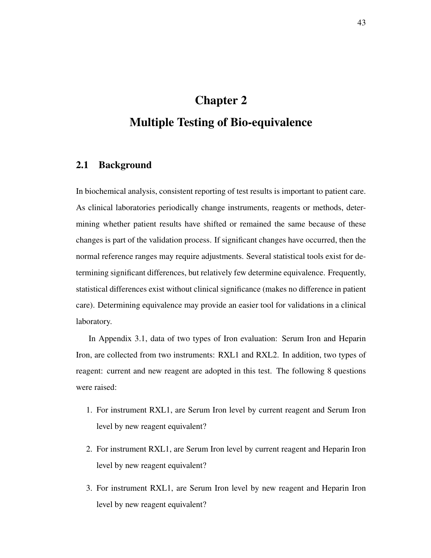# Chapter 2 Multiple Testing of Bio-equivalence

#### 2.1 Background

In biochemical analysis, consistent reporting of test results is important to patient care. As clinical laboratories periodically change instruments, reagents or methods, determining whether patient results have shifted or remained the same because of these changes is part of the validation process. If significant changes have occurred, then the normal reference ranges may require adjustments. Several statistical tools exist for determining significant differences, but relatively few determine equivalence. Frequently, statistical differences exist without clinical significance (makes no difference in patient care). Determining equivalence may provide an easier tool for validations in a clinical laboratory.

In Appendix 3.1, data of two types of Iron evaluation: Serum Iron and Heparin Iron, are collected from two instruments: RXL1 and RXL2. In addition, two types of reagent: current and new reagent are adopted in this test. The following 8 questions were raised:

- 1. For instrument RXL1, are Serum Iron level by current reagent and Serum Iron level by new reagent equivalent?
- 2. For instrument RXL1, are Serum Iron level by current reagent and Heparin Iron level by new reagent equivalent?
- 3. For instrument RXL1, are Serum Iron level by new reagent and Heparin Iron level by new reagent equivalent?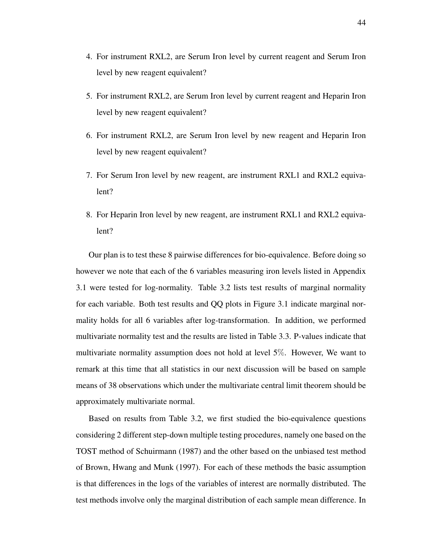- 4. For instrument RXL2, are Serum Iron level by current reagent and Serum Iron level by new reagent equivalent?
- 5. For instrument RXL2, are Serum Iron level by current reagent and Heparin Iron level by new reagent equivalent?
- 6. For instrument RXL2, are Serum Iron level by new reagent and Heparin Iron level by new reagent equivalent?
- 7. For Serum Iron level by new reagent, are instrument RXL1 and RXL2 equivalent?
- 8. For Heparin Iron level by new reagent, are instrument RXL1 and RXL2 equivalent?

Our plan is to test these 8 pairwise differences for bio-equivalence. Before doing so however we note that each of the 6 variables measuring iron levels listed in Appendix 3.1 were tested for log-normality. Table 3.2 lists test results of marginal normality for each variable. Both test results and QQ plots in Figure 3.1 indicate marginal normality holds for all 6 variables after log-transformation. In addition, we performed multivariate normality test and the results are listed in Table 3.3. P-values indicate that multivariate normality assumption does not hold at level 5%. However, We want to remark at this time that all statistics in our next discussion will be based on sample means of 38 observations which under the multivariate central limit theorem should be approximately multivariate normal.

Based on results from Table 3.2, we first studied the bio-equivalence questions considering 2 different step-down multiple testing procedures, namely one based on the TOST method of Schuirmann (1987) and the other based on the unbiased test method of Brown, Hwang and Munk (1997). For each of these methods the basic assumption is that differences in the logs of the variables of interest are normally distributed. The test methods involve only the marginal distribution of each sample mean difference. In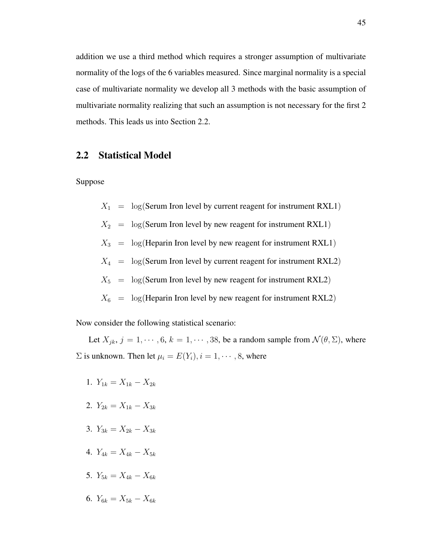addition we use a third method which requires a stronger assumption of multivariate normality of the logs of the 6 variables measured. Since marginal normality is a special case of multivariate normality we develop all 3 methods with the basic assumption of multivariate normality realizing that such an assumption is not necessary for the first 2 methods. This leads us into Section 2.2.

#### 2.2 Statistical Model

Suppose

- $X_1 = \log(\text{Serum Iron level by current reagent for instrument RXL1})$
- $X_2 = \log(\text{Serum Iron level by new reagent for instrument RXL1})$
- $X_3$  =  $\log(H$ eparin Iron level by new reagent for instrument RXL1)
- $X_4 = \log(\text{Serum Iron level by current reagent for instrument RXL2})$
- $X_5 = \log(\text{Serum Iron level by new reagent for instrument RXL2})$
- $X_6$  =  $\log$ (Heparin Iron level by new reagent for instrument RXL2)

Now consider the following statistical scenario:

Let  $X_{jk}$ ,  $j = 1, \dots, 6$ ,  $k = 1, \dots, 38$ , be a random sample from  $\mathcal{N}(\theta, \Sigma)$ , where  $\Sigma$  is unknown. Then let  $\mu_i = E(Y_i), i = 1, \dots, 8$ , where

- 1.  $Y_{1k} = X_{1k} X_{2k}$
- 2.  $Y_{2k} = X_{1k} X_{3k}$
- 3.  $Y_{3k} = X_{2k} X_{3k}$
- 4.  $Y_{4k} = X_{4k} X_{5k}$
- 5.  $Y_{5k} = X_{4k} X_{6k}$
- 6.  $Y_{6k} = X_{5k} X_{6k}$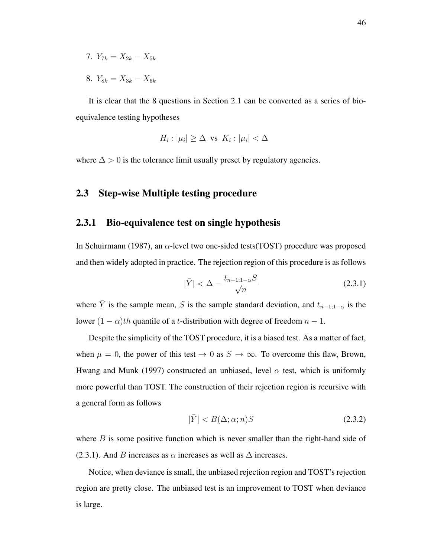- 7.  $Y_{7k} = X_{2k} X_{5k}$
- 8.  $Y_{8k} = X_{3k} X_{6k}$

It is clear that the 8 questions in Section 2.1 can be converted as a series of bioequivalence testing hypotheses

$$
H_i : |\mu_i| \geq \Delta \text{ vs } K_i : |\mu_i| < \Delta
$$

where  $\Delta > 0$  is the tolerance limit usually preset by regulatory agencies.

#### 2.3 Step-wise Multiple testing procedure

#### 2.3.1 Bio-equivalence test on single hypothesis

In Schuirmann (1987), an  $\alpha$ -level two one-sided tests(TOST) procedure was proposed and then widely adopted in practice. The rejection region of this procedure is as follows

$$
|\bar{Y}| < \Delta - \frac{t_{n-1;1-\alpha}S}{\sqrt{n}} \tag{2.3.1}
$$

where  $\overline{Y}$  is the sample mean, S is the sample standard deviation, and  $t_{n-1;1-\alpha}$  is the lower  $(1 - \alpha)$ th quantile of a t-distribution with degree of freedom  $n - 1$ .

Despite the simplicity of the TOST procedure, it is a biased test. As a matter of fact, when  $\mu = 0$ , the power of this test  $\rightarrow 0$  as  $S \rightarrow \infty$ . To overcome this flaw, Brown, Hwang and Munk (1997) constructed an unbiased, level  $\alpha$  test, which is uniformly more powerful than TOST. The construction of their rejection region is recursive with a general form as follows

$$
|\bar{Y}| < B(\Delta; \alpha; n)S \tag{2.3.2}
$$

where  $B$  is some positive function which is never smaller than the right-hand side of (2.3.1). And B increases as  $\alpha$  increases as well as  $\Delta$  increases.

Notice, when deviance is small, the unbiased rejection region and TOST's rejection region are pretty close. The unbiased test is an improvement to TOST when deviance is large.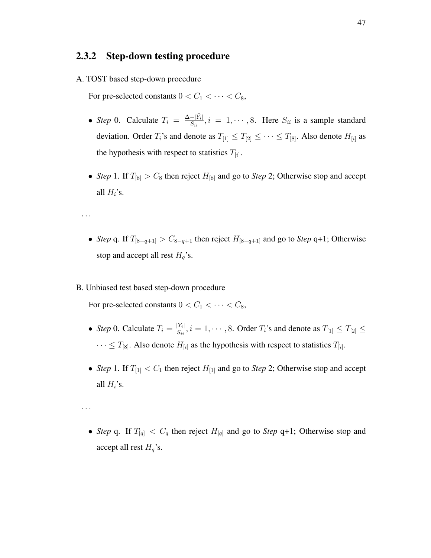## 2.3.2 Step-down testing procedure

A. TOST based step-down procedure

For pre-selected constants  $0 < C_1 < \cdots < C_8$ ,

- *Step* 0. Calculate  $T_i = \frac{\Delta |\bar{Y}_i|}{S_{ii}}$  $\frac{-|Y_i|}{S_{ii}}, i = 1, \cdots, 8$ . Here  $S_{ii}$  is a sample standard deviation. Order  $T_i$ 's and denote as  $T_{[1]} \leq T_{[2]} \leq \cdots \leq T_{[8]}$ . Also denote  $H_{[i]}$  as the hypothesis with respect to statistics  $T_{[i]}$ .
- *Step* 1. If  $T_{[8]} > C_8$  then reject  $H_{[8]}$  and go to *Step* 2; Otherwise stop and accept all  $H_i$ 's.

· · ·

• *Step* q. If  $T_{[8-q+1]} > C_{8-q+1}$  then reject  $H_{[8-q+1]}$  and go to *Step* q+1; Otherwise stop and accept all rest  $H_q$ 's.

#### B. Unbiased test based step-down procedure

For pre-selected constants  $0 < C_1 < \cdots < C_8$ ,

- *Step* 0. Calculate  $T_i = \frac{|\bar{Y}_i|}{S_{ii}}$  $\frac{|Y_i|}{S_{ii}}, i = 1, \cdots, 8$ . Order  $T_i$ 's and denote as  $T_{[1]} \le T_{[2]} \le$  $\cdots \leq T_{8}$ . Also denote  $H_{[i]}$  as the hypothesis with respect to statistics  $T_{[i]}$ .
- *Step* 1. If  $T_{[1]} < C_1$  then reject  $H_{[1]}$  and go to *Step* 2; Otherwise stop and accept all  $H_i$ 's.

· · ·

• *Step* q. If  $T_{[q]} < C_q$  then reject  $H_{[q]}$  and go to *Step* q+1; Otherwise stop and accept all rest  $H_q$ 's.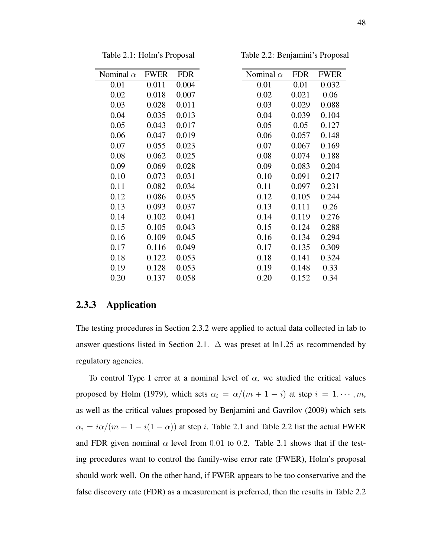| Nominal $\alpha$ | <b>FWER</b> | <b>FDR</b> | Nominal $\alpha$ | <b>FDR</b> | <b>FWER</b> |
|------------------|-------------|------------|------------------|------------|-------------|
| 0.01             | 0.011       | 0.004      | 0.01             | 0.01       | 0.032       |
| 0.02             | 0.018       | 0.007      | 0.02             | 0.021      | 0.06        |
| 0.03             | 0.028       | 0.011      | 0.03             | 0.029      | 0.088       |
| 0.04             | 0.035       | 0.013      | 0.04             | 0.039      | 0.104       |
| 0.05             | 0.043       | 0.017      | 0.05             | 0.05       | 0.127       |
| 0.06             | 0.047       | 0.019      | 0.06             | 0.057      | 0.148       |
| 0.07             | 0.055       | 0.023      | 0.07             | 0.067      | 0.169       |
| 0.08             | 0.062       | 0.025      | 0.08             | 0.074      | 0.188       |
| 0.09             | 0.069       | 0.028      | 0.09             | 0.083      | 0.204       |
| 0.10             | 0.073       | 0.031      | 0.10             | 0.091      | 0.217       |
| 0.11             | 0.082       | 0.034      | 0.11             | 0.097      | 0.231       |
| 0.12             | 0.086       | 0.035      | 0.12             | 0.105      | 0.244       |
| 0.13             | 0.093       | 0.037      | 0.13             | 0.111      | 0.26        |
| 0.14             | 0.102       | 0.041      | 0.14             | 0.119      | 0.276       |
| 0.15             | 0.105       | 0.043      | 0.15             | 0.124      | 0.288       |
| 0.16             | 0.109       | 0.045      | 0.16             | 0.134      | 0.294       |
| 0.17             | 0.116       | 0.049      | 0.17             | 0.135      | 0.309       |
| 0.18             | 0.122       | 0.053      | 0.18             | 0.141      | 0.324       |
| 0.19             | 0.128       | 0.053      | 0.19             | 0.148      | 0.33        |
| 0.20             | 0.137       | 0.058      | 0.20             | 0.152      | 0.34        |

Table 2.1: Holm's Proposal

Table 2.2: Benjamini's Proposal

### 2.3.3 Application

The testing procedures in Section 2.3.2 were applied to actual data collected in lab to answer questions listed in Section 2.1.  $\Delta$  was preset at ln1.25 as recommended by regulatory agencies.

To control Type I error at a nominal level of  $\alpha$ , we studied the critical values proposed by Holm (1979), which sets  $\alpha_i = \alpha/(m + 1 - i)$  at step  $i = 1, \dots, m$ , as well as the critical values proposed by Benjamini and Gavrilov (2009) which sets  $\alpha_i = i\alpha/(m + 1 - i(1 - \alpha))$  at step *i*. Table 2.1 and Table 2.2 list the actual FWER and FDR given nominal  $\alpha$  level from 0.01 to 0.2. Table 2.1 shows that if the testing procedures want to control the family-wise error rate (FWER), Holm's proposal should work well. On the other hand, if FWER appears to be too conservative and the false discovery rate (FDR) as a measurement is preferred, then the results in Table 2.2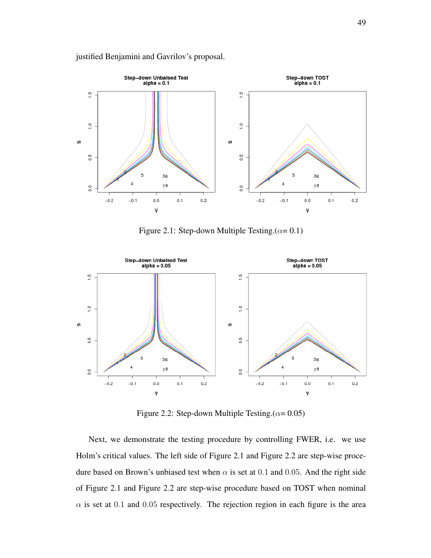

#### justified Benjamini and Gavrilov's proposal.

Figure 2.1: Step-down Multiple Testing. $(\alpha = 0.1)$ 



Figure 2.2: Step-down Multiple Testing. $(\alpha = 0.05)$ 

Next, we demonstrate the testing procedure by controlling FWER, i.e. we use Holm's critical values. The left side of Figure 2.1 and Figure 2.2 are step-wise procedure based on Brown's unbiased test when  $\alpha$  is set at 0.1 and 0.05. And the right side of Figure 2.1 and Figure 2.2 are step-wise procedure based on TOST when nominal  $\alpha$  is set at 0.1 and 0.05 respectively. The rejection region in each figure is the area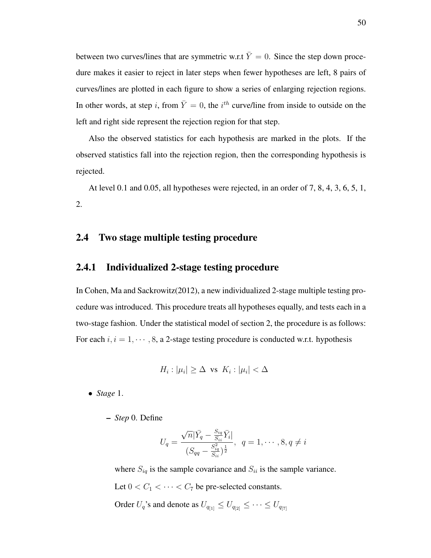between two curves/lines that are symmetric w.r.t  $\overline{Y} = 0$ . Since the step down procedure makes it easier to reject in later steps when fewer hypotheses are left, 8 pairs of curves/lines are plotted in each figure to show a series of enlarging rejection regions. In other words, at step i, from  $\overline{Y} = 0$ , the i<sup>th</sup> curve/line from inside to outside on the left and right side represent the rejection region for that step.

Also the observed statistics for each hypothesis are marked in the plots. If the observed statistics fall into the rejection region, then the corresponding hypothesis is rejected.

At level 0.1 and 0.05, all hypotheses were rejected, in an order of 7, 8, 4, 3, 6, 5, 1, 2.

### 2.4 Two stage multiple testing procedure

#### 2.4.1 Individualized 2-stage testing procedure

In Cohen, Ma and Sackrowitz(2012), a new individualized 2-stage multiple testing procedure was introduced. This procedure treats all hypotheses equally, and tests each in a two-stage fashion. Under the statistical model of section 2, the procedure is as follows: For each  $i, i = 1, \dots, 8$ , a 2-stage testing procedure is conducted w.r.t. hypothesis

$$
H_i : |\mu_i| \ge \Delta \text{ vs } K_i : |\mu_i| < \Delta
$$

• *Stage* 1.

– *Step* 0. Define

$$
U_q = \frac{\sqrt{n}|\bar{Y}_q - \frac{S_{iq}}{S_{ii}}\bar{Y}_i|}{(S_{qq} - \frac{S_{iq}^2}{S_{ii}})^{\frac{1}{2}}}, \ \ q = 1, \cdots, 8, q \neq i
$$

where  $S_{iq}$  is the sample covariance and  $S_{ii}$  is the sample variance.

Let  $0 < C_1 < \cdots < C_7$  be pre-selected constants.

Order  $U_q$ 's and denote as  $U_{q_{[1]}} \leq U_{q_{[2]}} \leq \cdots \leq U_{q_{[7]}}$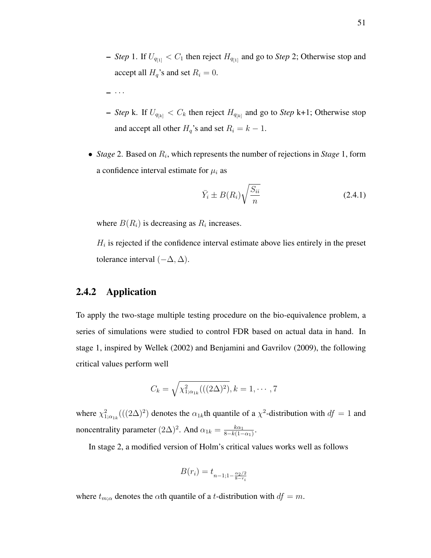- *Step* 1. If  $U_{q_{[1]}} < C_1$  then reject  $H_{q_{[1]}}$  and go to *Step* 2; Otherwise stop and accept all  $H_q$ 's and set  $R_i = 0$ .
- $\cdot \cdot \cdot$
- $-$  *Step* k. If  $U_{q_{[k]}} < C_k$  then reject  $H_{q_{[k]}}$  and go to *Step* k+1; Otherwise stop and accept all other  $H_q$ 's and set  $R_i = k - 1$ .
- *Stage* 2. Based on  $R_i$ , which represents the number of rejections in *Stage* 1, form a confidence interval estimate for  $\mu_i$  as

$$
\bar{Y}_i \pm B(R_i) \sqrt{\frac{S_{ii}}{n}} \tag{2.4.1}
$$

where  $B(R_i)$  is decreasing as  $R_i$  increases.

 $H_i$  is rejected if the confidence interval estimate above lies entirely in the preset tolerance interval  $(-\Delta, \Delta)$ .

## 2.4.2 Application

To apply the two-stage multiple testing procedure on the bio-equivalence problem, a series of simulations were studied to control FDR based on actual data in hand. In stage 1, inspired by Wellek (2002) and Benjamini and Gavrilov (2009), the following critical values perform well

$$
C_k = \sqrt{\chi^2_{1;\alpha_{1k}}(((2\Delta)^2)}, k = 1, \cdots, 7)
$$

where  $\chi^2_{1;\alpha_{1k}}(((2\Delta)^2)$  denotes the  $\alpha_{1k}$ th quantile of a  $\chi^2$ -distribution with  $df = 1$  and noncentrality parameter  $(2\Delta)^2$ . And  $\alpha_{1k} = \frac{k\alpha_1}{8 - k(1 - k)}$  $\frac{k\alpha_1}{8-k(1-\alpha_1)}$ .

In stage 2, a modified version of Holm's critical values works well as follows

$$
B(r_i) = t_{n-1; 1-\frac{\alpha_2/2}{8-r_i}}
$$

where  $t_{m;\alpha}$  denotes the  $\alpha$ th quantile of a t-distribution with  $df = m$ .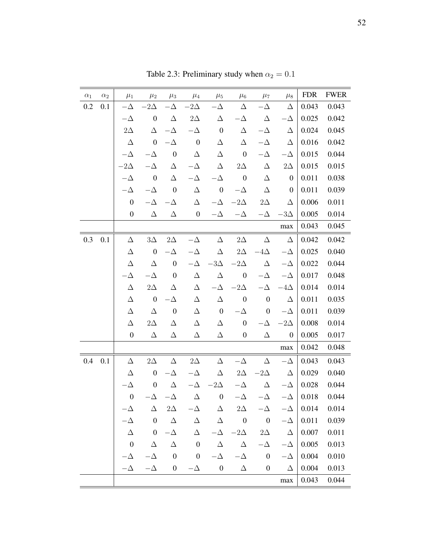| $\alpha_1$ | $\alpha_2$ | $\mu_1$          | $\mu_2$          | $\mu_3$          | $\mu_4$          | $\mu_5$          | $\mu_6$          | $\mu_7$          | $\mu_8$          | <b>FDR</b> | <b>FWER</b> |
|------------|------------|------------------|------------------|------------------|------------------|------------------|------------------|------------------|------------------|------------|-------------|
| 0.2        | 0.1        | $-\Delta$        | $-2\Delta$       | -Д               | $-2\Delta$       | - $\Delta$       | Δ                | $-\Delta$        | Δ                | 0.043      | 0.043       |
|            |            | $-\Delta$        | $\boldsymbol{0}$ | $\Delta$         | $2\Delta$        | Δ                | $-\Delta$        | Δ                | $-\Delta$        | 0.025      | 0.042       |
|            |            | $2\Delta$        | Δ                | $-\Delta$        | $-\Delta$        | $\boldsymbol{0}$ | Δ                | $-\Delta$        | Δ                | 0.024      | 0.045       |
|            |            | $\Delta$         | $\boldsymbol{0}$ | $-\Delta$        | $\boldsymbol{0}$ | Δ                | $\Delta$         | $-\Delta$        | Δ                | 0.016      | 0.042       |
|            |            | $-\Delta$        | $-\Delta$        | $\boldsymbol{0}$ | Δ                | $\Delta$         | $\boldsymbol{0}$ | $-\Delta$        | $-\Delta$        | 0.015      | 0.044       |
|            |            | $-2\Delta$       | $-\Delta$        | Δ                | $-\Delta$        | Δ                | $2\Delta$        | Δ                | $2\Delta$        | 0.015      | 0.015       |
|            |            | $-\Delta$        | $\boldsymbol{0}$ | $\Delta$         | $-\Delta$        | $-\Delta$        | $\boldsymbol{0}$ | $\Delta$         | $\boldsymbol{0}$ | 0.011      | 0.038       |
|            |            | $-\Delta$        | $-\Delta$        | $\boldsymbol{0}$ | Δ                | $\boldsymbol{0}$ | $-\Delta$        | $\Delta$         | $\boldsymbol{0}$ | 0.011      | 0.039       |
|            |            | $\boldsymbol{0}$ | $-\Delta$        | $-\Delta$        | Δ                | $-\Delta$        | $-2\Delta$       | $2\Delta$        | Δ                | 0.006      | 0.011       |
|            |            | $\boldsymbol{0}$ | Δ                | Δ                | $\boldsymbol{0}$ | $-\Delta$        | $-\Delta$        | $-\Delta$        | $-3\Delta$       | 0.005      | 0.014       |
|            |            |                  |                  |                  |                  |                  |                  |                  | max              | 0.043      | 0.045       |
| 0.3        | 0.1        | Δ                | $3\Delta$        | $2\Delta$        | $-\Delta$        | Δ                | $2\Delta$        | Δ                | $\Delta$         | 0.042      | 0.042       |
|            |            | Δ                | $\boldsymbol{0}$ | $-\Delta$        | $-\Delta$        | Δ                | $2\Delta$        | $-4\Delta$       | $-\Delta$        | 0.025      | 0.040       |
|            |            | Δ                | Δ                | $\boldsymbol{0}$ | $-\Delta$        | $-3\Delta$       | $-2\Delta$       | Δ                | $-\Delta$        | 0.022      | 0.044       |
|            |            | $-\Delta$        | $-\Delta$        | $\boldsymbol{0}$ | Δ                | $\Delta$         | $\boldsymbol{0}$ | $-\Delta$        | $-\Delta$        | 0.017      | 0.048       |
|            |            | Δ                | $2\Delta$        | Δ                | Δ                | $-\Delta$        | $-2\Delta$       | $-\Delta$        | $-4\Delta$       | 0.014      | 0.014       |
|            |            | Δ                | $\boldsymbol{0}$ | $-\Delta$        | Δ                | $\Delta$         | $\boldsymbol{0}$ | $\boldsymbol{0}$ | Δ                | 0.011      | 0.035       |
|            |            | Δ                | Δ                | $\boldsymbol{0}$ | Δ                | $\boldsymbol{0}$ | $-\Delta$        | $\boldsymbol{0}$ | $-\Delta$        | 0.011      | 0.039       |
|            |            | Δ                | $2\Delta$        | Δ                | Δ                | Δ                | $\boldsymbol{0}$ | $-\Delta$        | $-2\Delta$       | 0.008      | 0.014       |
|            |            | $\boldsymbol{0}$ | Δ                | Δ                | Δ                | Δ                | $\boldsymbol{0}$ | Δ                | $\boldsymbol{0}$ | 0.005      | 0.017       |
|            |            |                  |                  |                  |                  |                  |                  |                  | max              | 0.042      | 0.048       |
| 0.4        | 0.1        | Δ                | $2\Delta$        | Δ                | $2\Delta$        | Δ                | $-\Delta$        | Δ                | $-\Delta$        | 0.043      | 0.043       |
|            |            | Δ                | $\boldsymbol{0}$ | $-\Delta$        | $-\Delta$        | Δ                | $2\Delta$        | $-2\Delta$       | $\Delta$         | 0.029      | 0.040       |
|            |            | $\Delta$         | $\boldsymbol{0}$ | $\Delta$         | $-\Delta$        | $-2\Delta$       | $-\Delta$        | $\Delta$         | $-\Delta$        | 0.028      | 0.044       |
|            |            | $\boldsymbol{0}$ | $-\Delta$        | $-\Delta$        | $\Delta$         | $\boldsymbol{0}$ | $-\Delta$        | $-\Delta$        | $-\Delta$        | 0.018      | 0.044       |
|            |            | $-\Delta$        | Δ                | $2\Delta$        | $-\Delta$        | $\Delta$         | $2\Delta$        | $-\Delta$        | $-\Delta$        | 0.014      | 0.014       |
|            |            | $-\Delta$        | $\boldsymbol{0}$ | $\Delta$         | Δ                | Δ                | $\boldsymbol{0}$ | $\boldsymbol{0}$ | $-\Delta$        | 0.011      | 0.039       |
|            |            | Δ                | $\boldsymbol{0}$ | $-\Delta$        | Δ                | $-\Delta$        | $-2\Delta$       | $2\Delta$        | $\Delta$         | 0.007      | 0.011       |
|            |            | $\boldsymbol{0}$ | $\Delta$         | $\Delta$         | $\boldsymbol{0}$ | $\Delta$         | $\Delta$         | $-\Delta$        | $-\Delta$        | 0.005      | 0.013       |
|            |            | $-\Delta$        | $-\Delta$        | $\boldsymbol{0}$ | $\boldsymbol{0}$ | $-\Delta$        | $-\Delta$        | $\boldsymbol{0}$ | $-\Delta$        | 0.004      | 0.010       |
|            |            | $-\Delta$        | $-\Delta$        | $\boldsymbol{0}$ | $-\Delta$        | $\boldsymbol{0}$ | $\Delta$         | $\boldsymbol{0}$ | Δ                | 0.004      | 0.013       |
|            |            |                  |                  |                  |                  |                  |                  |                  | max              | 0.043      | 0.044       |

Table 2.3: Preliminary study when  $\alpha_2 = 0.1$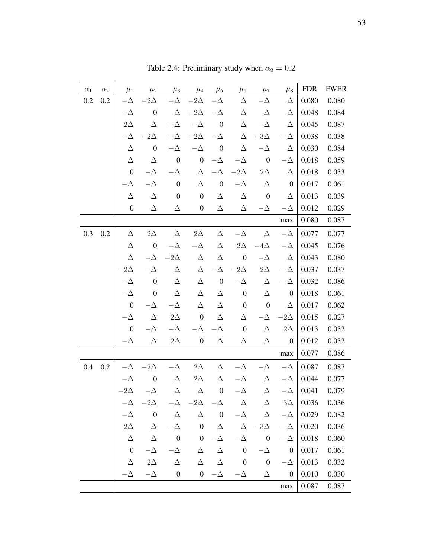| $\alpha_1$ | $\alpha_2$ | $\mu_1$          | $\mu_2$          | $\mu_3$          | $\mu_4$              | $\mu_5$          | $\mu_6$          | $\mu_7$          | $\mu_8$          | <b>FDR</b> | <b>FWER</b> |
|------------|------------|------------------|------------------|------------------|----------------------|------------------|------------------|------------------|------------------|------------|-------------|
| 0.2        | 0.2        | $-\Delta$        | $-2\Delta$       | $-\Delta$        | $-2\Delta$           | $-\Delta$        | Δ                | $-\Delta$        | Δ                | 0.080      | 0.080       |
|            |            | $-\Delta$        | $\boldsymbol{0}$ | Δ                | $-2\Delta$           | $-\Delta$        | Δ                | Δ                | Δ                | 0.048      | 0.084       |
|            |            | $2\Delta$        | Δ                | $-\Delta$        | $-\Delta$            | $\boldsymbol{0}$ | $\Delta$         | $-\Delta$        | Δ                | 0.045      | 0.087       |
|            |            | $-\Delta$        | $-2\Delta$       | $-\Delta$        | $-2\Delta$           | $-\Delta$        | $\Delta$         | $-3\Delta$       | $-\Delta$        | 0.038      | 0.038       |
|            |            | $\Delta$         | $\boldsymbol{0}$ | $-\Delta$        | $-\Delta$            | $\boldsymbol{0}$ | $\Delta$         | $-\Delta$        | Δ                | 0.030      | 0.084       |
|            |            | Δ                | Δ                | $\boldsymbol{0}$ | $\boldsymbol{0}$     | $-\Delta$        | $-\Delta$        | $\boldsymbol{0}$ | $-\Delta$        | 0.018      | 0.059       |
|            |            | $\boldsymbol{0}$ | $-\Delta$        | $-\Delta$        | Δ                    | $-\Delta$        | $-2\Delta$       | $2\Delta$        | Δ                | 0.018      | 0.033       |
|            |            | $-\Delta$        | $-\Delta$        | $\boldsymbol{0}$ | Δ                    | $\boldsymbol{0}$ | $-\Delta$        | Δ                | $\boldsymbol{0}$ | 0.017      | 0.061       |
|            |            | Δ                | Δ                | $\boldsymbol{0}$ | $\boldsymbol{0}$     | Δ                | $\Delta$         | $\boldsymbol{0}$ | Δ                | 0.013      | 0.039       |
|            |            | $\boldsymbol{0}$ | Δ                | Δ                | $\boldsymbol{0}$     | Δ                | Δ                | $-\Delta$        | $-\Delta$        | 0.012      | 0.029       |
|            |            |                  |                  |                  |                      |                  |                  |                  | max              | 0.080      | 0.087       |
| 0.3        | 0.2        | $\Delta$         | $2\Delta$        | $\Delta$         | $2\Delta$            | Δ                | $-\Delta$        | $\Delta$         | $-\Delta$        | 0.077      | 0.077       |
|            |            | Δ                | $\boldsymbol{0}$ | $-\Delta$        | $-\Delta$            | Δ                | $2\Delta$        | $-4\Delta$       | $-\Delta$        | 0.045      | 0.076       |
|            |            | Δ                | $-\Delta$        | $-2\Delta$       | $\Delta$             | Δ                | $\boldsymbol{0}$ | $-\Delta$        | Δ                | 0.043      | 0.080       |
|            |            | $-2\Delta$       | $-\Delta$        | Δ                | Δ                    | $-\Delta$        | $-2\Delta$       | $2\Delta$        | $-\Delta$        | 0.037      | 0.037       |
|            |            | $-\Delta$        | $\boldsymbol{0}$ | Δ                | Δ                    | $\boldsymbol{0}$ | $-\Delta$        | Δ                | $-\Delta$        | 0.032      | 0.086       |
|            |            | $-\Delta$        | $\boldsymbol{0}$ | $\Delta$         | $\Delta$             | $\Delta$         | $\boldsymbol{0}$ | Δ                | $\boldsymbol{0}$ | 0.018      | 0.061       |
|            |            | $\boldsymbol{0}$ | $-\Delta$        | $-\Delta$        | Δ                    | $\Delta$         | $\boldsymbol{0}$ | $\boldsymbol{0}$ | Δ                | 0.017      | 0.062       |
|            |            | $-\Delta$        | Δ                | $2\Delta$        | $\boldsymbol{0}$     | Δ                | Δ                | -Δ               | $-2\Delta$       | 0.015      | 0.027       |
|            |            | $\boldsymbol{0}$ | - $\Delta$       | $-\Delta$        | $\Delta$             | - $\Delta$       | $\boldsymbol{0}$ | Δ                | $2\Delta$        | 0.013      | 0.032       |
|            |            | $-\Delta$        | Δ                | $2\Delta$        | $\boldsymbol{0}$     | Δ                | Δ                | Δ                | $\boldsymbol{0}$ | 0.012      | 0.032       |
|            |            |                  |                  |                  |                      |                  |                  |                  | max              | 0.077      | 0.086       |
| 0.4        | 0.2        | $-\Delta$        | $-2\Delta$       | $-\Delta$        | $2\Delta$            | $\Delta$         | $-\Delta$        | - $\Delta$       | $-\Delta$        | 0.087      | 0.087       |
|            |            | $-\Delta$        | $\boldsymbol{0}$ | $\Delta$         | $2\Delta$            | Δ                | $-\Delta$        | Δ                | $-\Delta$        | 0.044      | 0.077       |
|            |            | $-2\Delta$       | $-\Delta$        | Δ                | $\Delta$             | $\boldsymbol{0}$ | $-\Delta$        | Δ                | $-\Delta$        | 0.041      | 0.079       |
|            |            | $-\Delta$        | $-2\Delta$       | $-\Delta$        | $-2\Delta$ $-\Delta$ |                  | $\Delta$         | $\Delta$         | $3\Delta$        | 0.036      | 0.036       |
|            |            | $-\Delta$        | $\boldsymbol{0}$ | Δ                | Δ                    | $\boldsymbol{0}$ | $-\Delta$        | Δ                | $-\Delta$        | 0.029      | 0.082       |
|            |            | $2\Delta$        | $\Delta$         | $-\Delta$        | $\boldsymbol{0}$     | $\Delta$         | Δ                | $-3\Delta$       | $-\Delta$        | 0.020      | 0.036       |
|            |            | Δ                | Δ                | $\boldsymbol{0}$ | $\boldsymbol{0}$     | $-\Delta$        | $-\Delta$        | $\boldsymbol{0}$ | $-\Delta$        | 0.018      | 0.060       |
|            |            | $\boldsymbol{0}$ | $-\Delta$        | $-\Delta$        | Δ                    | $\Delta$         | $\boldsymbol{0}$ | $-\Delta$        | $\boldsymbol{0}$ | 0.017      | 0.061       |
|            |            | Δ                | $2\Delta$        | Δ                | $\Delta$             | $\Delta$         | $\boldsymbol{0}$ | $\boldsymbol{0}$ | $-\Delta$        | 0.013      | 0.032       |
|            |            | $-\Delta$        | $-\Delta$        | $\boldsymbol{0}$ | $\boldsymbol{0}$     | $-\Delta$        | $-\Delta$        | Δ                | $\boldsymbol{0}$ | 0.010      | 0.030       |
|            |            |                  |                  |                  |                      |                  |                  |                  | $\max$           | 0.087      | 0.087       |

Table 2.4: Preliminary study when  $\alpha_2 = 0.2$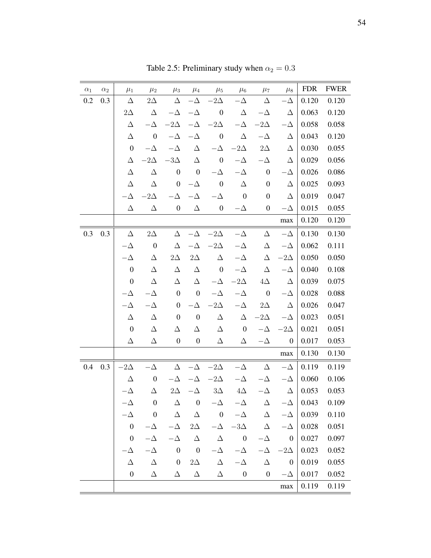| $\alpha_1$ | $\alpha_2$ | $\mu_1$          | $\mu_2$          | $\mu_3$          | $\mu_4$                  | $\mu_5$          | $\mu_6$                 | $\mu_7$          | $\mu_8$          | <b>FDR</b> | <b>FWER</b> |
|------------|------------|------------------|------------------|------------------|--------------------------|------------------|-------------------------|------------------|------------------|------------|-------------|
| $0.2\,$    | 0.3        | Δ                | $2\Delta$        | Δ                | $-\Delta$                | $-2\Delta$       | $-\Delta$               | Δ                | $-\Delta$        | 0.120      | 0.120       |
|            |            | $2\Delta$        | Δ                | $-\Delta$        | $-\Delta$                | $\boldsymbol{0}$ | Δ                       | $-\Delta$        | Δ                | 0.063      | 0.120       |
|            |            | Δ                |                  | $-2\Delta$       | $-\Delta$                | $-2\Delta$       | $-\Delta$               | $-2\Delta$       | -Д               | 0.058      | 0.058       |
|            |            | Δ                | $\boldsymbol{0}$ | $-\Delta$        | $-\Delta$                | $\boldsymbol{0}$ | $\Delta$                | $-\Delta$        | Δ                | 0.043      | 0.120       |
|            |            | $\boldsymbol{0}$ | $-\Delta$        | $-\Delta$        | Δ                        | $-\Delta$        | $-2\Delta$              | $2\Delta$        | Δ                | 0.030      | 0.055       |
|            |            | Δ                | $-2\Delta$       | $-3\Delta$       | Δ                        | $\boldsymbol{0}$ | $-\Delta$               | $-\Delta$        | Δ                | 0.029      | 0.056       |
|            |            | Δ                | Δ                | $\boldsymbol{0}$ | $\boldsymbol{0}$         | $-\Delta$        | $-\Delta$               | $\boldsymbol{0}$ | $-\Delta$        | 0.026      | 0.086       |
|            |            | Δ                | Δ                | $\boldsymbol{0}$ | $-\Delta$                | $\boldsymbol{0}$ | Δ                       | $\boldsymbol{0}$ | Δ                | 0.025      | 0.093       |
|            |            | $-\Delta$        | $-2\Delta$       | Δ                | $-\Delta$                | $-\Delta$        | $\boldsymbol{0}$        | $\boldsymbol{0}$ | Δ                | 0.019      | 0.047       |
|            |            | Δ                | Δ                | $\boldsymbol{0}$ | Δ                        | $\boldsymbol{0}$ | $-\Delta$               | $\boldsymbol{0}$ | $-\Delta$        | 0.015      | 0.055       |
|            |            |                  |                  |                  |                          |                  |                         |                  | max              | 0.120      | 0.120       |
| 0.3        | 0.3        | Δ                | $2\Delta$        | Δ                | $-\Delta$                | $-2\Delta$       | $-\Delta$               | $\Delta$         | $-\Delta$        | 0.130      | 0.130       |
|            |            | $-\Delta$        | $\boldsymbol{0}$ | Δ                | $-\Delta$                | $-2\Delta$       | $-\Delta$               | Δ                | $-\Delta$        | 0.062      | 0.111       |
|            |            | $-\Delta$        | Δ                | $2\Delta$        | $2\Delta$                | $\Delta$         | $-\Delta$               | Δ                | $-2\Delta$       | 0.050      | 0.050       |
|            |            | $\boldsymbol{0}$ | Δ                | Δ                | Δ                        | $\boldsymbol{0}$ | $-\Delta$               | Δ                | $-\Delta$        | 0.040      | 0.108       |
|            |            | $\boldsymbol{0}$ | Δ                | Δ                | Δ                        | $-\Delta$        | $-2\Delta$              | $4\Delta$        | $\Delta$         | 0.039      | 0.075       |
|            |            | $-\Delta$        | $-\Delta$        | $\boldsymbol{0}$ | $\boldsymbol{0}$         | $-\Delta$        | $-\Delta$               | $\boldsymbol{0}$ | $-\Delta$        | 0.028      | 0.088       |
|            |            | $-\Delta$        | $-\Delta$        | $\boldsymbol{0}$ | $-\Delta$                | $-2\Delta$       | $-\Delta$               | $2\Delta$        | Δ                | 0.026      | 0.047       |
|            |            | Δ                | Δ                | $\boldsymbol{0}$ | $\boldsymbol{0}$         | Δ                | $\Delta$                | $-2\Delta$       | $-\Delta$        | 0.023      | 0.051       |
|            |            | $\boldsymbol{0}$ | Δ                | Δ                | Δ                        | Δ                | $\boldsymbol{0}$        | $-\Delta$        | $-2\Delta$       | 0.021      | 0.051       |
|            |            | Δ                | Δ                | $\boldsymbol{0}$ | $\boldsymbol{0}$         | Δ                | Δ                       | $-\Delta$        | $\boldsymbol{0}$ | 0.017      | 0.053       |
|            |            |                  |                  |                  |                          |                  |                         |                  | $\max$           | 0.130      | 0.130       |
| 0.4        | 0.3        | $-2\Delta$       | $-\Delta$        | Δ                | $-\Delta$                | $-2\Delta$       | $-\Delta$               | Δ                | $-\Delta$        | 0.119      | 0.119       |
|            |            | Δ                | $\boldsymbol{0}$ | $-\Delta$        | $-\Delta$                | $-2\Delta$       | $-\Delta$               | $-\Delta$        | $-\Delta$        | 0.060      | 0.106       |
|            |            | $-\Delta$        | Δ                | $2\Delta$        | $-\Delta$                | $3\Delta$        | $4\Delta$               | $-\Delta$        | $\Delta$         | 0.053      | 0.053       |
|            |            | $-\Delta$        | $\boldsymbol{0}$ | $\Delta$         | $\overline{\phantom{0}}$ | $-\Delta$        | $-\Delta$               | $\Delta$         | $-\Delta$        | 0.043      | 0.109       |
|            |            | $-\Delta$        | $\boldsymbol{0}$ | $\Delta$         | $\Delta$                 | $\boldsymbol{0}$ | $-\Delta$               | $\Delta$         | $-\Delta$        | 0.039      | 0.110       |
|            |            | $\boldsymbol{0}$ | $-\Delta$        | $-\Delta$        | $2\Delta$                | $-\Delta$        | $-3\Delta$              | $\Delta$         | $-\Delta$        | 0.028      | 0.051       |
|            |            | $\boldsymbol{0}$ | $-\Delta$        | $-\Delta$        | $\Delta$                 | $\Delta$         | $\overline{\mathbf{0}}$ | $-\Delta$        | $\boldsymbol{0}$ | 0.027      | 0.097       |
|            |            | $-\Delta$        | $-\Delta$        | $\boldsymbol{0}$ | $\overline{\phantom{0}}$ | $-\Delta$        | $-\Delta$               | $-\Delta$        | $-2\Delta$       | 0.023      | 0.052       |
|            |            | Δ                | $\Delta$         | $\boldsymbol{0}$ | $2\Delta$                | Δ                | $-\Delta$               | $\Delta$         | $\boldsymbol{0}$ | 0.019      | 0.055       |
|            |            | $\boldsymbol{0}$ | Δ                | Δ                | Δ                        | Δ                | $\boldsymbol{0}$        | $\boldsymbol{0}$ | $-\Delta$        | 0.017      | 0.052       |
|            |            |                  |                  |                  |                          |                  |                         |                  | $\max$           | 0.119      | 0.119       |

Table 2.5: Preliminary study when  $\alpha_2 = 0.3$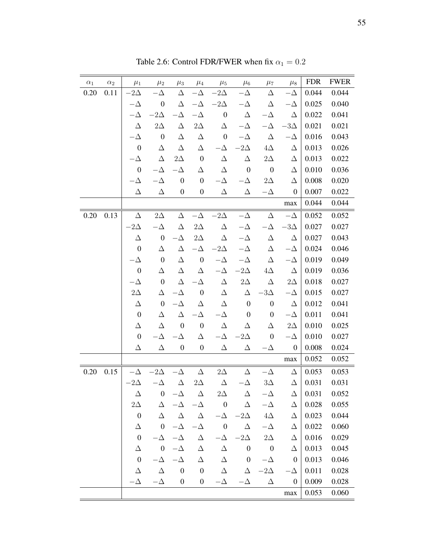| $\alpha_1$ | $\alpha_2$ | $\mu_1$          | $\mu_2$          | $\mu_3$          | $\mu_4$          | $\mu_5$          | $\mu_6$          | $\mu_7$                  | $\mu_8$          | <b>FDR</b> | <b>FWER</b> |
|------------|------------|------------------|------------------|------------------|------------------|------------------|------------------|--------------------------|------------------|------------|-------------|
| 0.20       | 0.11       | $-2\Delta$       | $-\Delta$        | $\Delta$         | $-\Delta$        | $-2\Delta$       | $-\Delta$        | Δ                        | $-\Delta$        | 0.044      | 0.044       |
|            |            | $-\Delta$        | $\boldsymbol{0}$ | $\Delta$         | $-\Delta$        | $-2\Delta$       | $-\Delta$        | Δ                        | $-\Delta$        | 0.025      | 0.040       |
|            |            | $-\Delta$        | $-2\Delta$       | $-\Delta$        | $-\Delta$        | $\boldsymbol{0}$ | $\Delta$         | $-\Delta$                | $\Delta$         | 0.022      | 0.041       |
|            |            | $\Delta$         | $2\Delta$        | Δ                | $2\Delta$        | Δ                | $-\Delta$        | $-\Delta$                | $-3\Delta$       | 0.021      | 0.021       |
|            |            | $-\Delta$        | $\boldsymbol{0}$ | Δ                | Δ                | $\boldsymbol{0}$ | $-\Delta$        | $\Delta$                 | $-\Delta$        | 0.016      | 0.043       |
|            |            | $\boldsymbol{0}$ | Δ                | Δ                | Δ                | $-\Delta$        | $-2\Delta$       | $4\Delta$                | Δ                | 0.013      | 0.026       |
|            |            | $-\Delta$        | Δ                | $2\Delta$        | $\boldsymbol{0}$ | Δ                | Δ                | $2\Delta$                | Δ                | 0.013      | 0.022       |
|            |            | $\boldsymbol{0}$ | $-\Delta$        | $-\Delta$        | $\Delta$         | $\Delta$         | $\boldsymbol{0}$ | $\boldsymbol{0}$         | Δ                | 0.010      | 0.036       |
|            |            | $-\Delta$        | $-\Delta$        | $\boldsymbol{0}$ | $\boldsymbol{0}$ | $-\Delta$        | $-\Delta$        | $2\Delta$                | Δ                | 0.008      | 0.020       |
|            |            | Δ                | Δ                | $\boldsymbol{0}$ | $\boldsymbol{0}$ | Δ                | Δ                | $-\Delta$                | $\boldsymbol{0}$ | 0.007      | 0.022       |
|            |            |                  |                  |                  |                  |                  |                  |                          | max              | 0.044      | 0.044       |
| 0.20       | 0.13       | $\Delta$         | $2\Delta$        | Δ                | $-\Delta$        | $-2\Delta$       | $-\Delta$        | $\Delta$                 | $-\Delta$        | 0.052      | 0.052       |
|            |            | $-2\Delta$       | $-\Delta$        | $\Delta$         | $2\Delta$        | Δ                | $-\Delta$        | - $\Delta$               | $-3\Delta$       | 0.027      | 0.027       |
|            |            | Δ                | $\boldsymbol{0}$ | $-\Delta$        | $2\Delta$        | $\Delta$         | $-\Delta$        | $\Delta$                 | Δ                | 0.027      | 0.043       |
|            |            | $\boldsymbol{0}$ | Δ                | $\Delta$         | $-\Delta$        | $-2\Delta$       | $-\Delta$        | Δ                        | $-\Delta$        | 0.024      | 0.046       |
|            |            | $-\Delta$        | $\boldsymbol{0}$ | $\Delta$         | $\boldsymbol{0}$ | $-\Delta$        | $-\Delta$        | Δ                        | $-\Delta$        | 0.019      | 0.049       |
|            |            | $\boldsymbol{0}$ | Δ                | $\Delta$         | Δ                | $-\Delta$        | $-2\Delta$       | $4\Delta$                | Δ                | 0.019      | 0.036       |
|            |            | $-\Delta$        | $\boldsymbol{0}$ | $\Delta$         | $-\Delta$        | $\Delta$         | $2\Delta$        | Δ                        | $2\Delta$        | 0.018      | 0.027       |
|            |            | $2\Delta$        | Δ                | $-\Delta$        | $\boldsymbol{0}$ | $\Delta$         | $\Delta$         | $-3\Delta$               | $-\Delta$        | 0.015      | 0.027       |
|            |            | Δ                | $\boldsymbol{0}$ | $-\Delta$        | Δ                | Δ                | $\boldsymbol{0}$ | $\boldsymbol{0}$         | Δ                | 0.012      | 0.041       |
|            |            | $\boldsymbol{0}$ | Δ                | $\Delta$         | $-\Delta$        | $-\Delta$        | $\boldsymbol{0}$ | $\boldsymbol{0}$         | $-\Delta$        | 0.011      | 0.041       |
|            |            | Δ                | Δ                | $\boldsymbol{0}$ | $\boldsymbol{0}$ | Δ                | Δ                | Δ                        | $2\Delta$        | 0.010      | 0.025       |
|            |            | $\boldsymbol{0}$ | $\Delta$         | $\Delta$         | Δ                | $-\Delta$        | $-2\Delta$       | $\boldsymbol{0}$         | $-\Delta$        | 0.010      | 0.027       |
|            |            | Δ                | Δ                | $\boldsymbol{0}$ | $\boldsymbol{0}$ | Δ                | Δ                | $-\Delta$                | $\boldsymbol{0}$ | 0.008      | 0.024       |
|            |            |                  |                  |                  |                  |                  |                  |                          | max              | 0.052      | 0.052       |
| 0.20       | 0.15       | $-\Delta$        | $-2\Delta$       | $-\Delta$        | Δ                | $2\Delta$        | Δ                | $-\Delta$                | Δ                | 0.053      | 0.053       |
|            |            | $-2\Delta$       | $-\Delta$        | $\Delta$         | $2\Delta$        | $\Delta$         | $-\Delta$        | $3\Delta$                | Δ                | 0.031      | 0.031       |
|            |            | Δ                | 0                | $-\Delta$        | $\Delta$         | $2\Delta$        | Δ                | $-\Delta$                | Δ                | 0.031      | 0.052       |
|            |            | $2\Delta$        | Δ                | $-\Delta$        | $-\Delta$        | $\boldsymbol{0}$ | $\Delta$         | $-\Delta$                | Δ                | 0.028      | 0.055       |
|            |            | $\boldsymbol{0}$ | Δ                | Δ                | Δ                | $-\Delta$        | $-2\Delta$       | $4\Delta$                | Δ                | 0.023      | 0.044       |
|            |            | Δ                | $\boldsymbol{0}$ | $-\Delta$        | $-\Delta$        | $\boldsymbol{0}$ | $\Delta$         | $-\Delta$                | Δ                | 0.022      | 0.060       |
|            |            | $\boldsymbol{0}$ | $-\Delta$        | $-\Delta$        | $\Delta$         | $-\Delta$        | $-2\Delta$       | $2\Delta$                | Δ                | 0.016      | 0.029       |
|            |            | Δ                | $\boldsymbol{0}$ | $-\Delta$        | $\Delta$         | Δ                | $\boldsymbol{0}$ | $\overline{\phantom{0}}$ | Δ                | 0.013      | 0.045       |
|            |            | $\boldsymbol{0}$ | $-\Delta$        | $-\Delta$        | Δ                | Δ                | $\boldsymbol{0}$ | $-\Delta$                | $\boldsymbol{0}$ | 0.013      | 0.046       |
|            |            | Δ                | $\Delta$         | $\boldsymbol{0}$ | $\boldsymbol{0}$ | Δ                | Δ                | $-2\Delta$               | $-\Delta$        | 0.011      | 0.028       |
|            |            | Δ                | $-\Delta$        | $\boldsymbol{0}$ | $\boldsymbol{0}$ | $-\Delta$        | $-\Delta$        | Δ                        | $\boldsymbol{0}$ | 0.009      | 0.028       |
|            |            |                  |                  |                  |                  |                  |                  |                          | max              | 0.053      | 0.060       |

Table 2.6: Control FDR/FWER when fix  $\alpha_1=0.2$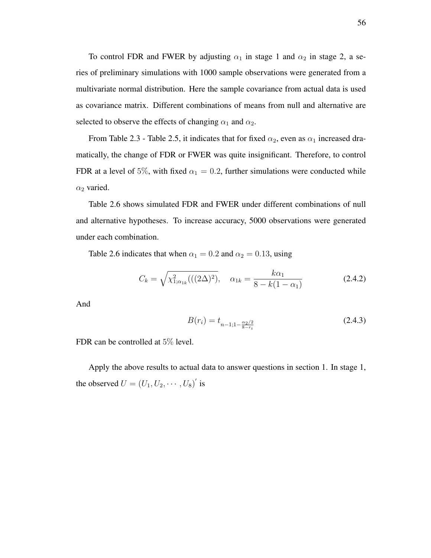To control FDR and FWER by adjusting  $\alpha_1$  in stage 1 and  $\alpha_2$  in stage 2, a series of preliminary simulations with 1000 sample observations were generated from a multivariate normal distribution. Here the sample covariance from actual data is used as covariance matrix. Different combinations of means from null and alternative are selected to observe the effects of changing  $\alpha_1$  and  $\alpha_2$ .

From Table 2.3 - Table 2.5, it indicates that for fixed  $\alpha_2$ , even as  $\alpha_1$  increased dramatically, the change of FDR or FWER was quite insignificant. Therefore, to control FDR at a level of 5%, with fixed  $\alpha_1 = 0.2$ , further simulations were conducted while  $\alpha_2$  varied.

Table 2.6 shows simulated FDR and FWER under different combinations of null and alternative hypotheses. To increase accuracy, 5000 observations were generated under each combination.

Table 2.6 indicates that when  $\alpha_1 = 0.2$  and  $\alpha_2 = 0.13$ , using

$$
C_k = \sqrt{\chi^2_{1;\alpha_{1k}}(((2\Delta)^2)}, \quad \alpha_{1k} = \frac{k\alpha_1}{8 - k(1 - \alpha_1)}
$$
(2.4.2)

And

$$
B(r_i) = t_{n-1; 1-\frac{\alpha_2/2}{8-r_i}}\tag{2.4.3}
$$

FDR can be controlled at 5% level.

Apply the above results to actual data to answer questions in section 1. In stage 1, the observed  $U = (U_1, U_2, \cdots, U_8)$ ' is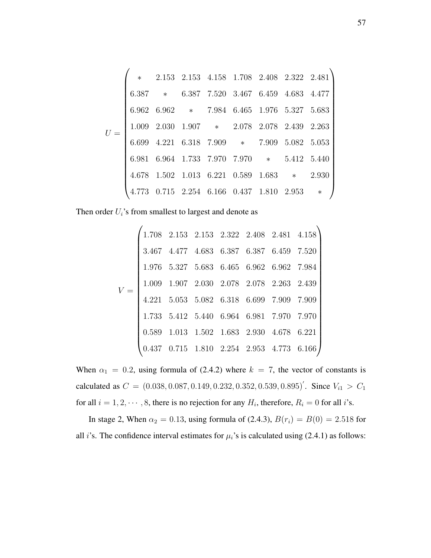$U =$  $\left( \begin{array}{cc} * & 2.153 & 2.153 & 4.158 & 1.708 & 2.408 & 2.322 & 2.481 \end{array} \right)$  6.387 ∗ 6.387 7.520 3.467 6.459 4.683 4.477 6.962 6.962 ∗ 7.984 6.465 1.976 5.327 5.683 1.009 2.030 1.907 ∗ 2.078 2.078 2.439 2.263 6.699 4.221 6.318 7.909 ∗ 7.909 5.082 5.053 6.981 6.964 1.733 7.970 7.970 ∗ 5.412 5.440 4.678 1.502 1.013 6.221 0.589 1.683 ∗ 2.930 4.773 0.715 2.254 6.166 0.437 1.810 2.953 ∗  $\setminus$ 

Then order  $U_i$ 's from smallest to largest and denote as

$$
V = \begin{pmatrix} 1.708 & 2.153 & 2.153 & 2.322 & 2.408 & 2.481 & 4.158 \\ 3.467 & 4.477 & 4.683 & 6.387 & 6.387 & 6.459 & 7.520 \\ 1.976 & 5.327 & 5.683 & 6.465 & 6.962 & 6.962 & 7.984 \\ 1.009 & 1.907 & 2.030 & 2.078 & 2.078 & 2.263 & 2.439 \\ 4.221 & 5.053 & 5.082 & 6.318 & 6.699 & 7.909 & 7.909 \\ 1.733 & 5.412 & 5.440 & 6.964 & 6.981 & 7.970 & 7.970 \\ 0.589 & 1.013 & 1.502 & 1.683 & 2.930 & 4.678 & 6.221 \\ 0.437 & 0.715 & 1.810 & 2.254 & 2.953 & 4.773 & 6.166 \end{pmatrix}
$$

When  $\alpha_1 = 0.2$ , using formula of (2.4.2) where  $k = 7$ , the vector of constants is calculated as  $C = (0.038, 0.087, 0.149, 0.232, 0.352, 0.539, 0.895)'$ . Since  $V_{i1} > C_1$ for all  $i = 1, 2, \dots, 8$ , there is no rejection for any  $H_i$ , therefore,  $R_i = 0$  for all i's.

In stage 2, When  $\alpha_2 = 0.13$ , using formula of (2.4.3),  $B(r_i) = B(0) = 2.518$  for all *i*'s. The confidence interval estimates for  $\mu_i$ 's is calculated using (2.4.1) as follows: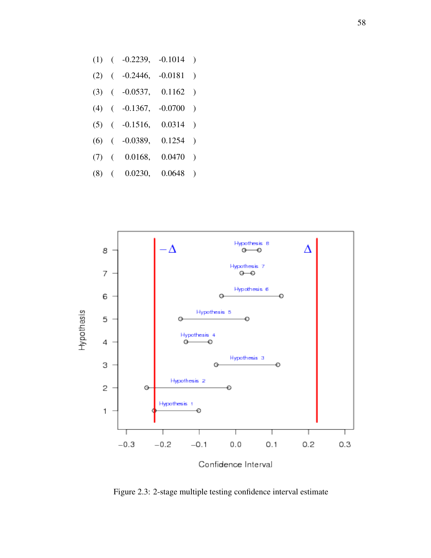- (1) ( -0.2239, -0.1014 )
- (2) ( -0.2446, -0.0181 )
- (3) ( -0.0537, 0.1162 )
- (4) ( -0.1367, -0.0700 )
- (5) ( -0.1516, 0.0314 )
- (6) ( -0.0389, 0.1254 )
- (7) ( 0.0168, 0.0470 )
- (8) ( 0.0230, 0.0648 )



Confidence Interval

Figure 2.3: 2-stage multiple testing confidence interval estimate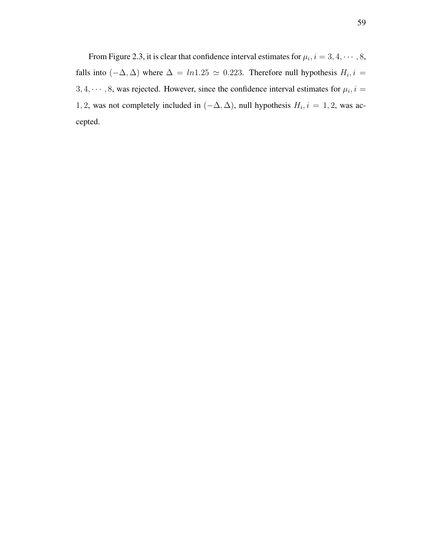From Figure 2.3, it is clear that confidence interval estimates for  $\mu_i$ ,  $i = 3, 4, \cdots, 8$ , falls into  $(-\Delta, \Delta)$  where  $\Delta = ln 1.25 \simeq 0.223$ . Therefore null hypothesis  $H_i$ ,  $i =$  $3, 4, \dots, 8$ , was rejected. However, since the confidence interval estimates for  $\mu_i$ ,  $i =$ 1, 2, was not completely included in  $(-\Delta, \Delta)$ , null hypothesis  $H_i$ ,  $i = 1, 2$ , was accepted.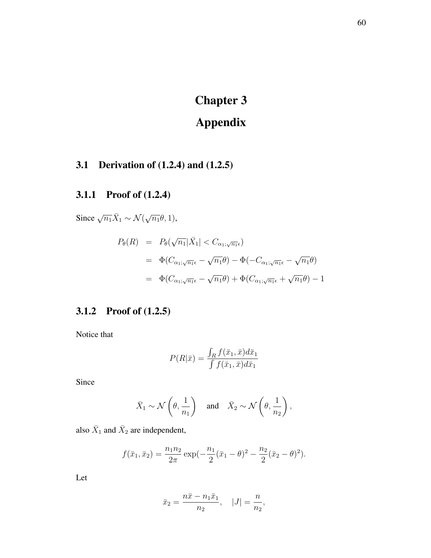# Chapter 3

# Appendix

# 3.1 Derivation of (1.2.4) and (1.2.5)

## 3.1.1 Proof of (1.2.4)

Since  $\sqrt{n_1}\overline{X}_1 \sim \mathcal{N}(\sqrt{n_1}\theta, 1),$ 

$$
P_{\theta}(R) = P_{\theta}(\sqrt{n_1}|\bar{X}_1| < C_{\alpha_1; \sqrt{n_1} \epsilon})
$$
\n
$$
= \Phi(C_{\alpha_1; \sqrt{n_1} \epsilon} - \sqrt{n_1} \theta) - \Phi(-C_{\alpha_1; \sqrt{n_1} \epsilon} - \sqrt{n_1} \theta)
$$
\n
$$
= \Phi(C_{\alpha_1; \sqrt{n_1} \epsilon} - \sqrt{n_1} \theta) + \Phi(C_{\alpha_1; \sqrt{n_1} \epsilon} + \sqrt{n_1} \theta) - 1
$$

## 3.1.2 Proof of (1.2.5)

Notice that

$$
P(R|\bar{x}) = \frac{\int_R f(\bar{x}_1, \bar{x}) d\bar{x}_1}{\int f(\bar{x}_1, \bar{x}) d\bar{x}_1}
$$

Since

$$
\bar{X}_1 \sim \mathcal{N}\left(\theta, \frac{1}{n_1}\right)
$$
 and  $\bar{X}_2 \sim \mathcal{N}\left(\theta, \frac{1}{n_2}\right)$ ,

also  $\bar{X}_1$  and  $\bar{X}_2$  are independent,

$$
f(\bar{x}_1, \bar{x}_2) = \frac{n_1 n_2}{2\pi} \exp(-\frac{n_1}{2}(\bar{x}_1 - \theta)^2 - \frac{n_2}{2}(\bar{x}_2 - \theta)^2).
$$

Let

$$
\bar{x}_2 = \frac{n\bar{x} - n_1\bar{x}_1}{n_2}, \quad |J| = \frac{n}{n_2},
$$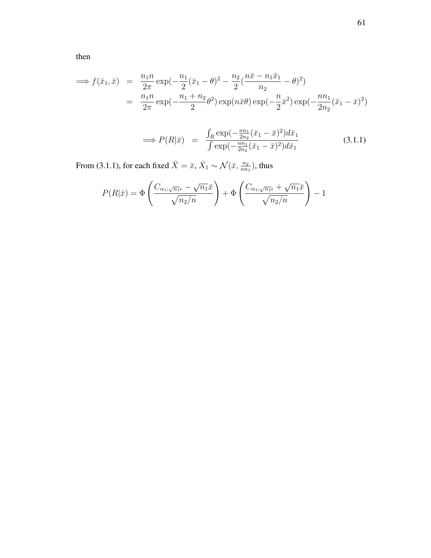then

$$
\Rightarrow f(\bar{x}_1, \bar{x}) = \frac{n_1 n}{2\pi} \exp(-\frac{n_1}{2}(\bar{x}_1 - \theta)^2 - \frac{n_2}{2}(\frac{n\bar{x} - n_1\bar{x}_1}{n_2} - \theta)^2)
$$
  
= 
$$
\frac{n_1 n}{2\pi} \exp(-\frac{n_1 + n_2}{2}\theta^2) \exp(n\bar{x}\theta) \exp(-\frac{n}{2}\bar{x}^2) \exp(-\frac{n n_1}{2n_2}(\bar{x}_1 - \bar{x})^2)
$$

$$
\implies P(R|\bar{x}) = \frac{\int_R \exp(-\frac{nn_1}{2n_2}(\bar{x}_1 - \bar{x})^2) d\bar{x}_1}{\int \exp(-\frac{nn_1}{2n_2}(\bar{x}_1 - \bar{x})^2) d\bar{x}_1}
$$
(3.1.1)

From (3.1.1), for each fixed  $\bar{X} = \bar{x}, \bar{X}_1 \sim \mathcal{N}(\bar{x}, \frac{n_2}{n n_1})$ , thus

$$
P(R|\bar{x}) = \Phi\left(\frac{C_{\alpha_1;\sqrt{n_1}\epsilon} - \sqrt{n_1}\bar{x}}{\sqrt{n_2/n}}\right) + \Phi\left(\frac{C_{\alpha_1;\sqrt{n_1}\epsilon} + \sqrt{n_1}\bar{x}}{\sqrt{n_2/n}}\right) - 1
$$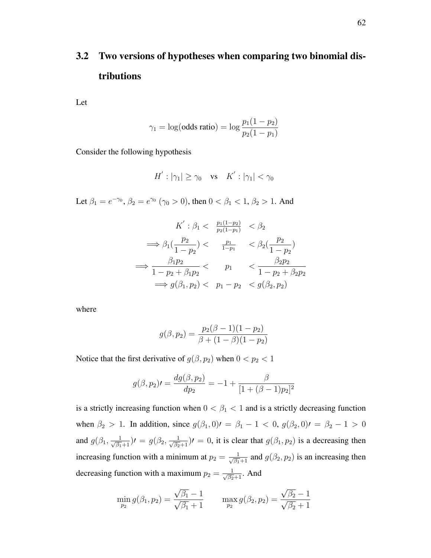# 3.2 Two versions of hypotheses when comparing two binomial distributions

Let

$$
\gamma_1 = \log(\text{odds ratio}) = \log \frac{p_1(1 - p_2)}{p_2(1 - p_1)}
$$

Consider the following hypothesis

$$
H^{'}: |\gamma_1| \ge \gamma_0 \quad \text{vs} \quad K^{'}: |\gamma_1| < \gamma_0
$$

Let  $\beta_1 = e^{-\gamma_0}$ ,  $\beta_2 = e^{\gamma_0}$  ( $\gamma_0 > 0$ ), then  $0 < \beta_1 < 1$ ,  $\beta_2 > 1$ . And

$$
K': \beta_1 < \frac{p_1(1-p_2)}{p_2(1-p_1)} < \beta_2
$$
\n
$$
\implies \beta_1(\frac{p_2}{1-p_2}) < \frac{p_1}{1-p_1} < \beta_2(\frac{p_2}{1-p_2})
$$
\n
$$
\implies \frac{\beta_1 p_2}{1-p_2 + \beta_1 p_2} < p_1 < \frac{\beta_2 p_2}{1-p_2 + \beta_2 p_2}
$$
\n
$$
\implies g(\beta_1, p_2) < p_1 - p_2 < g(\beta_2, p_2)
$$

where

$$
g(\beta, p_2) = \frac{p_2(\beta - 1)(1 - p_2)}{\beta + (1 - \beta)(1 - p_2)}
$$

Notice that the first derivative of  $g(\beta, p_2)$  when  $0 < p_2 < 1$ 

$$
g(\beta, p_2) = \frac{dg(\beta, p_2)}{dp_2} = -1 + \frac{\beta}{[1 + (\beta - 1)p_2]^2}
$$

is a strictly increasing function when  $0 < \beta_1 < 1$  and is a strictly decreasing function when  $\beta_2 > 1$ . In addition, since  $g(\beta_1, 0) = \beta_1 - 1 < 0$ ,  $g(\beta_2, 0) = \beta_2 - 1 > 0$ and  $g(\beta_1, \frac{1}{\sqrt{\beta_1}+1})$   $\prime = g(\beta_2, \frac{1}{\sqrt{\beta_2}+1})$   $\prime = 0$ , it is clear that  $g(\beta_1, p_2)$  is a decreasing then increasing function with a minimum at  $p_2 = \frac{1}{\sqrt{\beta_1}+1}$  and  $g(\beta_2, p_2)$  is an increasing then decreasing function with a maximum  $p_2 = \frac{1}{\sqrt{\beta_2}+1}$ . And

$$
\min_{p_2} g(\beta_1, p_2) = \frac{\sqrt{\beta_1} - 1}{\sqrt{\beta_1} + 1} \qquad \max_{p_2} g(\beta_2, p_2) = \frac{\sqrt{\beta_2} - 1}{\sqrt{\beta_2} + 1}
$$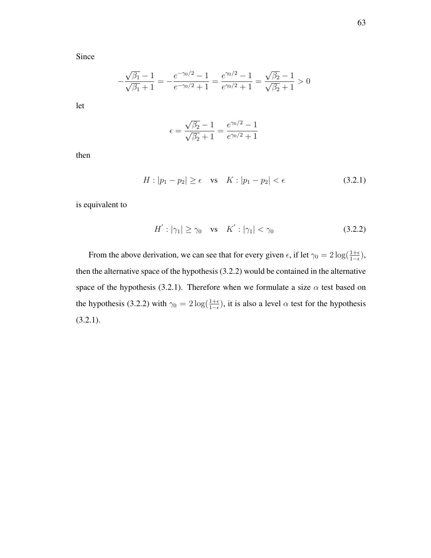Since

$$
-\frac{\sqrt{\beta_1} - 1}{\sqrt{\beta_1} + 1} = -\frac{e^{-\gamma_0/2} - 1}{e^{-\gamma_0/2} + 1} = \frac{e^{\gamma_0/2} - 1}{e^{\gamma_0/2} + 1} = \frac{\sqrt{\beta_2} - 1}{\sqrt{\beta_2} + 1} > 0
$$

let

$$
\epsilon = \frac{\sqrt{\beta_2} - 1}{\sqrt{\beta_2} + 1} = \frac{e^{\gamma_0/2} - 1}{e^{\gamma_0/2} + 1}
$$

then

$$
H: |p_1 - p_2| \ge \epsilon \quad \text{vs} \quad K: |p_1 - p_2| < \epsilon \tag{3.2.1}
$$

is equivalent to

$$
H': |\gamma_1| \ge \gamma_0 \quad \text{vs} \quad K': |\gamma_1| < \gamma_0 \tag{3.2.2}
$$

From the above derivation, we can see that for every given  $\epsilon$ , if let  $\gamma_0 = 2 \log(\frac{1+\epsilon}{1-\epsilon})$ , then the alternative space of the hypothesis (3.2.2) would be contained in the alternative space of the hypothesis (3.2.1). Therefore when we formulate a size  $\alpha$  test based on the hypothesis (3.2.2) with  $\gamma_0 = 2 \log(\frac{1+\epsilon}{1-\epsilon})$ , it is also a level  $\alpha$  test for the hypothesis (3.2.1).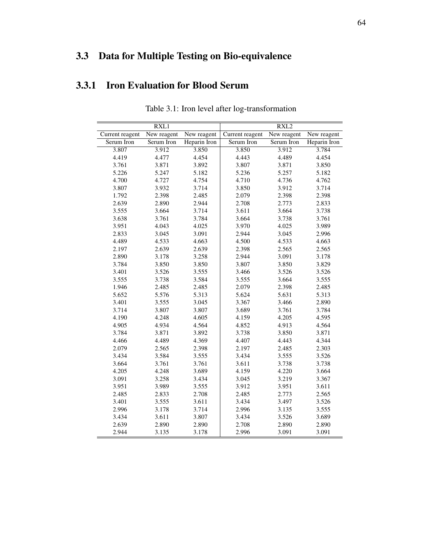## 3.3 Data for Multiple Testing on Bio-equivalence

## 3.3.1 Iron Evaluation for Blood Serum

|                 | RXL1        |              |                 | RXL <sub>2</sub> |              |
|-----------------|-------------|--------------|-----------------|------------------|--------------|
| Current reagent | New reagent | New reagent  | Current reagent | New reagent      | New reagent  |
| Serum Iron      | Serum Iron  | Heparin Iron | Serum Iron      | Serum Iron       | Heparin Iron |
| 3.807           | 3.912       | 3.850        | 3.850           | 3.912            | 3.784        |
| 4.419           | 4.477       | 4.454        | 4.443           | 4.489            | 4.454        |
| 3.761           | 3.871       | 3.892        | 3.807           | 3.871            | 3.850        |
| 5.226           | 5.247       | 5.182        | 5.236           | 5.257            | 5.182        |
| 4.700           | 4.727       | 4.754        | 4.710           | 4.736            | 4.762        |
| 3.807           | 3.932       | 3.714        | 3.850           | 3.912            | 3.714        |
| 1.792           | 2.398       | 2.485        | 2.079           | 2.398            | 2.398        |
| 2.639           | 2.890       | 2.944        | 2.708           | 2.773            | 2.833        |
| 3.555           | 3.664       | 3.714        | 3.611           | 3.664            | 3.738        |
| 3.638           | 3.761       | 3.784        | 3.664           | 3.738            | 3.761        |
| 3.951           | 4.043       | 4.025        | 3.970           | 4.025            | 3.989        |
| 2.833           | 3.045       | 3.091        | 2.944           | 3.045            | 2.996        |
| 4.489           | 4.533       | 4.663        | 4.500           | 4.533            | 4.663        |
| 2.197           | 2.639       | 2.639        | 2.398           | 2.565            | 2.565        |
| 2.890           | 3.178       | 3.258        | 2.944           | 3.091            | 3.178        |
| 3.784           | 3.850       | 3.850        | 3.807           | 3.850            | 3.829        |
| 3.401           | 3.526       | 3.555        | 3.466           | 3.526            | 3.526        |
| 3.555           | 3.738       | 3.584        | 3.555           | 3.664            | 3.555        |
| 1.946           | 2.485       | 2.485        | 2.079           | 2.398            | 2.485        |
| 5.652           | 5.576       | 5.313        | 5.624           | 5.631            | 5.313        |
| 3.401           | 3.555       | 3.045        | 3.367           | 3.466            | 2.890        |
| 3.714           | 3.807       | 3.807        | 3.689           | 3.761            | 3.784        |
| 4.190           | 4.248       | 4.605        | 4.159           | 4.205            | 4.595        |
| 4.905           | 4.934       | 4.564        | 4.852           | 4.913            | 4.564        |
| 3.784           | 3.871       | 3.892        | 3.738           | 3.850            | 3.871        |
| 4.466           | 4.489       | 4.369        | 4.407           | 4.443            | 4.344        |
| 2.079           | 2.565       | 2.398        | 2.197           | 2.485            | 2.303        |
| 3.434           | 3.584       | 3.555        | 3.434           | 3.555            | 3.526        |
| 3.664           | 3.761       | 3.761        | 3.611           | 3.738            | 3.738        |
| 4.205           | 4.248       | 3.689        | 4.159           | 4.220            | 3.664        |
| 3.091           | 3.258       | 3.434        | 3.045           | 3.219            | 3.367        |
| 3.951           | 3.989       | 3.555        | 3.912           | 3.951            | 3.611        |
| 2.485           | 2.833       | 2.708        | 2.485           | 2.773            | 2.565        |
| 3.401           | 3.555       | 3.611        | 3.434           | 3.497            | 3.526        |
| 2.996           | 3.178       | 3.714        | 2.996           | 3.135            | 3.555        |
| 3.434           | 3.611       | 3.807        | 3.434           | 3.526            | 3.689        |
| 2.639           | 2.890       | 2.890        | 2.708           | 2.890            | 2.890        |
| 2.944           | 3.135       | 3.178        | 2.996           | 3.091            | 3.091        |

Table 3.1: Iron level after log-transformation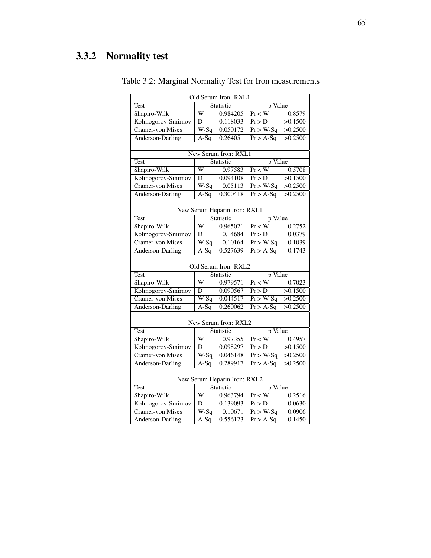## 3.3.2 Normality test

| Old Serum Iron: RXL1                    |                   |                      |                      |         |  |  |  |  |  |
|-----------------------------------------|-------------------|----------------------|----------------------|---------|--|--|--|--|--|
| Test                                    | Statistic         |                      | p Value              |         |  |  |  |  |  |
| Shapiro-Wilk                            | W<br>0.984205     |                      | Pr < W               | 0.8579  |  |  |  |  |  |
| Kolmogorov-Smirnov                      | D                 | 0.118033             | Pr > D               | >0.1500 |  |  |  |  |  |
| <b>Cramer-von Mises</b>                 | $W-Sq$            | 0.050172             | $Pr > W-Sq$          | >0.2500 |  |  |  |  |  |
| Anderson-Darling                        | $A-Sq$            | 0.264051             | $Pr > A-Sq$          | >0.2500 |  |  |  |  |  |
|                                         |                   |                      |                      |         |  |  |  |  |  |
| New Serum Iron: RXL1                    |                   |                      |                      |         |  |  |  |  |  |
| Test                                    | Statistic         |                      | p Value              |         |  |  |  |  |  |
| Shapiro-Wilk                            | $\overline{W}$    | 0.97583              | $Pr$ < W             | 0.5708  |  |  |  |  |  |
| Kolmogorov-Smirnov                      | D                 | 0.094108             | Pr > D               | >0.1500 |  |  |  |  |  |
| <b>Cramer-von Mises</b>                 | $W-Sq$            | 0.05113              | $Pr > W-Sq$          | >0.2500 |  |  |  |  |  |
| Anderson-Darling                        | $\overline{A-Sq}$ | 0.300418             | $Pr > A-Sq$          | >0.2500 |  |  |  |  |  |
|                                         |                   |                      |                      |         |  |  |  |  |  |
| New Serum Heparin Iron: RXL1            |                   |                      |                      |         |  |  |  |  |  |
| <b>Test</b>                             | Statistic         |                      | p Value              |         |  |  |  |  |  |
| Shapiro-Wilk                            | W                 | 0.965021             | Pr < W               | 0.2752  |  |  |  |  |  |
| Kolmogorov-Smirnov                      | D                 | 0.14684              | Pr > D               | 0.0379  |  |  |  |  |  |
| <b>Cramer-von Mises</b>                 | W-Sq              | 0.10164              | $Pr > W-Sq$          | 0.1039  |  |  |  |  |  |
| Anderson-Darling                        | $A-Sq$            | 0.527639             | $Pr > A-Sq$          | 0.1743  |  |  |  |  |  |
|                                         |                   |                      |                      |         |  |  |  |  |  |
|                                         |                   | Old Serum Iron: RXL2 |                      |         |  |  |  |  |  |
| <b>Test</b>                             |                   | Statistic            | p Value              |         |  |  |  |  |  |
| Shapiro-Wilk                            | W                 | 0.979571             | Pr < W               | 0.7023  |  |  |  |  |  |
| Kolmogorov-Smirnov                      | D                 | 0.090567             | Pr > D               | >0.1500 |  |  |  |  |  |
| Cramer-von Mises                        | $W-Sq$            | 0.044517             | $Pr > W-Sq$          | 50.2500 |  |  |  |  |  |
| Anderson-Darling                        | $A-Sq$            | 0.260062             | $Pr > A-Sq$          | >0.2500 |  |  |  |  |  |
|                                         |                   |                      |                      |         |  |  |  |  |  |
|                                         |                   | New Serum Iron: RXL2 |                      |         |  |  |  |  |  |
| <b>Test</b>                             | Statistic         |                      | p Value              |         |  |  |  |  |  |
| Shapiro-Wilk                            | W                 | 0.97355              | $\overline{\Pr}$ < W | 0.4957  |  |  |  |  |  |
| Kolmogorov-Smirnov                      | D                 | 0.098297             | Pr > D               | >0.1500 |  |  |  |  |  |
| <b>Cramer-von Mises</b>                 | $W-Sq$            | 0.046148             | $Pr > W-Sq$          | >0.2500 |  |  |  |  |  |
| Anderson-Darling                        | $A-Sq$            | 0.289917             | $Pr > A-Sq$          | >0.2500 |  |  |  |  |  |
|                                         |                   |                      |                      |         |  |  |  |  |  |
| New Serum Heparin Iron: RXL2<br>p Value |                   |                      |                      |         |  |  |  |  |  |
| <b>Test</b>                             |                   | Statistic            |                      |         |  |  |  |  |  |
| Shapiro-Wilk                            | W                 | 0.963794             | Pr < W               | 0.2516  |  |  |  |  |  |
| Kolmogorov-Smirnov                      | $\overline{D}$    | 0.139093             | Pr > D               | 0.0630  |  |  |  |  |  |
| <b>Cramer-von Mises</b>                 | $W-Sq$            | 0.10671              | $Pr > W-Sq$          | 0.0906  |  |  |  |  |  |
| Anderson-Darling                        | $A-Sq$            | 0.556123             | $Pr > A-Sq$          | 0.1450  |  |  |  |  |  |

Table 3.2: Marginal Normality Test for Iron measurements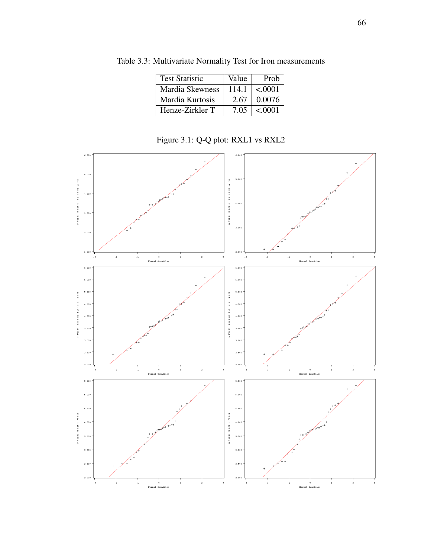| <b>Test Statistic</b> | Value | Prob    |
|-----------------------|-------|---------|
| Mardia Skewness       | 114.1 | < .0001 |
| Mardia Kurtosis       | 2.67  | 0.0076  |
| Henze-Zirkler T       | 7.05  | < .0001 |

Table 3.3: Multivariate Normality Test for Iron measurements

Figure 3.1: Q-Q plot: RXL1 vs RXL2

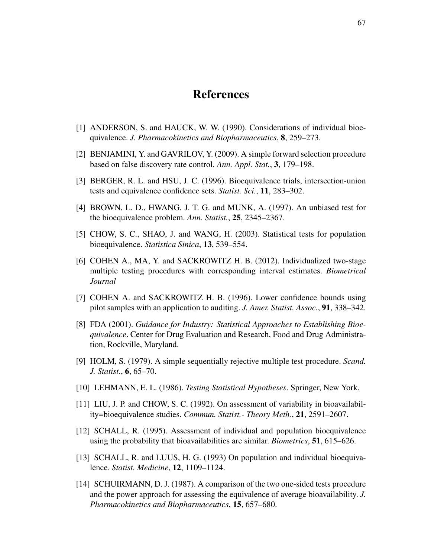## References

- [1] ANDERSON, S. and HAUCK, W. W. (1990). Considerations of individual bioequivalence. *J. Pharmacokinetics and Biopharmaceutics*, 8, 259–273.
- [2] BENJAMINI, Y. and GAVRILOV, Y. (2009). A simple forward selection procedure based on false discovery rate control. *Ann. Appl. Stat.*, 3, 179–198.
- [3] BERGER, R. L. and HSU, J. C. (1996). Bioequivalence trials, intersection-union tests and equivalence confidence sets. *Statist. Sci.*, 11, 283–302.
- [4] BROWN, L. D., HWANG, J. T. G. and MUNK, A. (1997). An unbiased test for the bioequivalence problem. *Ann. Statist.*, 25, 2345–2367.
- [5] CHOW, S. C., SHAO, J. and WANG, H. (2003). Statistical tests for population bioequivalence. *Statistica Sinica*, 13, 539–554.
- [6] COHEN A., MA, Y. and SACKROWITZ H. B. (2012). Individualized two-stage multiple testing procedures with corresponding interval estimates. *Biometrical Journal*
- [7] COHEN A. and SACKROWITZ H. B. (1996). Lower confidence bounds using pilot samples with an application to auditing. *J. Amer. Statist. Assoc.*, 91, 338–342.
- [8] FDA (2001). *Guidance for Industry: Statistical Approaches to Establishing Bioequivalence*. Center for Drug Evaluation and Research, Food and Drug Administration, Rockville, Maryland.
- [9] HOLM, S. (1979). A simple sequentially rejective multiple test procedure. *Scand. J. Statist.*, 6, 65–70.
- [10] LEHMANN, E. L. (1986). *Testing Statistical Hypotheses*. Springer, New York.
- [11] LIU, J. P. and CHOW, S. C. (1992). On assessment of variability in bioavailability=bioequivalence studies. *Commun. Statist.- Theory Meth.*, 21, 2591–2607.
- [12] SCHALL, R. (1995). Assessment of individual and population bioequivalence using the probability that bioavailabilities are similar. *Biometrics*, 51, 615–626.
- [13] SCHALL, R. and LUUS, H. G. (1993) On population and individual bioequivalence. *Statist. Medicine*, 12, 1109–1124.
- [14] SCHUIRMANN, D. J. (1987). A comparison of the two one-sided tests procedure and the power approach for assessing the equivalence of average bioavailability. *J. Pharmacokinetics and Biopharmaceutics*, 15, 657–680.